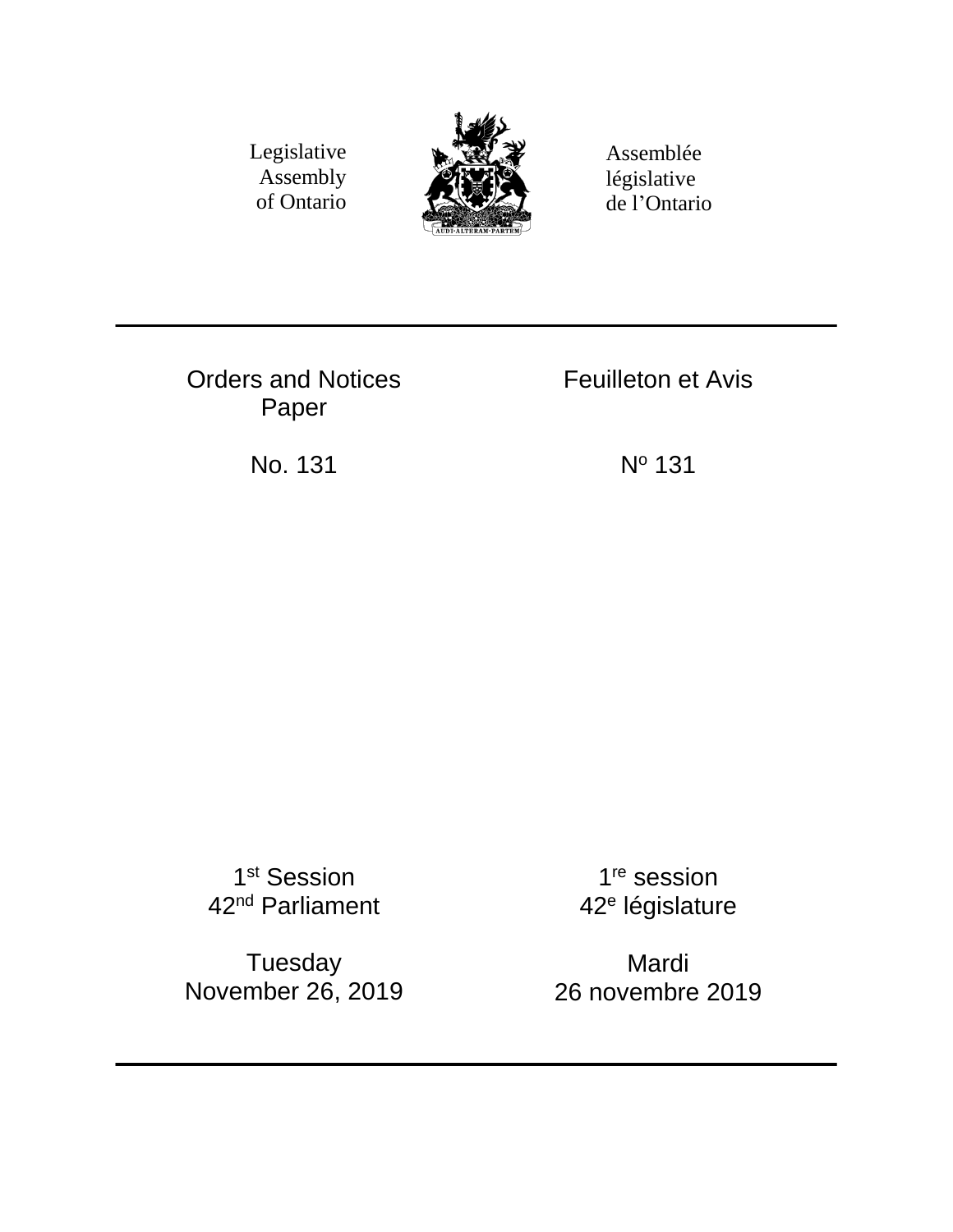Legislative Assembly of Ontario



Assemblée législative de l'Ontario

Orders and Notices Paper

Feuilleton et Avis

No. 131 N<sup>o</sup> 131

1<sup>st</sup> Session 42<sup>nd</sup> Parliament

Tuesday November 26, 2019

1<sup>re</sup> session 42<sup>e</sup> législature

Mardi 26 novembre 2019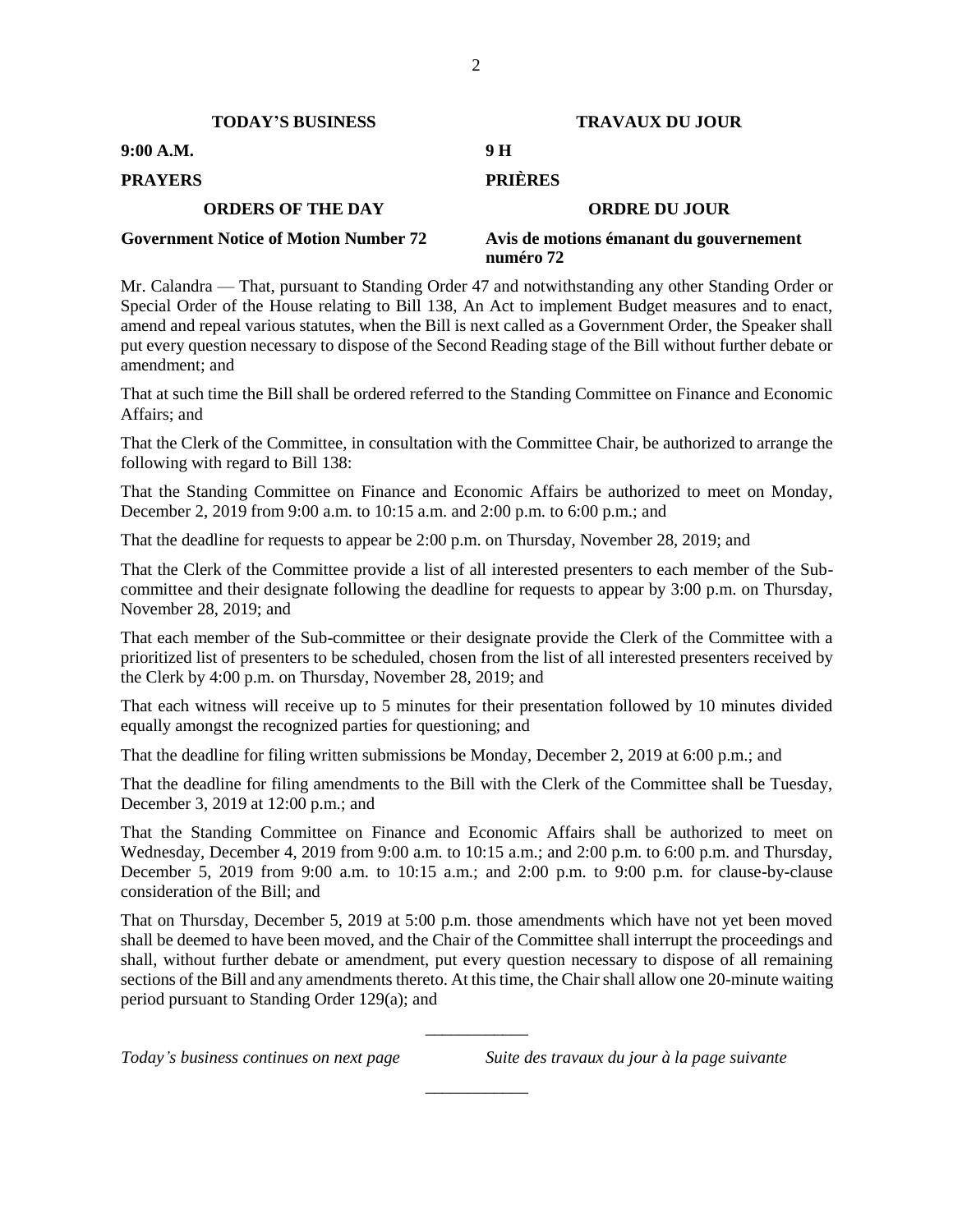| <b>TODAY'S BUSINESS</b>                      | <b>TRAVAUX DU JOUR</b>                               |  |  |
|----------------------------------------------|------------------------------------------------------|--|--|
| 9:00 A.M.                                    | 9 H                                                  |  |  |
| <b>PRAYERS</b>                               | <b>PRIÈRES</b>                                       |  |  |
| <b>ORDERS OF THE DAY</b>                     | <b>ORDRE DU JOUR</b>                                 |  |  |
| <b>Government Notice of Motion Number 72</b> | Avis de motions émanant du gouvernement<br>numéro 72 |  |  |

Mr. Calandra — That, pursuant to Standing Order 47 and notwithstanding any other Standing Order or Special Order of the House relating to Bill 138, An Act to implement Budget measures and to enact, amend and repeal various statutes, when the Bill is next called as a Government Order, the Speaker shall put every question necessary to dispose of the Second Reading stage of the Bill without further debate or amendment; and

That at such time the Bill shall be ordered referred to the Standing Committee on Finance and Economic Affairs; and

That the Clerk of the Committee, in consultation with the Committee Chair, be authorized to arrange the following with regard to Bill 138:

That the Standing Committee on Finance and Economic Affairs be authorized to meet on Monday, December 2, 2019 from 9:00 a.m. to 10:15 a.m. and 2:00 p.m. to 6:00 p.m.; and

That the deadline for requests to appear be 2:00 p.m. on Thursday, November 28, 2019; and

That the Clerk of the Committee provide a list of all interested presenters to each member of the Subcommittee and their designate following the deadline for requests to appear by 3:00 p.m. on Thursday, November 28, 2019; and

That each member of the Sub-committee or their designate provide the Clerk of the Committee with a prioritized list of presenters to be scheduled, chosen from the list of all interested presenters received by the Clerk by 4:00 p.m. on Thursday, November 28, 2019; and

That each witness will receive up to 5 minutes for their presentation followed by 10 minutes divided equally amongst the recognized parties for questioning; and

That the deadline for filing written submissions be Monday, December 2, 2019 at 6:00 p.m.; and

That the deadline for filing amendments to the Bill with the Clerk of the Committee shall be Tuesday, December 3, 2019 at 12:00 p.m.; and

That the Standing Committee on Finance and Economic Affairs shall be authorized to meet on Wednesday, December 4, 2019 from 9:00 a.m. to 10:15 a.m.; and 2:00 p.m. to 6:00 p.m. and Thursday, December 5, 2019 from 9:00 a.m. to 10:15 a.m.; and 2:00 p.m. to 9:00 p.m. for clause-by-clause consideration of the Bill; and

That on Thursday, December 5, 2019 at 5:00 p.m. those amendments which have not yet been moved shall be deemed to have been moved, and the Chair of the Committee shall interrupt the proceedings and shall, without further debate or amendment, put every question necessary to dispose of all remaining sections of the Bill and any amendments thereto. At this time, the Chair shall allow one 20-minute waiting period pursuant to Standing Order 129(a); and

\_\_\_\_\_\_\_\_\_\_\_\_

\_\_\_\_\_\_\_\_\_\_\_\_

*Today's business continues on next page Suite des travaux du jour à la page suivante*

2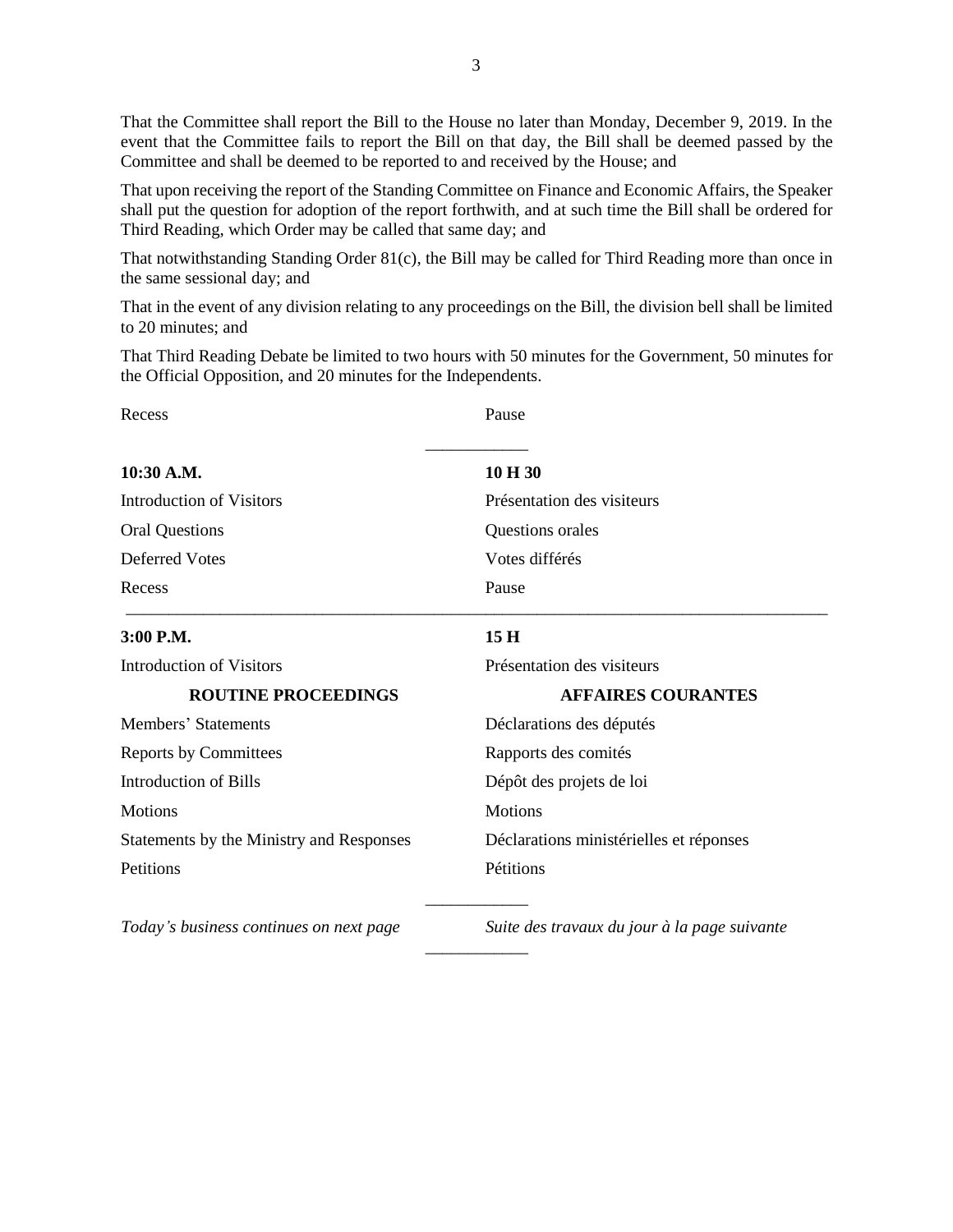That the Committee shall report the Bill to the House no later than Monday, December 9, 2019. In the event that the Committee fails to report the Bill on that day, the Bill shall be deemed passed by the Committee and shall be deemed to be reported to and received by the House; and

That upon receiving the report of the Standing Committee on Finance and Economic Affairs, the Speaker shall put the question for adoption of the report forthwith, and at such time the Bill shall be ordered for Third Reading, which Order may be called that same day; and

That notwithstanding Standing Order 81(c), the Bill may be called for Third Reading more than once in the same sessional day; and

That in the event of any division relating to any proceedings on the Bill, the division bell shall be limited to 20 minutes; and

That Third Reading Debate be limited to two hours with 50 minutes for the Government, 50 minutes for the Official Opposition, and 20 minutes for the Independents.

| Recess                                   | Pause                                        |  |
|------------------------------------------|----------------------------------------------|--|
| 10:30 A.M.                               | 10 H 30                                      |  |
| <b>Introduction of Visitors</b>          | Présentation des visiteurs                   |  |
| <b>Oral Questions</b>                    | Questions orales                             |  |
| <b>Deferred Votes</b>                    | Votes différés                               |  |
| Recess                                   | Pause                                        |  |
| $3:00$ P.M.                              | 15H                                          |  |
| Introduction of Visitors                 | Présentation des visiteurs                   |  |
| <b>ROUTINE PROCEEDINGS</b>               | <b>AFFAIRES COURANTES</b>                    |  |
| Members' Statements                      | Déclarations des députés                     |  |
| <b>Reports by Committees</b>             | Rapports des comités                         |  |
| Introduction of Bills                    | Dépôt des projets de loi                     |  |
| <b>Motions</b>                           | <b>Motions</b>                               |  |
| Statements by the Ministry and Responses | Déclarations ministérielles et réponses      |  |
| Petitions                                | Pétitions                                    |  |
| Today's business continues on next page  | Suite des travaux du jour à la page suivante |  |

\_\_\_\_\_\_\_\_\_\_\_\_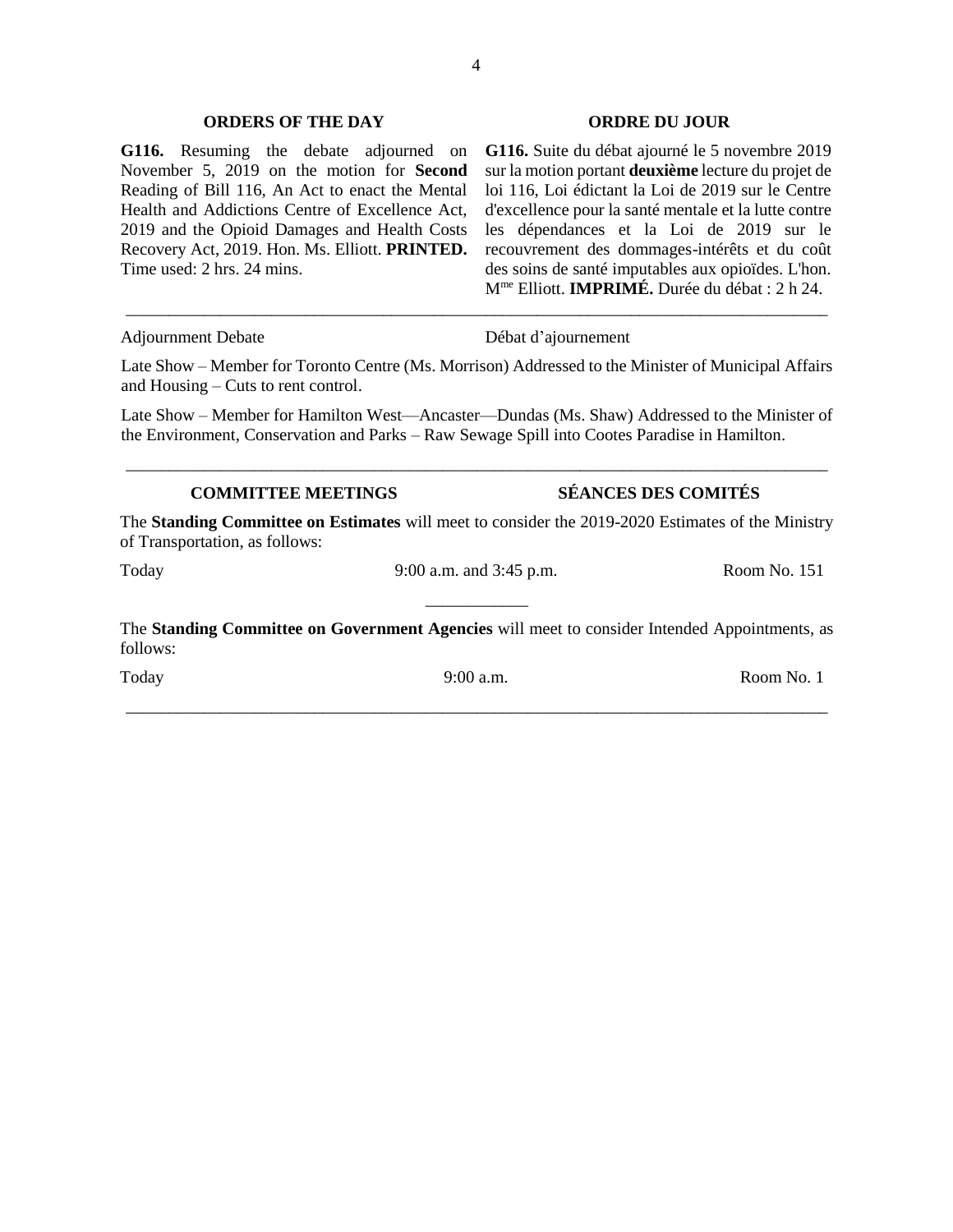#### **ORDERS OF THE DAY ORDRE DU JOUR**

**G116.** Resuming the debate adjourned on November 5, 2019 on the motion for **Second** Reading of Bill 116, An Act to enact the Mental Health and Addictions Centre of Excellence Act, 2019 and the Opioid Damages and Health Costs Recovery Act, 2019. Hon. Ms. Elliott. **PRINTED.**  Time used: 2 hrs. 24 mins.

#### Adjournment Debate Débat d'ajournement

**G116.** Suite du débat ajourné le 5 novembre 2019 sur la motion portant **deuxième** lecture du projet de loi 116, Loi édictant la Loi de 2019 sur le Centre d'excellence pour la santé mentale et la lutte contre les dépendances et la Loi de 2019 sur le recouvrement des dommages-intérêts et du coût des soins de santé imputables aux opioïdes. L'hon. Mme Elliott. **IMPRIMÉ.** Durée du débat : 2 h 24.

Late Show – Member for Toronto Centre (Ms. Morrison) Addressed to the Minister of Municipal Affairs and Housing – Cuts to rent control.

\_\_\_\_\_\_\_\_\_\_\_\_\_\_\_\_\_\_\_\_\_\_\_\_\_\_\_\_\_\_\_\_\_\_\_\_\_\_\_\_\_\_\_\_\_\_\_\_\_\_\_\_\_\_\_\_\_\_\_\_\_\_\_\_\_\_\_\_\_\_\_\_\_\_\_\_\_\_\_\_\_\_

Late Show – Member for Hamilton West—Ancaster—Dundas (Ms. Shaw) Addressed to the Minister of the Environment, Conservation and Parks – Raw Sewage Spill into Cootes Paradise in Hamilton.

\_\_\_\_\_\_\_\_\_\_\_\_\_\_\_\_\_\_\_\_\_\_\_\_\_\_\_\_\_\_\_\_\_\_\_\_\_\_\_\_\_\_\_\_\_\_\_\_\_\_\_\_\_\_\_\_\_\_\_\_\_\_\_\_\_\_\_\_\_\_\_\_\_\_\_\_\_\_\_\_\_\_

# **COMMITTEE MEETINGS SÉANCES DES COMITÉS**

The **Standing Committee on Estimates** will meet to consider the 2019-2020 Estimates of the Ministry of Transportation, as follows:

Today 3:00 a.m. and 3:45 p.m. <br>Room No. 151 \_\_\_\_\_\_\_\_\_\_\_\_

The **Standing Committee on Government Agencies** will meet to consider Intended Appointments, as follows:

\_\_\_\_\_\_\_\_\_\_\_\_\_\_\_\_\_\_\_\_\_\_\_\_\_\_\_\_\_\_\_\_\_\_\_\_\_\_\_\_\_\_\_\_\_\_\_\_\_\_\_\_\_\_\_\_\_\_\_\_\_\_\_\_\_\_\_\_\_\_\_\_\_\_\_\_\_\_\_\_\_\_

Today 9:00 a.m. Room No. 1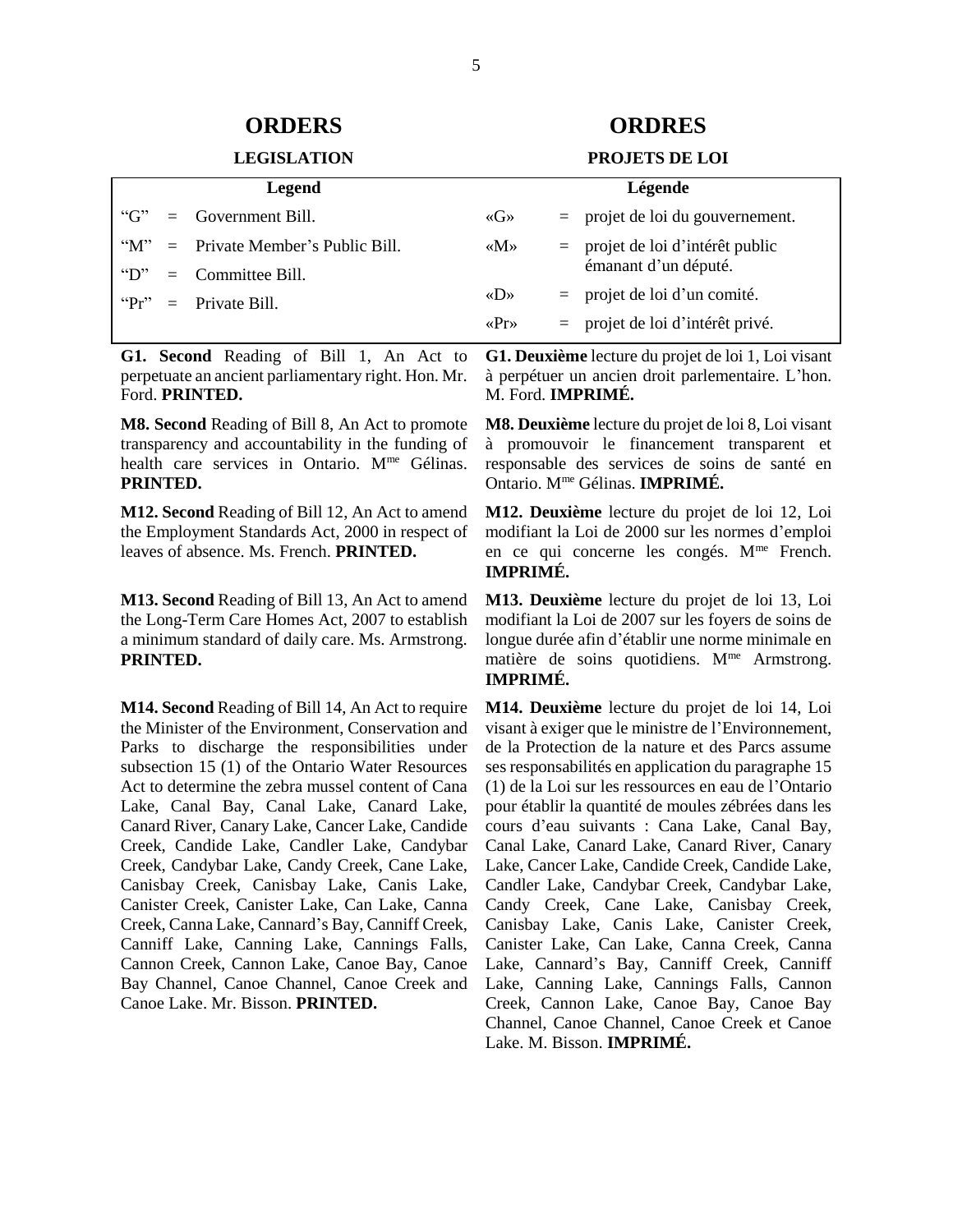# **ORDERS ORDRES**

#### **LEGISLATION PROJETS DE LOI**

| Legend          |  |                                   | Légende                             |  |                                    |
|-----------------|--|-----------------------------------|-------------------------------------|--|------------------------------------|
| "G"             |  | $=$ Government Bill.              | $\langle G \rangle$                 |  | $=$ projet de loi du gouvernement. |
| $\mathcal{M}$ " |  | $=$ Private Member's Public Bill. | $\langle M \rangle$                 |  | $=$ projet de loi d'intérêt public |
| $\mathcal{L}$   |  | $=$ Committee Bill.               |                                     |  | émanant d'un député.               |
| "Pr"            |  | $=$ Private Bill.                 | $\langle \langle D \rangle \rangle$ |  | $=$ projet de loi d'un comité.     |
|                 |  |                                   | $\langle \text{Pr} \rangle$         |  | $=$ projet de loi d'intérêt privé. |

**G1. Second** Reading of Bill 1, An Act to perpetuate an ancient parliamentary right. Hon. Mr. Ford. **PRINTED.** 

**M8. Second** Reading of Bill 8, An Act to promote transparency and accountability in the funding of health care services in Ontario. M<sup>me</sup> Gélinas. **PRINTED.** 

**M12. Second** Reading of Bill 12, An Act to amend the Employment Standards Act, 2000 in respect of leaves of absence. Ms. French. **PRINTED.** 

**M13. Second** Reading of Bill 13, An Act to amend the Long-Term Care Homes Act, 2007 to establish a minimum standard of daily care. Ms. Armstrong. **PRINTED.** 

**M14. Second** Reading of Bill 14, An Act to require the Minister of the Environment, Conservation and Parks to discharge the responsibilities under subsection 15 (1) of the Ontario Water Resources Act to determine the zebra mussel content of Cana Lake, Canal Bay, Canal Lake, Canard Lake, Canard River, Canary Lake, Cancer Lake, Candide Creek, Candide Lake, Candler Lake, Candybar Creek, Candybar Lake, Candy Creek, Cane Lake, Canisbay Creek, Canisbay Lake, Canis Lake, Canister Creek, Canister Lake, Can Lake, Canna Creek, Canna Lake, Cannard's Bay, Canniff Creek, Canniff Lake, Canning Lake, Cannings Falls, Cannon Creek, Cannon Lake, Canoe Bay, Canoe Bay Channel, Canoe Channel, Canoe Creek and Canoe Lake. Mr. Bisson. **PRINTED.** 

**G1. Deuxième** lecture du projet de loi 1, Loi visant à perpétuer un ancien droit parlementaire. L'hon. M. Ford. **IMPRIMÉ.**

**M8. Deuxième** lecture du projet de loi 8, Loi visant à promouvoir le financement transparent et responsable des services de soins de santé en Ontario. Mme Gélinas. **IMPRIMÉ.** 

**M12. Deuxième** lecture du projet de loi 12, Loi modifiant la Loi de 2000 sur les normes d'emploi en ce qui concerne les congés. M<sup>me</sup> French. **IMPRIMÉ.** 

**M13. Deuxième** lecture du projet de loi 13, Loi modifiant la Loi de 2007 sur les foyers de soins de longue durée afin d'établir une norme minimale en matière de soins quotidiens. M<sup>me</sup> Armstrong. **IMPRIMÉ.** 

**M14. Deuxième** lecture du projet de loi 14, Loi visant à exiger que le ministre de l'Environnement, de la Protection de la nature et des Parcs assume ses responsabilités en application du paragraphe 15 (1) de la Loi sur les ressources en eau de l'Ontario pour établir la quantité de moules zébrées dans les cours d'eau suivants : Cana Lake, Canal Bay, Canal Lake, Canard Lake, Canard River, Canary Lake, Cancer Lake, Candide Creek, Candide Lake, Candler Lake, Candybar Creek, Candybar Lake, Candy Creek, Cane Lake, Canisbay Creek, Canisbay Lake, Canis Lake, Canister Creek, Canister Lake, Can Lake, Canna Creek, Canna Lake, Cannard's Bay, Canniff Creek, Canniff Lake, Canning Lake, Cannings Falls, Cannon Creek, Cannon Lake, Canoe Bay, Canoe Bay Channel, Canoe Channel, Canoe Creek et Canoe Lake. M. Bisson. **IMPRIMÉ.**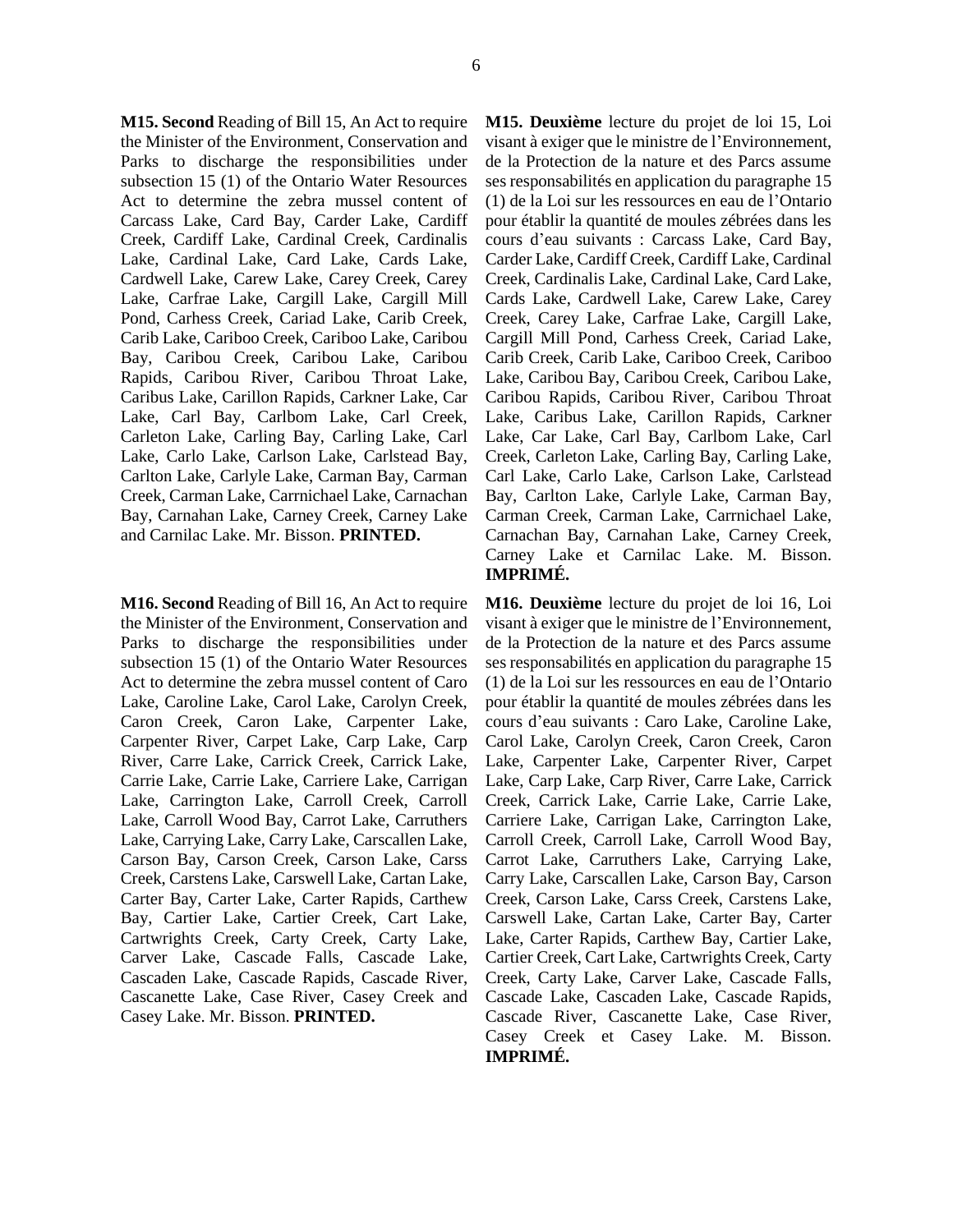**M15. Second** Reading of Bill 15, An Act to require the Minister of the Environment, Conservation and Parks to discharge the responsibilities under subsection 15 (1) of the Ontario Water Resources Act to determine the zebra mussel content of Carcass Lake, Card Bay, Carder Lake, Cardiff Creek, Cardiff Lake, Cardinal Creek, Cardinalis Lake, Cardinal Lake, Card Lake, Cards Lake, Cardwell Lake, Carew Lake, Carey Creek, Carey Lake, Carfrae Lake, Cargill Lake, Cargill Mill Pond, Carhess Creek, Cariad Lake, Carib Creek, Carib Lake, Cariboo Creek, Cariboo Lake, Caribou Bay, Caribou Creek, Caribou Lake, Caribou Rapids, Caribou River, Caribou Throat Lake, Caribus Lake, Carillon Rapids, Carkner Lake, Car

Lake, Carl Bay, Carlbom Lake, Carl Creek, Carleton Lake, Carling Bay, Carling Lake, Carl Lake, Carlo Lake, Carlson Lake, Carlstead Bay, Carlton Lake, Carlyle Lake, Carman Bay, Carman Creek, Carman Lake, Carrnichael Lake, Carnachan Bay, Carnahan Lake, Carney Creek, Carney Lake and Carnilac Lake. Mr. Bisson. **PRINTED.** 

**M16. Second** Reading of Bill 16, An Act to require the Minister of the Environment, Conservation and Parks to discharge the responsibilities under subsection 15 (1) of the Ontario Water Resources Act to determine the zebra mussel content of Caro Lake, Caroline Lake, Carol Lake, Carolyn Creek, Caron Creek, Caron Lake, Carpenter Lake, Carpenter River, Carpet Lake, Carp Lake, Carp River, Carre Lake, Carrick Creek, Carrick Lake, Carrie Lake, Carrie Lake, Carriere Lake, Carrigan Lake, Carrington Lake, Carroll Creek, Carroll Lake, Carroll Wood Bay, Carrot Lake, Carruthers Lake, Carrying Lake, Carry Lake, Carscallen Lake, Carson Bay, Carson Creek, Carson Lake, Carss Creek, Carstens Lake, Carswell Lake, Cartan Lake, Carter Bay, Carter Lake, Carter Rapids, Carthew Bay, Cartier Lake, Cartier Creek, Cart Lake, Cartwrights Creek, Carty Creek, Carty Lake, Carver Lake, Cascade Falls, Cascade Lake, Cascaden Lake, Cascade Rapids, Cascade River, Cascanette Lake, Case River, Casey Creek and Casey Lake. Mr. Bisson. **PRINTED.** 

**M15. Deuxième** lecture du projet de loi 15, Loi visant à exiger que le ministre de l'Environnement, de la Protection de la nature et des Parcs assume ses responsabilités en application du paragraphe 15 (1) de la Loi sur les ressources en eau de l'Ontario pour établir la quantité de moules zébrées dans les cours d'eau suivants : Carcass Lake, Card Bay, Carder Lake, Cardiff Creek, Cardiff Lake, Cardinal Creek, Cardinalis Lake, Cardinal Lake, Card Lake, Cards Lake, Cardwell Lake, Carew Lake, Carey Creek, Carey Lake, Carfrae Lake, Cargill Lake, Cargill Mill Pond, Carhess Creek, Cariad Lake, Carib Creek, Carib Lake, Cariboo Creek, Cariboo Lake, Caribou Bay, Caribou Creek, Caribou Lake, Caribou Rapids, Caribou River, Caribou Throat Lake, Caribus Lake, Carillon Rapids, Carkner Lake, Car Lake, Carl Bay, Carlbom Lake, Carl Creek, Carleton Lake, Carling Bay, Carling Lake, Carl Lake, Carlo Lake, Carlson Lake, Carlstead Bay, Carlton Lake, Carlyle Lake, Carman Bay, Carman Creek, Carman Lake, Carrnichael Lake, Carnachan Bay, Carnahan Lake, Carney Creek, Carney Lake et Carnilac Lake. M. Bisson. **IMPRIMÉ.** 

**M16. Deuxième** lecture du projet de loi 16, Loi visant à exiger que le ministre de l'Environnement, de la Protection de la nature et des Parcs assume ses responsabilités en application du paragraphe 15 (1) de la Loi sur les ressources en eau de l'Ontario pour établir la quantité de moules zébrées dans les cours d'eau suivants : Caro Lake, Caroline Lake, Carol Lake, Carolyn Creek, Caron Creek, Caron Lake, Carpenter Lake, Carpenter River, Carpet Lake, Carp Lake, Carp River, Carre Lake, Carrick Creek, Carrick Lake, Carrie Lake, Carrie Lake, Carriere Lake, Carrigan Lake, Carrington Lake, Carroll Creek, Carroll Lake, Carroll Wood Bay, Carrot Lake, Carruthers Lake, Carrying Lake, Carry Lake, Carscallen Lake, Carson Bay, Carson Creek, Carson Lake, Carss Creek, Carstens Lake, Carswell Lake, Cartan Lake, Carter Bay, Carter Lake, Carter Rapids, Carthew Bay, Cartier Lake, Cartier Creek, Cart Lake, Cartwrights Creek, Carty Creek, Carty Lake, Carver Lake, Cascade Falls, Cascade Lake, Cascaden Lake, Cascade Rapids, Cascade River, Cascanette Lake, Case River, Casey Creek et Casey Lake. M. Bisson. **IMPRIMÉ.**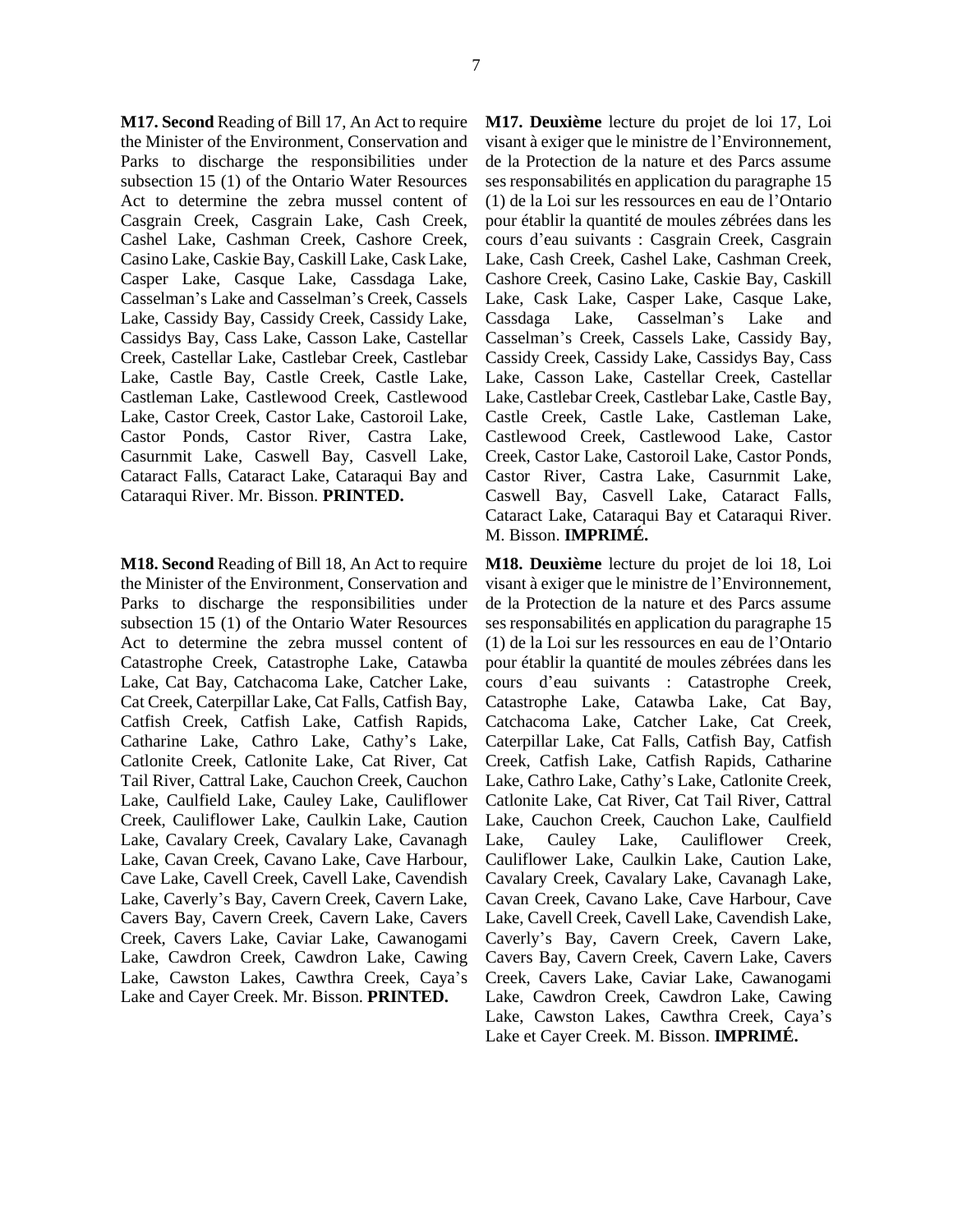**M17. Second** Reading of Bill 17, An Act to require the Minister of the Environment, Conservation and Parks to discharge the responsibilities under subsection 15 (1) of the Ontario Water Resources Act to determine the zebra mussel content of Casgrain Creek, Casgrain Lake, Cash Creek, Cashel Lake, Cashman Creek, Cashore Creek, Casino Lake, Caskie Bay, Caskill Lake, Cask Lake, Casper Lake, Casque Lake, Cassdaga Lake, Casselman's Lake and Casselman's Creek, Cassels Lake, Cassidy Bay, Cassidy Creek, Cassidy Lake, Cassidys Bay, Cass Lake, Casson Lake, Castellar Creek, Castellar Lake, Castlebar Creek, Castlebar Lake, Castle Bay, Castle Creek, Castle Lake, Castleman Lake, Castlewood Creek, Castlewood Lake, Castor Creek, Castor Lake, Castoroil Lake, Castor Ponds, Castor River, Castra Lake, Casurnmit Lake, Caswell Bay, Casvell Lake, Cataract Falls, Cataract Lake, Cataraqui Bay and Cataraqui River. Mr. Bisson. **PRINTED.** 

**M18. Second** Reading of Bill 18, An Act to require the Minister of the Environment, Conservation and Parks to discharge the responsibilities under subsection 15 (1) of the Ontario Water Resources Act to determine the zebra mussel content of Catastrophe Creek, Catastrophe Lake, Catawba Lake, Cat Bay, Catchacoma Lake, Catcher Lake, Cat Creek, Caterpillar Lake, Cat Falls, Catfish Bay, Catfish Creek, Catfish Lake, Catfish Rapids, Catharine Lake, Cathro Lake, Cathy's Lake, Catlonite Creek, Catlonite Lake, Cat River, Cat Tail River, Cattral Lake, Cauchon Creek, Cauchon Lake, Caulfield Lake, Cauley Lake, Cauliflower Creek, Cauliflower Lake, Caulkin Lake, Caution Lake, Cavalary Creek, Cavalary Lake, Cavanagh Lake, Cavan Creek, Cavano Lake, Cave Harbour, Cave Lake, Cavell Creek, Cavell Lake, Cavendish Lake, Caverly's Bay, Cavern Creek, Cavern Lake, Cavers Bay, Cavern Creek, Cavern Lake, Cavers Creek, Cavers Lake, Caviar Lake, Cawanogami Lake, Cawdron Creek, Cawdron Lake, Cawing Lake, Cawston Lakes, Cawthra Creek, Caya's Lake and Cayer Creek. Mr. Bisson. **PRINTED.** 

**M17. Deuxième** lecture du projet de loi 17, Loi visant à exiger que le ministre de l'Environnement, de la Protection de la nature et des Parcs assume ses responsabilités en application du paragraphe 15 (1) de la Loi sur les ressources en eau de l'Ontario pour établir la quantité de moules zébrées dans les cours d'eau suivants : Casgrain Creek, Casgrain Lake, Cash Creek, Cashel Lake, Cashman Creek, Cashore Creek, Casino Lake, Caskie Bay, Caskill Lake, Cask Lake, Casper Lake, Casque Lake, Cassdaga Lake, Casselman's Lake and Casselman's Creek, Cassels Lake, Cassidy Bay, Cassidy Creek, Cassidy Lake, Cassidys Bay, Cass Lake, Casson Lake, Castellar Creek, Castellar Lake, Castlebar Creek, Castlebar Lake, Castle Bay, Castle Creek, Castle Lake, Castleman Lake, Castlewood Creek, Castlewood Lake, Castor Creek, Castor Lake, Castoroil Lake, Castor Ponds, Castor River, Castra Lake, Casurnmit Lake, Caswell Bay, Casvell Lake, Cataract Falls, Cataract Lake, Cataraqui Bay et Cataraqui River. M. Bisson. **IMPRIMÉ.** 

**M18. Deuxième** lecture du projet de loi 18, Loi visant à exiger que le ministre de l'Environnement, de la Protection de la nature et des Parcs assume ses responsabilités en application du paragraphe 15 (1) de la Loi sur les ressources en eau de l'Ontario pour établir la quantité de moules zébrées dans les cours d'eau suivants : Catastrophe Creek, Catastrophe Lake, Catawba Lake, Cat Bay, Catchacoma Lake, Catcher Lake, Cat Creek, Caterpillar Lake, Cat Falls, Catfish Bay, Catfish Creek, Catfish Lake, Catfish Rapids, Catharine Lake, Cathro Lake, Cathy's Lake, Catlonite Creek, Catlonite Lake, Cat River, Cat Tail River, Cattral Lake, Cauchon Creek, Cauchon Lake, Caulfield Lake, Cauley Lake, Cauliflower Creek, Cauliflower Lake, Caulkin Lake, Caution Lake, Cavalary Creek, Cavalary Lake, Cavanagh Lake, Cavan Creek, Cavano Lake, Cave Harbour, Cave Lake, Cavell Creek, Cavell Lake, Cavendish Lake, Caverly's Bay, Cavern Creek, Cavern Lake, Cavers Bay, Cavern Creek, Cavern Lake, Cavers Creek, Cavers Lake, Caviar Lake, Cawanogami Lake, Cawdron Creek, Cawdron Lake, Cawing Lake, Cawston Lakes, Cawthra Creek, Caya's Lake et Cayer Creek. M. Bisson. **IMPRIMÉ.**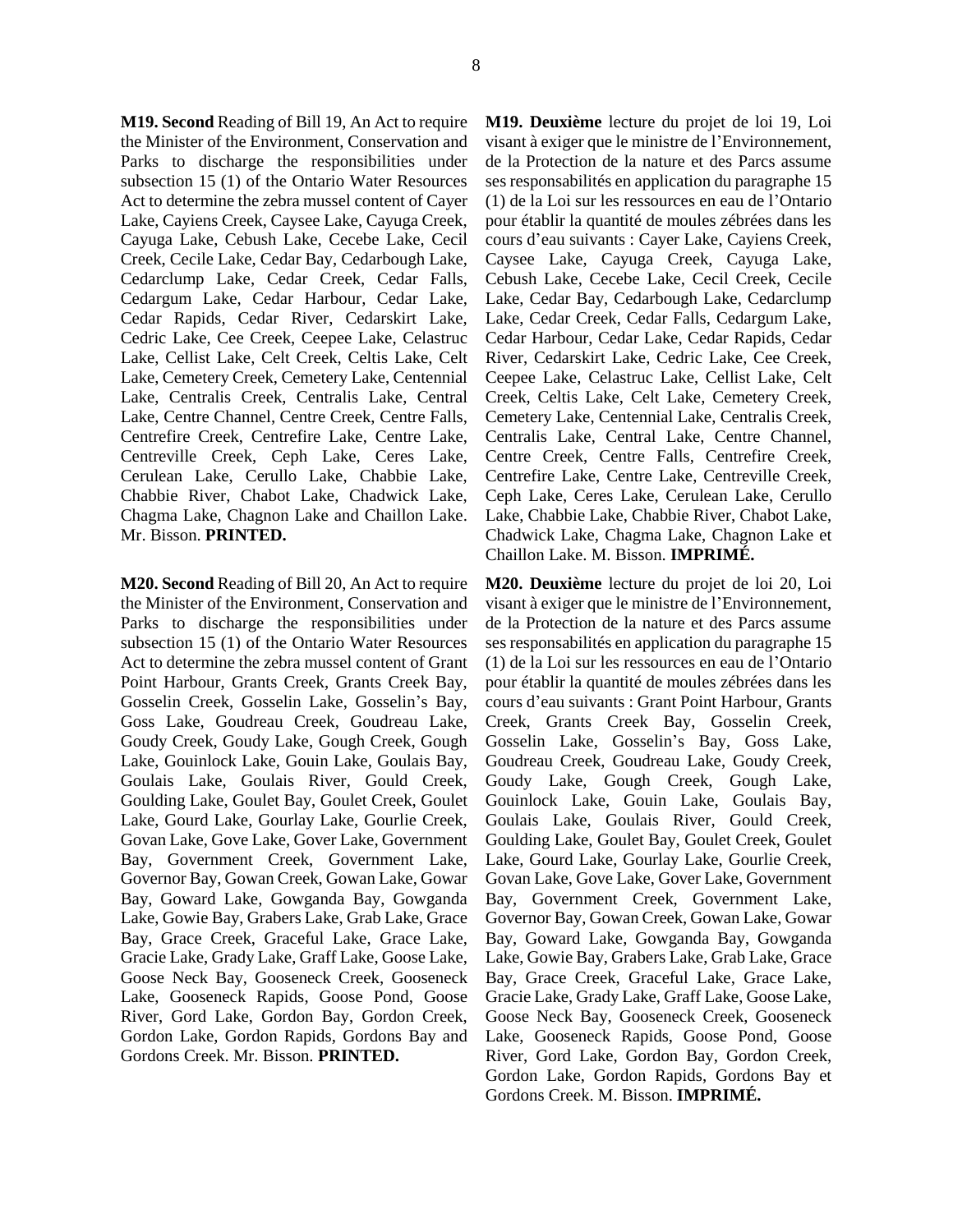**M19. Second** Reading of Bill 19, An Act to require the Minister of the Environment, Conservation and Parks to discharge the responsibilities under subsection 15 (1) of the Ontario Water Resources Act to determine the zebra mussel content of Cayer Lake, Cayiens Creek, Caysee Lake, Cayuga Creek, Cayuga Lake, Cebush Lake, Cecebe Lake, Cecil Creek, Cecile Lake, Cedar Bay, Cedarbough Lake, Cedarclump Lake, Cedar Creek, Cedar Falls, Cedargum Lake, Cedar Harbour, Cedar Lake, Cedar Rapids, Cedar River, Cedarskirt Lake, Cedric Lake, Cee Creek, Ceepee Lake, Celastruc Lake, Cellist Lake, Celt Creek, Celtis Lake, Celt Lake, Cemetery Creek, Cemetery Lake, Centennial Lake, Centralis Creek, Centralis Lake, Central Lake, Centre Channel, Centre Creek, Centre Falls, Centrefire Creek, Centrefire Lake, Centre Lake, Centreville Creek, Ceph Lake, Ceres Lake, Cerulean Lake, Cerullo Lake, Chabbie Lake, Chabbie River, Chabot Lake, Chadwick Lake, Chagma Lake, Chagnon Lake and Chaillon Lake. Mr. Bisson. **PRINTED.** 

**M20. Second** Reading of Bill 20, An Act to require the Minister of the Environment, Conservation and Parks to discharge the responsibilities under subsection 15 (1) of the Ontario Water Resources Act to determine the zebra mussel content of Grant Point Harbour, Grants Creek, Grants Creek Bay, Gosselin Creek, Gosselin Lake, Gosselin's Bay, Goss Lake, Goudreau Creek, Goudreau Lake, Goudy Creek, Goudy Lake, Gough Creek, Gough Lake, Gouinlock Lake, Gouin Lake, Goulais Bay, Goulais Lake, Goulais River, Gould Creek, Goulding Lake, Goulet Bay, Goulet Creek, Goulet Lake, Gourd Lake, Gourlay Lake, Gourlie Creek, Govan Lake, Gove Lake, Gover Lake, Government Bay, Government Creek, Government Lake, Governor Bay, Gowan Creek, Gowan Lake, Gowar Bay, Goward Lake, Gowganda Bay, Gowganda Lake, Gowie Bay, Grabers Lake, Grab Lake, Grace Bay, Grace Creek, Graceful Lake, Grace Lake, Gracie Lake, Grady Lake, Graff Lake, Goose Lake, Goose Neck Bay, Gooseneck Creek, Gooseneck Lake, Gooseneck Rapids, Goose Pond, Goose River, Gord Lake, Gordon Bay, Gordon Creek, Gordon Lake, Gordon Rapids, Gordons Bay and Gordons Creek. Mr. Bisson. **PRINTED.** 

**M19. Deuxième** lecture du projet de loi 19, Loi visant à exiger que le ministre de l'Environnement, de la Protection de la nature et des Parcs assume ses responsabilités en application du paragraphe 15 (1) de la Loi sur les ressources en eau de l'Ontario pour établir la quantité de moules zébrées dans les cours d'eau suivants : Cayer Lake, Cayiens Creek, Caysee Lake, Cayuga Creek, Cayuga Lake, Cebush Lake, Cecebe Lake, Cecil Creek, Cecile Lake, Cedar Bay, Cedarbough Lake, Cedarclump Lake, Cedar Creek, Cedar Falls, Cedargum Lake, Cedar Harbour, Cedar Lake, Cedar Rapids, Cedar River, Cedarskirt Lake, Cedric Lake, Cee Creek, Ceepee Lake, Celastruc Lake, Cellist Lake, Celt Creek, Celtis Lake, Celt Lake, Cemetery Creek, Cemetery Lake, Centennial Lake, Centralis Creek, Centralis Lake, Central Lake, Centre Channel, Centre Creek, Centre Falls, Centrefire Creek, Centrefire Lake, Centre Lake, Centreville Creek, Ceph Lake, Ceres Lake, Cerulean Lake, Cerullo Lake, Chabbie Lake, Chabbie River, Chabot Lake, Chadwick Lake, Chagma Lake, Chagnon Lake et Chaillon Lake. M. Bisson. **IMPRIMÉ.** 

**M20. Deuxième** lecture du projet de loi 20, Loi visant à exiger que le ministre de l'Environnement, de la Protection de la nature et des Parcs assume ses responsabilités en application du paragraphe 15 (1) de la Loi sur les ressources en eau de l'Ontario pour établir la quantité de moules zébrées dans les cours d'eau suivants : Grant Point Harbour, Grants Creek, Grants Creek Bay, Gosselin Creek, Gosselin Lake, Gosselin's Bay, Goss Lake, Goudreau Creek, Goudreau Lake, Goudy Creek, Goudy Lake, Gough Creek, Gough Lake, Gouinlock Lake, Gouin Lake, Goulais Bay, Goulais Lake, Goulais River, Gould Creek, Goulding Lake, Goulet Bay, Goulet Creek, Goulet Lake, Gourd Lake, Gourlay Lake, Gourlie Creek, Govan Lake, Gove Lake, Gover Lake, Government Bay, Government Creek, Government Lake, Governor Bay, Gowan Creek, Gowan Lake, Gowar Bay, Goward Lake, Gowganda Bay, Gowganda Lake, Gowie Bay, Grabers Lake, Grab Lake, Grace Bay, Grace Creek, Graceful Lake, Grace Lake, Gracie Lake, Grady Lake, Graff Lake, Goose Lake, Goose Neck Bay, Gooseneck Creek, Gooseneck Lake, Gooseneck Rapids, Goose Pond, Goose River, Gord Lake, Gordon Bay, Gordon Creek, Gordon Lake, Gordon Rapids, Gordons Bay et Gordons Creek. M. Bisson. **IMPRIMÉ.**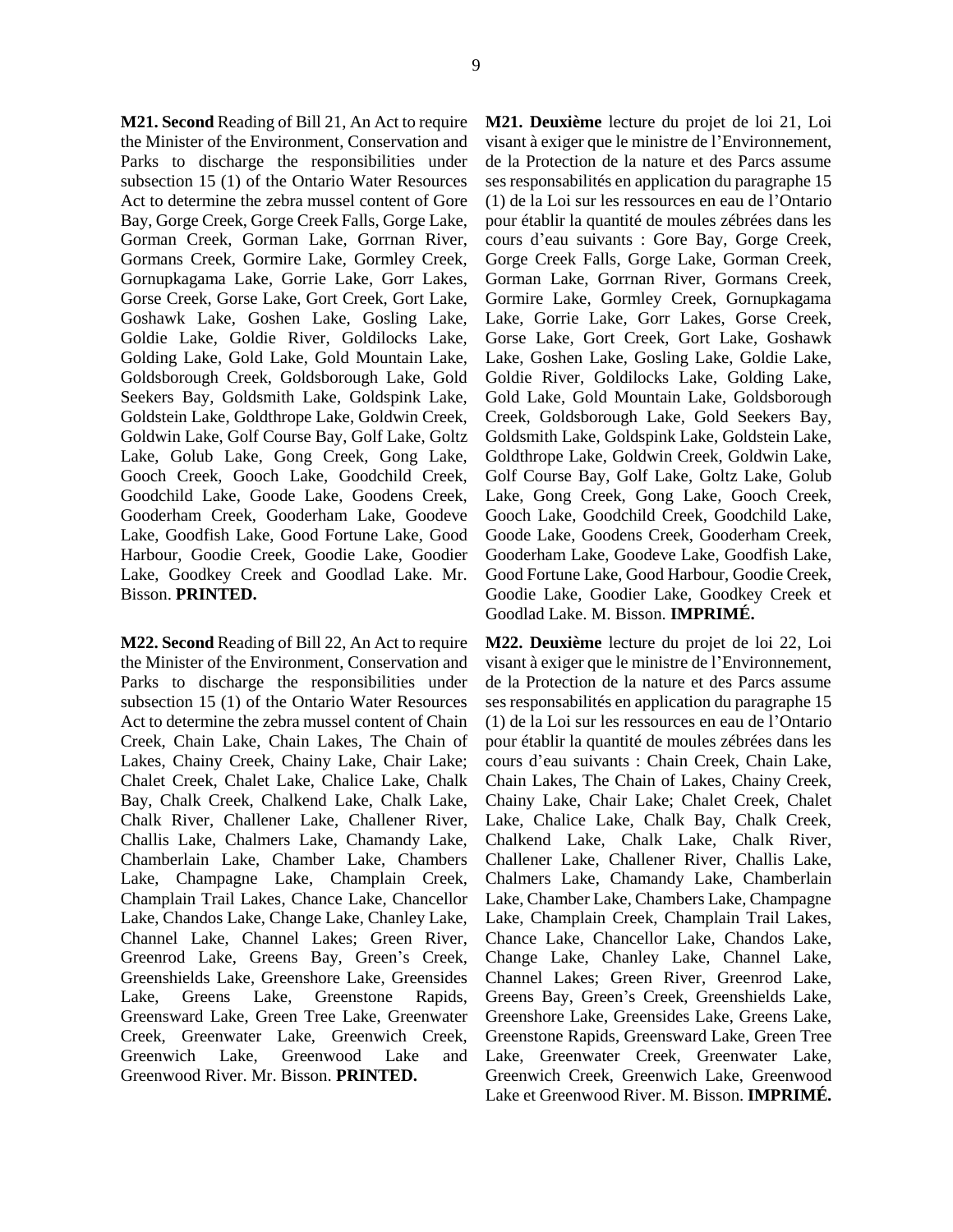**M21. Second** Reading of Bill 21, An Act to require the Minister of the Environment, Conservation and Parks to discharge the responsibilities under subsection 15 (1) of the Ontario Water Resources Act to determine the zebra mussel content of Gore Bay, Gorge Creek, Gorge Creek Falls, Gorge Lake, Gorman Creek, Gorman Lake, Gorrnan River, Gormans Creek, Gormire Lake, Gormley Creek, Gornupkagama Lake, Gorrie Lake, Gorr Lakes, Gorse Creek, Gorse Lake, Gort Creek, Gort Lake, Goshawk Lake, Goshen Lake, Gosling Lake, Goldie Lake, Goldie River, Goldilocks Lake, Golding Lake, Gold Lake, Gold Mountain Lake, Goldsborough Creek, Goldsborough Lake, Gold Seekers Bay, Goldsmith Lake, Goldspink Lake, Goldstein Lake, Goldthrope Lake, Goldwin Creek, Goldwin Lake, Golf Course Bay, Golf Lake, Goltz Lake, Golub Lake, Gong Creek, Gong Lake, Gooch Creek, Gooch Lake, Goodchild Creek, Goodchild Lake, Goode Lake, Goodens Creek, Gooderham Creek, Gooderham Lake, Goodeve Lake, Goodfish Lake, Good Fortune Lake, Good Harbour, Goodie Creek, Goodie Lake, Goodier Lake, Goodkey Creek and Goodlad Lake. Mr. Bisson. **PRINTED.** 

**M22. Second** Reading of Bill 22, An Act to require the Minister of the Environment, Conservation and Parks to discharge the responsibilities under subsection 15 (1) of the Ontario Water Resources Act to determine the zebra mussel content of Chain Creek, Chain Lake, Chain Lakes, The Chain of Lakes, Chainy Creek, Chainy Lake, Chair Lake; Chalet Creek, Chalet Lake, Chalice Lake, Chalk Bay, Chalk Creek, Chalkend Lake, Chalk Lake, Chalk River, Challener Lake, Challener River, Challis Lake, Chalmers Lake, Chamandy Lake, Chamberlain Lake, Chamber Lake, Chambers Lake, Champagne Lake, Champlain Creek, Champlain Trail Lakes, Chance Lake, Chancellor Lake, Chandos Lake, Change Lake, Chanley Lake, Channel Lake, Channel Lakes; Green River, Greenrod Lake, Greens Bay, Green's Creek, Greenshields Lake, Greenshore Lake, Greensides Lake, Greens Lake, Greenstone Rapids, Greensward Lake, Green Tree Lake, Greenwater Creek, Greenwater Lake, Greenwich Creek, Greenwich Lake, Greenwood Lake and Greenwood River. Mr. Bisson. **PRINTED.** 

**M21. Deuxième** lecture du projet de loi 21, Loi visant à exiger que le ministre de l'Environnement, de la Protection de la nature et des Parcs assume ses responsabilités en application du paragraphe 15 (1) de la Loi sur les ressources en eau de l'Ontario pour établir la quantité de moules zébrées dans les cours d'eau suivants : Gore Bay, Gorge Creek, Gorge Creek Falls, Gorge Lake, Gorman Creek, Gorman Lake, Gorrnan River, Gormans Creek, Gormire Lake, Gormley Creek, Gornupkagama Lake, Gorrie Lake, Gorr Lakes, Gorse Creek, Gorse Lake, Gort Creek, Gort Lake, Goshawk Lake, Goshen Lake, Gosling Lake, Goldie Lake, Goldie River, Goldilocks Lake, Golding Lake, Gold Lake, Gold Mountain Lake, Goldsborough Creek, Goldsborough Lake, Gold Seekers Bay, Goldsmith Lake, Goldspink Lake, Goldstein Lake, Goldthrope Lake, Goldwin Creek, Goldwin Lake, Golf Course Bay, Golf Lake, Goltz Lake, Golub Lake, Gong Creek, Gong Lake, Gooch Creek, Gooch Lake, Goodchild Creek, Goodchild Lake, Goode Lake, Goodens Creek, Gooderham Creek, Gooderham Lake, Goodeve Lake, Goodfish Lake, Good Fortune Lake, Good Harbour, Goodie Creek, Goodie Lake, Goodier Lake, Goodkey Creek et Goodlad Lake. M. Bisson. **IMPRIMÉ.** 

**M22. Deuxième** lecture du projet de loi 22, Loi visant à exiger que le ministre de l'Environnement, de la Protection de la nature et des Parcs assume ses responsabilités en application du paragraphe 15 (1) de la Loi sur les ressources en eau de l'Ontario pour établir la quantité de moules zébrées dans les cours d'eau suivants : Chain Creek, Chain Lake, Chain Lakes, The Chain of Lakes, Chainy Creek, Chainy Lake, Chair Lake; Chalet Creek, Chalet Lake, Chalice Lake, Chalk Bay, Chalk Creek, Chalkend Lake, Chalk Lake, Chalk River, Challener Lake, Challener River, Challis Lake, Chalmers Lake, Chamandy Lake, Chamberlain Lake, Chamber Lake, Chambers Lake, Champagne Lake, Champlain Creek, Champlain Trail Lakes, Chance Lake, Chancellor Lake, Chandos Lake, Change Lake, Chanley Lake, Channel Lake, Channel Lakes; Green River, Greenrod Lake, Greens Bay, Green's Creek, Greenshields Lake, Greenshore Lake, Greensides Lake, Greens Lake, Greenstone Rapids, Greensward Lake, Green Tree Lake, Greenwater Creek, Greenwater Lake, Greenwich Creek, Greenwich Lake, Greenwood Lake et Greenwood River. M. Bisson. **IMPRIMÉ.**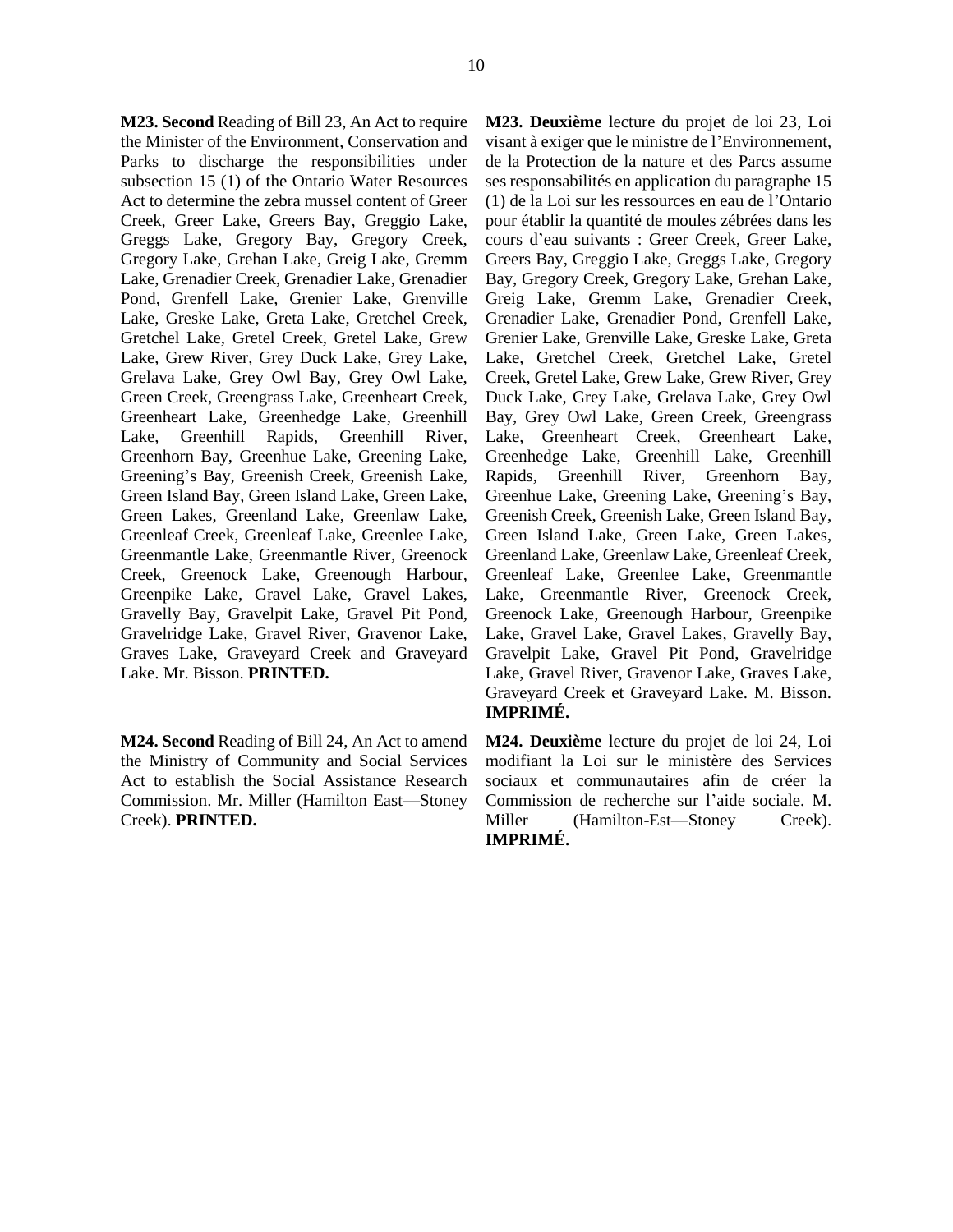**M23. Second** Reading of Bill 23, An Act to require the Minister of the Environment, Conservation and Parks to discharge the responsibilities under subsection 15 (1) of the Ontario Water Resources Act to determine the zebra mussel content of Greer Creek, Greer Lake, Greers Bay, Greggio Lake, Greggs Lake, Gregory Bay, Gregory Creek, Gregory Lake, Grehan Lake, Greig Lake, Gremm Lake, Grenadier Creek, Grenadier Lake, Grenadier Pond, Grenfell Lake, Grenier Lake, Grenville Lake, Greske Lake, Greta Lake, Gretchel Creek, Gretchel Lake, Gretel Creek, Gretel Lake, Grew Lake, Grew River, Grey Duck Lake, Grey Lake, Grelava Lake, Grey Owl Bay, Grey Owl Lake, Green Creek, Greengrass Lake, Greenheart Creek, Greenheart Lake, Greenhedge Lake, Greenhill Lake, Greenhill Rapids, Greenhill River, Greenhorn Bay, Greenhue Lake, Greening Lake, Greening's Bay, Greenish Creek, Greenish Lake, Green Island Bay, Green Island Lake, Green Lake, Green Lakes, Greenland Lake, Greenlaw Lake, Greenleaf Creek, Greenleaf Lake, Greenlee Lake, Greenmantle Lake, Greenmantle River, Greenock Creek, Greenock Lake, Greenough Harbour, Greenpike Lake, Gravel Lake, Gravel Lakes, Gravelly Bay, Gravelpit Lake, Gravel Pit Pond, Gravelridge Lake, Gravel River, Gravenor Lake, Graves Lake, Graveyard Creek and Graveyard Lake. Mr. Bisson. **PRINTED.** 

**M24. Second** Reading of Bill 24, An Act to amend the Ministry of Community and Social Services Act to establish the Social Assistance Research Commission. Mr. Miller (Hamilton East—Stoney Creek). **PRINTED.** 

**M23. Deuxième** lecture du projet de loi 23, Loi visant à exiger que le ministre de l'Environnement, de la Protection de la nature et des Parcs assume ses responsabilités en application du paragraphe 15 (1) de la Loi sur les ressources en eau de l'Ontario pour établir la quantité de moules zébrées dans les cours d'eau suivants : Greer Creek, Greer Lake, Greers Bay, Greggio Lake, Greggs Lake, Gregory Bay, Gregory Creek, Gregory Lake, Grehan Lake, Greig Lake, Gremm Lake, Grenadier Creek, Grenadier Lake, Grenadier Pond, Grenfell Lake, Grenier Lake, Grenville Lake, Greske Lake, Greta Lake, Gretchel Creek, Gretchel Lake, Gretel Creek, Gretel Lake, Grew Lake, Grew River, Grey Duck Lake, Grey Lake, Grelava Lake, Grey Owl Bay, Grey Owl Lake, Green Creek, Greengrass Lake, Greenheart Creek, Greenheart Lake, Greenhedge Lake, Greenhill Lake, Greenhill Rapids, Greenhill River, Greenhorn Bay, Greenhue Lake, Greening Lake, Greening's Bay, Greenish Creek, Greenish Lake, Green Island Bay, Green Island Lake, Green Lake, Green Lakes, Greenland Lake, Greenlaw Lake, Greenleaf Creek, Greenleaf Lake, Greenlee Lake, Greenmantle Lake, Greenmantle River, Greenock Creek, Greenock Lake, Greenough Harbour, Greenpike Lake, Gravel Lake, Gravel Lakes, Gravelly Bay, Gravelpit Lake, Gravel Pit Pond, Gravelridge Lake, Gravel River, Gravenor Lake, Graves Lake, Graveyard Creek et Graveyard Lake. M. Bisson. **IMPRIMÉ.** 

**M24. Deuxième** lecture du projet de loi 24, Loi modifiant la Loi sur le ministère des Services sociaux et communautaires afin de créer la Commission de recherche sur l'aide sociale. M. Miller (Hamilton-Est—Stoney Creek). **IMPRIMÉ.**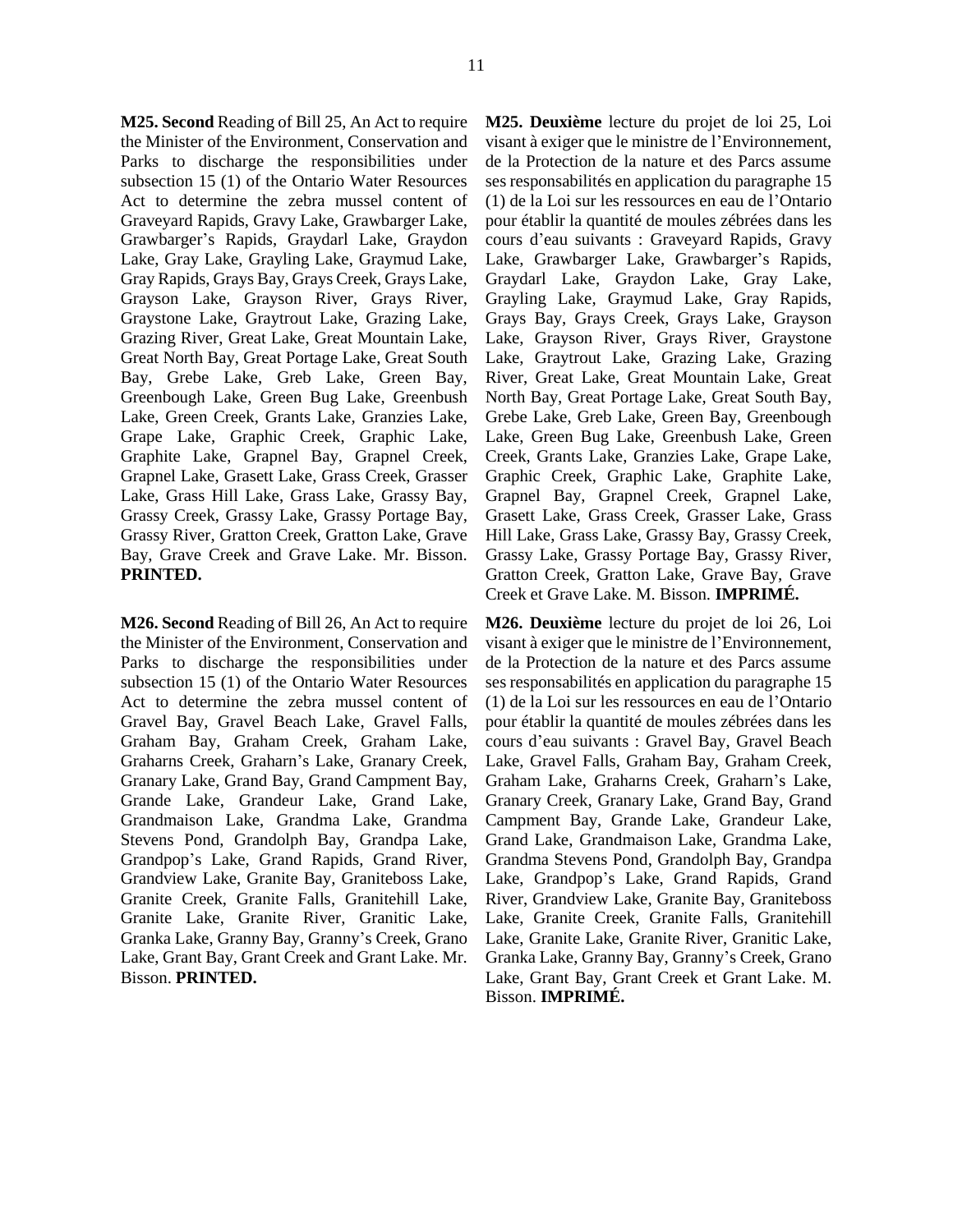**M25. Second** Reading of Bill 25, An Act to require the Minister of the Environment, Conservation and Parks to discharge the responsibilities under subsection 15 (1) of the Ontario Water Resources Act to determine the zebra mussel content of Graveyard Rapids, Gravy Lake, Grawbarger Lake, Grawbarger's Rapids, Graydarl Lake, Graydon Lake, Gray Lake, Grayling Lake, Graymud Lake, Gray Rapids, Grays Bay, Grays Creek, Grays Lake, Grayson Lake, Grayson River, Grays River, Graystone Lake, Graytrout Lake, Grazing Lake, Grazing River, Great Lake, Great Mountain Lake, Great North Bay, Great Portage Lake, Great South Bay, Grebe Lake, Greb Lake, Green Bay, Greenbough Lake, Green Bug Lake, Greenbush Lake, Green Creek, Grants Lake, Granzies Lake, Grape Lake, Graphic Creek, Graphic Lake, Graphite Lake, Grapnel Bay, Grapnel Creek, Grapnel Lake, Grasett Lake, Grass Creek, Grasser Lake, Grass Hill Lake, Grass Lake, Grassy Bay, Grassy Creek, Grassy Lake, Grassy Portage Bay, Grassy River, Gratton Creek, Gratton Lake, Grave Bay, Grave Creek and Grave Lake. Mr. Bisson. **PRINTED.** 

**M26. Second** Reading of Bill 26, An Act to require the Minister of the Environment, Conservation and Parks to discharge the responsibilities under subsection 15 (1) of the Ontario Water Resources Act to determine the zebra mussel content of Gravel Bay, Gravel Beach Lake, Gravel Falls, Graham Bay, Graham Creek, Graham Lake, Graharns Creek, Graharn's Lake, Granary Creek, Granary Lake, Grand Bay, Grand Campment Bay, Grande Lake, Grandeur Lake, Grand Lake, Grandmaison Lake, Grandma Lake, Grandma Stevens Pond, Grandolph Bay, Grandpa Lake, Grandpop's Lake, Grand Rapids, Grand River, Grandview Lake, Granite Bay, Graniteboss Lake, Granite Creek, Granite Falls, Granitehill Lake, Granite Lake, Granite River, Granitic Lake, Granka Lake, Granny Bay, Granny's Creek, Grano Lake, Grant Bay, Grant Creek and Grant Lake. Mr. Bisson. **PRINTED.** 

**M25. Deuxième** lecture du projet de loi 25, Loi visant à exiger que le ministre de l'Environnement, de la Protection de la nature et des Parcs assume ses responsabilités en application du paragraphe 15 (1) de la Loi sur les ressources en eau de l'Ontario pour établir la quantité de moules zébrées dans les cours d'eau suivants : Graveyard Rapids, Gravy Lake, Grawbarger Lake, Grawbarger's Rapids, Graydarl Lake, Graydon Lake, Gray Lake, Grayling Lake, Graymud Lake, Gray Rapids, Grays Bay, Grays Creek, Grays Lake, Grayson Lake, Grayson River, Grays River, Graystone Lake, Graytrout Lake, Grazing Lake, Grazing River, Great Lake, Great Mountain Lake, Great North Bay, Great Portage Lake, Great South Bay, Grebe Lake, Greb Lake, Green Bay, Greenbough Lake, Green Bug Lake, Greenbush Lake, Green Creek, Grants Lake, Granzies Lake, Grape Lake, Graphic Creek, Graphic Lake, Graphite Lake, Grapnel Bay, Grapnel Creek, Grapnel Lake, Grasett Lake, Grass Creek, Grasser Lake, Grass Hill Lake, Grass Lake, Grassy Bay, Grassy Creek, Grassy Lake, Grassy Portage Bay, Grassy River, Gratton Creek, Gratton Lake, Grave Bay, Grave Creek et Grave Lake. M. Bisson. **IMPRIMÉ.** 

**M26. Deuxième** lecture du projet de loi 26, Loi visant à exiger que le ministre de l'Environnement, de la Protection de la nature et des Parcs assume ses responsabilités en application du paragraphe 15 (1) de la Loi sur les ressources en eau de l'Ontario pour établir la quantité de moules zébrées dans les cours d'eau suivants : Gravel Bay, Gravel Beach Lake, Gravel Falls, Graham Bay, Graham Creek, Graham Lake, Graharns Creek, Graharn's Lake, Granary Creek, Granary Lake, Grand Bay, Grand Campment Bay, Grande Lake, Grandeur Lake, Grand Lake, Grandmaison Lake, Grandma Lake, Grandma Stevens Pond, Grandolph Bay, Grandpa Lake, Grandpop's Lake, Grand Rapids, Grand River, Grandview Lake, Granite Bay, Graniteboss Lake, Granite Creek, Granite Falls, Granitehill Lake, Granite Lake, Granite River, Granitic Lake, Granka Lake, Granny Bay, Granny's Creek, Grano Lake, Grant Bay, Grant Creek et Grant Lake. M. Bisson. **IMPRIMÉ.**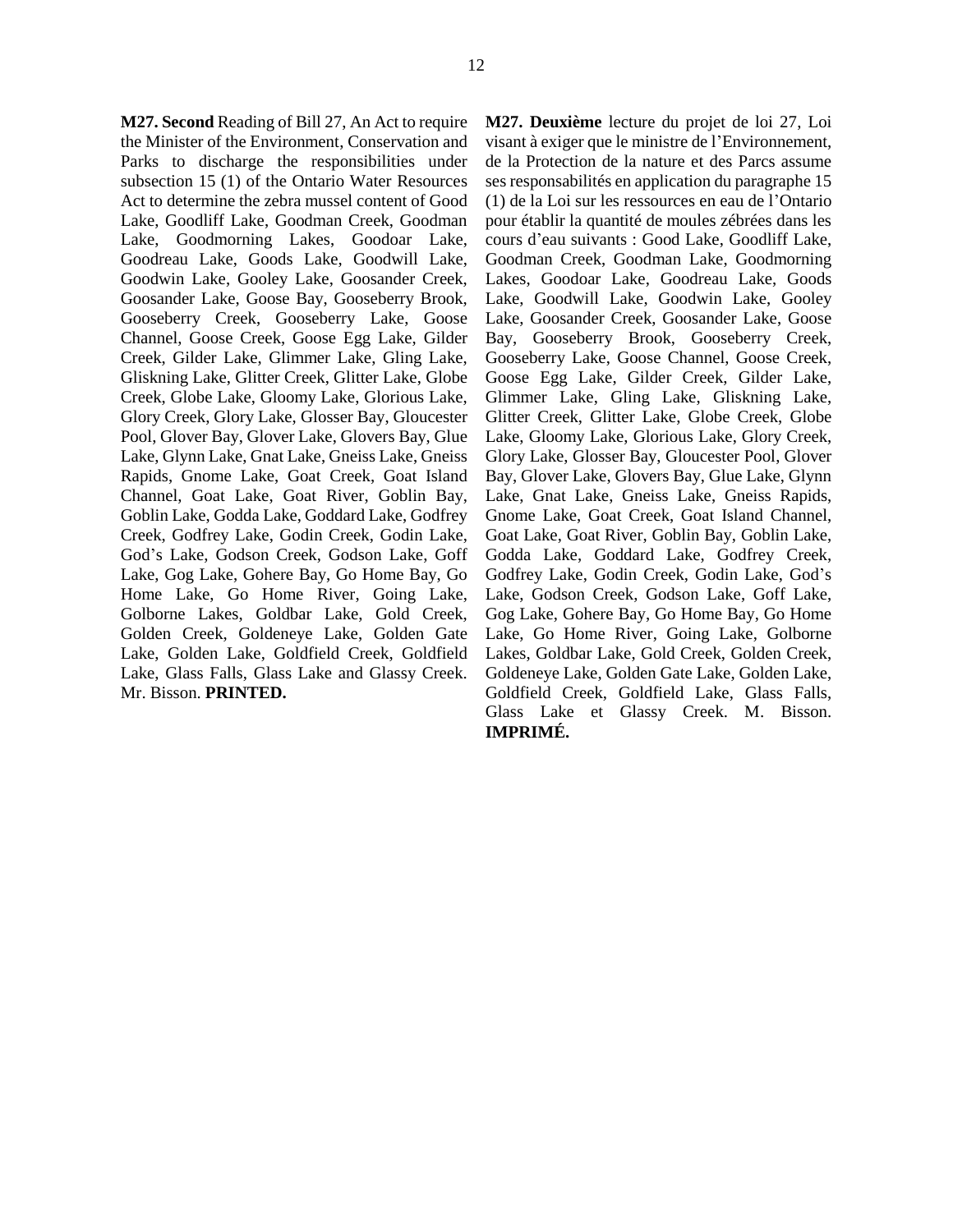**M27. Second** Reading of Bill 27, An Act to require the Minister of the Environment, Conservation and Parks to discharge the responsibilities under subsection 15 (1) of the Ontario Water Resources Act to determine the zebra mussel content of Good Lake, Goodliff Lake, Goodman Creek, Goodman Lake, Goodmorning Lakes, Goodoar Lake, Goodreau Lake, Goods Lake, Goodwill Lake, Goodwin Lake, Gooley Lake, Goosander Creek, Goosander Lake, Goose Bay, Gooseberry Brook, Gooseberry Creek, Gooseberry Lake, Goose Channel, Goose Creek, Goose Egg Lake, Gilder Creek, Gilder Lake, Glimmer Lake, Gling Lake, Gliskning Lake, Glitter Creek, Glitter Lake, Globe Creek, Globe Lake, Gloomy Lake, Glorious Lake, Glory Creek, Glory Lake, Glosser Bay, Gloucester Pool, Glover Bay, Glover Lake, Glovers Bay, Glue Lake, Glynn Lake, Gnat Lake, Gneiss Lake, Gneiss Rapids, Gnome Lake, Goat Creek, Goat Island Channel, Goat Lake, Goat River, Goblin Bay, Goblin Lake, Godda Lake, Goddard Lake, Godfrey Creek, Godfrey Lake, Godin Creek, Godin Lake, God's Lake, Godson Creek, Godson Lake, Goff Lake, Gog Lake, Gohere Bay, Go Home Bay, Go Home Lake, Go Home River, Going Lake, Golborne Lakes, Goldbar Lake, Gold Creek, Golden Creek, Goldeneye Lake, Golden Gate Lake, Golden Lake, Goldfield Creek, Goldfield Lake, Glass Falls, Glass Lake and Glassy Creek. Mr. Bisson. **PRINTED.** 

**M27. Deuxième** lecture du projet de loi 27, Loi visant à exiger que le ministre de l'Environnement, de la Protection de la nature et des Parcs assume ses responsabilités en application du paragraphe 15 (1) de la Loi sur les ressources en eau de l'Ontario pour établir la quantité de moules zébrées dans les cours d'eau suivants : Good Lake, Goodliff Lake, Goodman Creek, Goodman Lake, Goodmorning Lakes, Goodoar Lake, Goodreau Lake, Goods Lake, Goodwill Lake, Goodwin Lake, Gooley Lake, Goosander Creek, Goosander Lake, Goose Bay, Gooseberry Brook, Gooseberry Creek, Gooseberry Lake, Goose Channel, Goose Creek, Goose Egg Lake, Gilder Creek, Gilder Lake, Glimmer Lake, Gling Lake, Gliskning Lake, Glitter Creek, Glitter Lake, Globe Creek, Globe Lake, Gloomy Lake, Glorious Lake, Glory Creek, Glory Lake, Glosser Bay, Gloucester Pool, Glover Bay, Glover Lake, Glovers Bay, Glue Lake, Glynn Lake, Gnat Lake, Gneiss Lake, Gneiss Rapids, Gnome Lake, Goat Creek, Goat Island Channel, Goat Lake, Goat River, Goblin Bay, Goblin Lake, Godda Lake, Goddard Lake, Godfrey Creek, Godfrey Lake, Godin Creek, Godin Lake, God's Lake, Godson Creek, Godson Lake, Goff Lake, Gog Lake, Gohere Bay, Go Home Bay, Go Home Lake, Go Home River, Going Lake, Golborne Lakes, Goldbar Lake, Gold Creek, Golden Creek, Goldeneye Lake, Golden Gate Lake, Golden Lake, Goldfield Creek, Goldfield Lake, Glass Falls, Glass Lake et Glassy Creek. M. Bisson. **IMPRIMÉ.**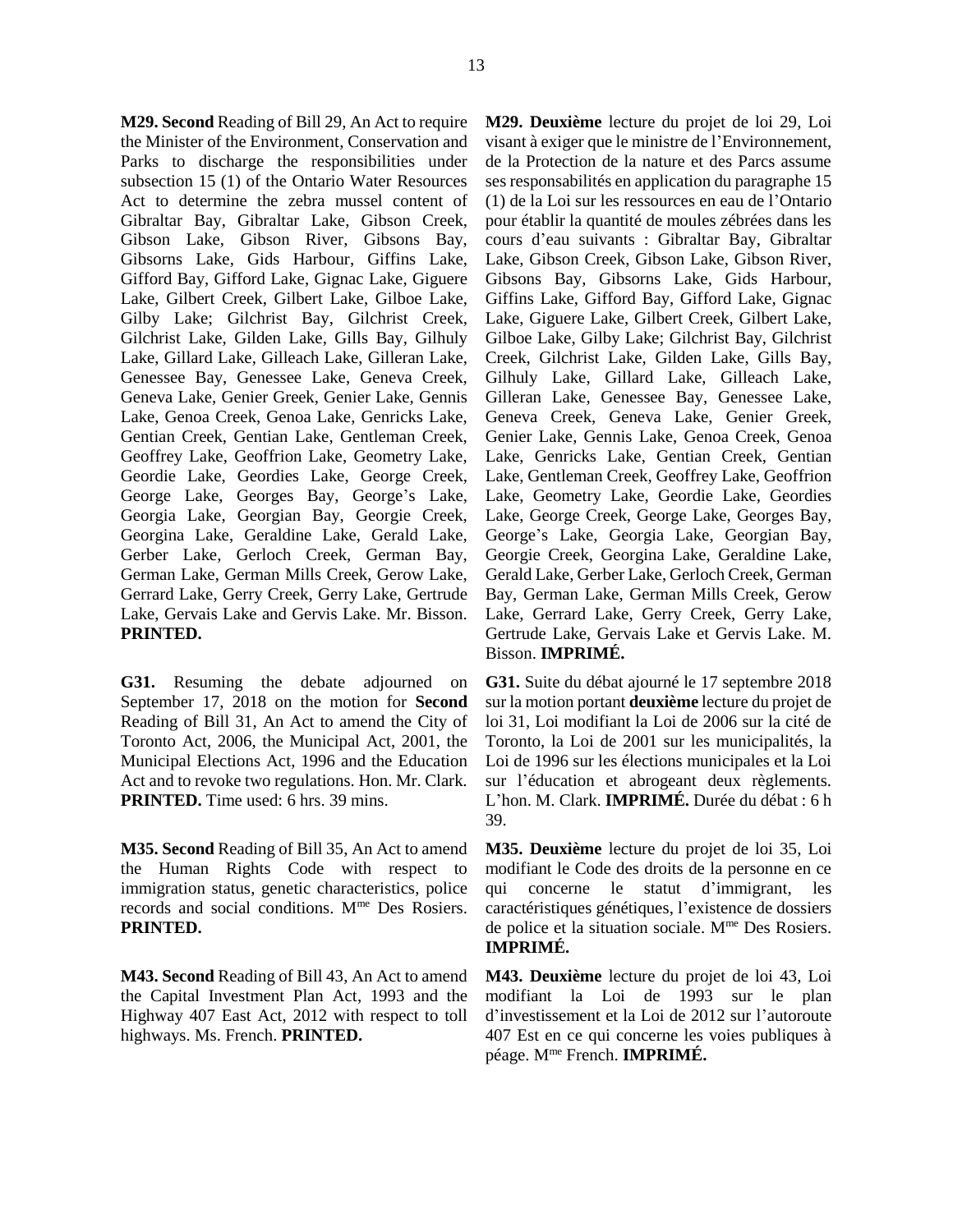**M29. Second** Reading of Bill 29, An Act to require the Minister of the Environment, Conservation and Parks to discharge the responsibilities under subsection 15 (1) of the Ontario Water Resources Act to determine the zebra mussel content of Gibraltar Bay, Gibraltar Lake, Gibson Creek, Gibson Lake, Gibson River, Gibsons Bay, Gibsorns Lake, Gids Harbour, Giffins Lake, Gifford Bay, Gifford Lake, Gignac Lake, Giguere Lake, Gilbert Creek, Gilbert Lake, Gilboe Lake, Gilby Lake; Gilchrist Bay, Gilchrist Creek, Gilchrist Lake, Gilden Lake, Gills Bay, Gilhuly Lake, Gillard Lake, Gilleach Lake, Gilleran Lake, Genessee Bay, Genessee Lake, Geneva Creek, Geneva Lake, Genier Greek, Genier Lake, Gennis Lake, Genoa Creek, Genoa Lake, Genricks Lake, Gentian Creek, Gentian Lake, Gentleman Creek, Geoffrey Lake, Geoffrion Lake, Geometry Lake, Geordie Lake, Geordies Lake, George Creek, George Lake, Georges Bay, George's Lake, Georgia Lake, Georgian Bay, Georgie Creek, Georgina Lake, Geraldine Lake, Gerald Lake, Gerber Lake, Gerloch Creek, German Bay, German Lake, German Mills Creek, Gerow Lake, Gerrard Lake, Gerry Creek, Gerry Lake, Gertrude Lake, Gervais Lake and Gervis Lake. Mr. Bisson. **PRINTED.** 

**G31.** Resuming the debate adjourned on September 17, 2018 on the motion for **Second** Reading of Bill 31, An Act to amend the City of Toronto Act, 2006, the Municipal Act, 2001, the Municipal Elections Act, 1996 and the Education Act and to revoke two regulations. Hon. Mr. Clark. **PRINTED.** Time used: 6 hrs. 39 mins.

**M35. Second** Reading of Bill 35, An Act to amend the Human Rights Code with respect to immigration status, genetic characteristics, police records and social conditions. Mme Des Rosiers. **PRINTED.** 

**M43. Second** Reading of Bill 43, An Act to amend the Capital Investment Plan Act, 1993 and the Highway 407 East Act, 2012 with respect to toll highways. Ms. French. **PRINTED.** 

**M29. Deuxième** lecture du projet de loi 29, Loi visant à exiger que le ministre de l'Environnement, de la Protection de la nature et des Parcs assume ses responsabilités en application du paragraphe 15 (1) de la Loi sur les ressources en eau de l'Ontario pour établir la quantité de moules zébrées dans les cours d'eau suivants : Gibraltar Bay, Gibraltar Lake, Gibson Creek, Gibson Lake, Gibson River, Gibsons Bay, Gibsorns Lake, Gids Harbour, Giffins Lake, Gifford Bay, Gifford Lake, Gignac Lake, Giguere Lake, Gilbert Creek, Gilbert Lake, Gilboe Lake, Gilby Lake; Gilchrist Bay, Gilchrist Creek, Gilchrist Lake, Gilden Lake, Gills Bay, Gilhuly Lake, Gillard Lake, Gilleach Lake, Gilleran Lake, Genessee Bay, Genessee Lake, Geneva Creek, Geneva Lake, Genier Greek, Genier Lake, Gennis Lake, Genoa Creek, Genoa Lake, Genricks Lake, Gentian Creek, Gentian Lake, Gentleman Creek, Geoffrey Lake, Geoffrion Lake, Geometry Lake, Geordie Lake, Geordies Lake, George Creek, George Lake, Georges Bay, George's Lake, Georgia Lake, Georgian Bay, Georgie Creek, Georgina Lake, Geraldine Lake, Gerald Lake, Gerber Lake, Gerloch Creek, German Bay, German Lake, German Mills Creek, Gerow Lake, Gerrard Lake, Gerry Creek, Gerry Lake, Gertrude Lake, Gervais Lake et Gervis Lake. M. Bisson. **IMPRIMÉ.** 

**G31.** Suite du débat ajourné le 17 septembre 2018 sur la motion portant **deuxième** lecture du projet de loi 31, Loi modifiant la Loi de 2006 sur la cité de Toronto, la Loi de 2001 sur les municipalités, la Loi de 1996 sur les élections municipales et la Loi sur l'éducation et abrogeant deux règlements. L'hon. M. Clark. **IMPRIMÉ.** Durée du débat : 6 h 39.

**M35. Deuxième** lecture du projet de loi 35, Loi modifiant le Code des droits de la personne en ce qui concerne le statut d'immigrant, les caractéristiques génétiques, l'existence de dossiers de police et la situation sociale. Mme Des Rosiers. **IMPRIMÉ.** 

**M43. Deuxième** lecture du projet de loi 43, Loi modifiant la Loi de 1993 sur le plan d'investissement et la Loi de 2012 sur l'autoroute 407 Est en ce qui concerne les voies publiques à péage. Mme French. **IMPRIMÉ.**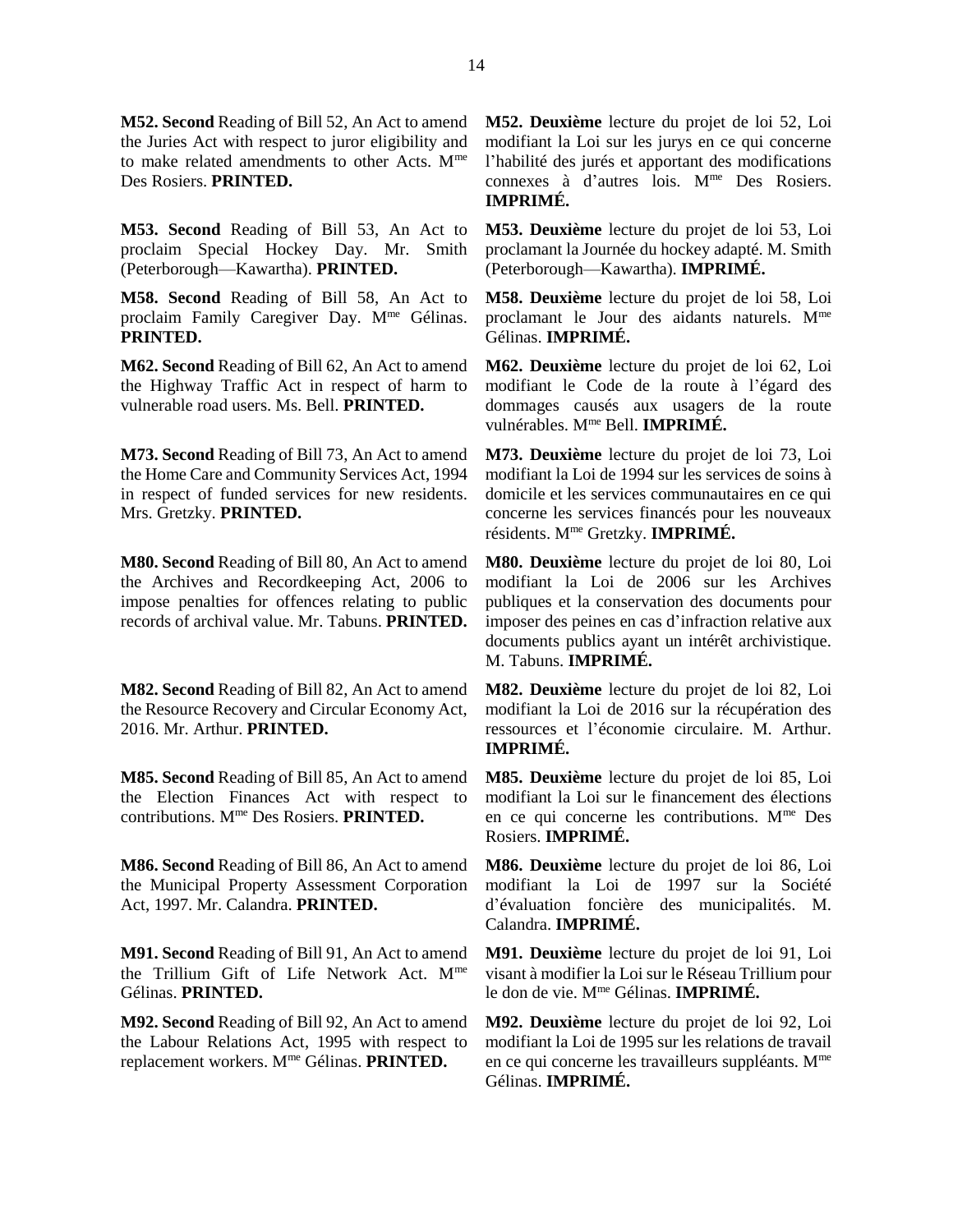**M52. Second** Reading of Bill 52, An Act to amend the Juries Act with respect to juror eligibility and to make related amendments to other Acts.  $M<sup>me</sup>$ Des Rosiers. **PRINTED.** 

**M53. Second** Reading of Bill 53, An Act to proclaim Special Hockey Day. Mr. Smith (Peterborough—Kawartha). **PRINTED.** 

**M58. Second** Reading of Bill 58, An Act to proclaim Family Caregiver Day. Mme Gélinas. **PRINTED.** 

**M62. Second** Reading of Bill 62, An Act to amend the Highway Traffic Act in respect of harm to vulnerable road users. Ms. Bell. **PRINTED.** 

**M73. Second** Reading of Bill 73, An Act to amend the Home Care and Community Services Act, 1994 in respect of funded services for new residents. Mrs. Gretzky. **PRINTED.** 

**M80. Second** Reading of Bill 80, An Act to amend the Archives and Recordkeeping Act, 2006 to impose penalties for offences relating to public records of archival value. Mr. Tabuns. **PRINTED.** 

**M82. Second** Reading of Bill 82, An Act to amend the Resource Recovery and Circular Economy Act, 2016. Mr. Arthur. **PRINTED.** 

**M85. Second** Reading of Bill 85, An Act to amend the Election Finances Act with respect to contributions. Mme Des Rosiers. **PRINTED.** 

**M86. Second** Reading of Bill 86, An Act to amend the Municipal Property Assessment Corporation Act, 1997. Mr. Calandra. **PRINTED.** 

**M91. Second** Reading of Bill 91, An Act to amend the Trillium Gift of Life Network Act. Mme Gélinas. **PRINTED.** 

**M92. Second** Reading of Bill 92, An Act to amend the Labour Relations Act, 1995 with respect to replacement workers. Mme Gélinas. **PRINTED.** 

**M52. Deuxième** lecture du projet de loi 52, Loi modifiant la Loi sur les jurys en ce qui concerne l'habilité des jurés et apportant des modifications connexes à d'autres lois. Mme Des Rosiers. **IMPRIMÉ.** 

**M53. Deuxième** lecture du projet de loi 53, Loi proclamant la Journée du hockey adapté. M. Smith (Peterborough—Kawartha). **IMPRIMÉ.** 

**M58. Deuxième** lecture du projet de loi 58, Loi proclamant le Jour des aidants naturels. Mme Gélinas. **IMPRIMÉ.** 

**M62. Deuxième** lecture du projet de loi 62, Loi modifiant le Code de la route à l'égard des dommages causés aux usagers de la route vulnérables. Mme Bell. **IMPRIMÉ.** 

**M73. Deuxième** lecture du projet de loi 73, Loi modifiant la Loi de 1994 sur les services de soins à domicile et les services communautaires en ce qui concerne les services financés pour les nouveaux résidents. Mme Gretzky. **IMPRIMÉ.** 

**M80. Deuxième** lecture du projet de loi 80, Loi modifiant la Loi de 2006 sur les Archives publiques et la conservation des documents pour imposer des peines en cas d'infraction relative aux documents publics ayant un intérêt archivistique. M. Tabuns. **IMPRIMÉ.** 

**M82. Deuxième** lecture du projet de loi 82, Loi modifiant la Loi de 2016 sur la récupération des ressources et l'économie circulaire. M. Arthur. **IMPRIMÉ.** 

**M85. Deuxième** lecture du projet de loi 85, Loi modifiant la Loi sur le financement des élections en ce qui concerne les contributions. Mme Des Rosiers. **IMPRIMÉ.** 

**M86. Deuxième** lecture du projet de loi 86, Loi modifiant la Loi de 1997 sur la Société d'évaluation foncière des municipalités. M. Calandra. **IMPRIMÉ.** 

**M91. Deuxième** lecture du projet de loi 91, Loi visant à modifier la Loi sur le Réseau Trillium pour le don de vie. Mme Gélinas. **IMPRIMÉ.** 

**M92. Deuxième** lecture du projet de loi 92, Loi modifiant la Loi de 1995 sur les relations de travail en ce qui concerne les travailleurs suppléants. M<sup>me</sup> Gélinas. **IMPRIMÉ.**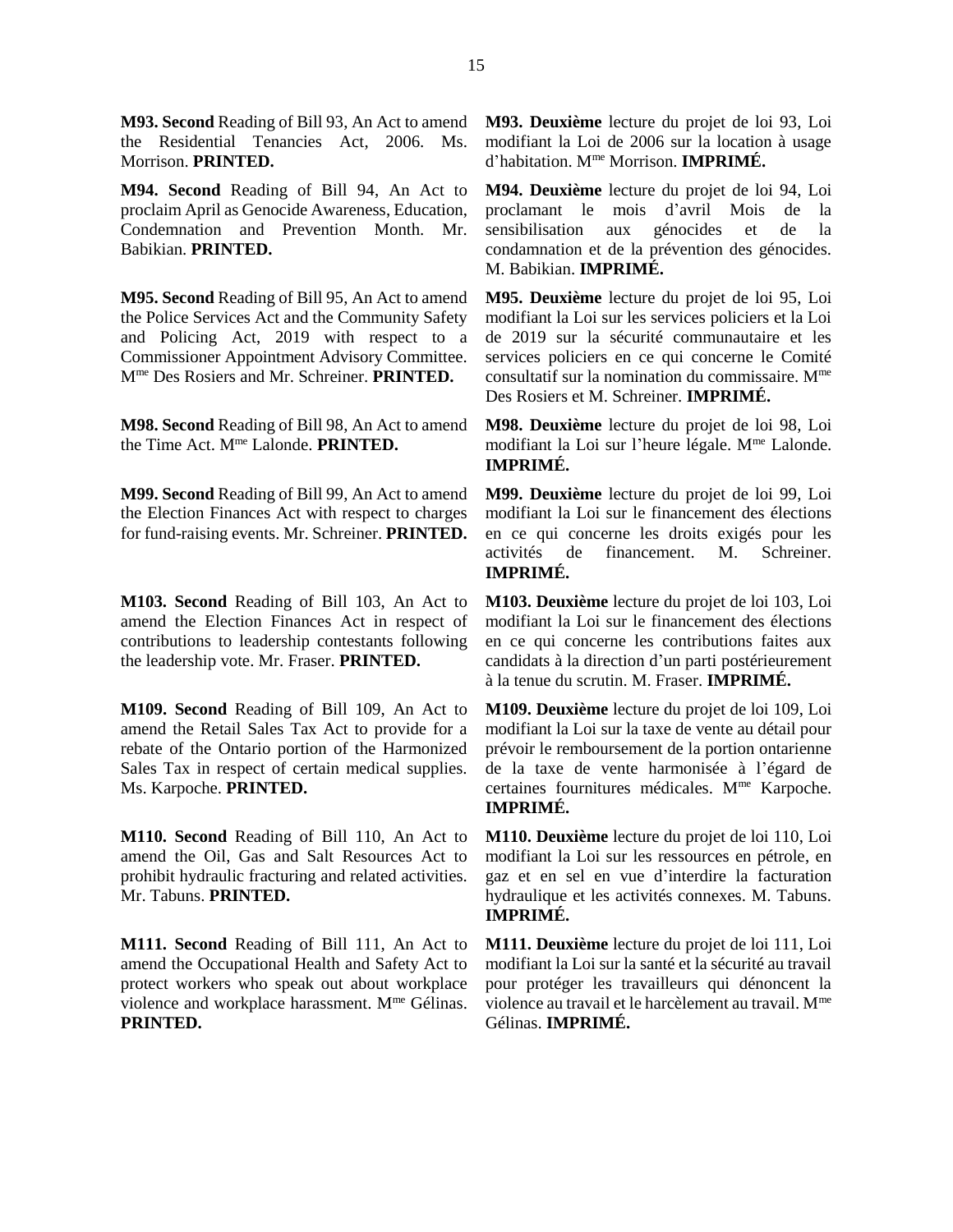**M93. Second** Reading of Bill 93, An Act to amend the Residential Tenancies Act, 2006. Ms. Morrison. **PRINTED.** 

**M94. Second** Reading of Bill 94, An Act to proclaim April as Genocide Awareness, Education, Condemnation and Prevention Month. Mr. Babikian. **PRINTED.** 

**M95. Second** Reading of Bill 95, An Act to amend the Police Services Act and the Community Safety and Policing Act, 2019 with respect to a Commissioner Appointment Advisory Committee. Mme Des Rosiers and Mr. Schreiner. **PRINTED.** 

**M98. Second** Reading of Bill 98, An Act to amend the Time Act. Mme Lalonde. **PRINTED.** 

**M99. Second** Reading of Bill 99, An Act to amend the Election Finances Act with respect to charges for fund-raising events. Mr. Schreiner. **PRINTED.** 

**M103. Second** Reading of Bill 103, An Act to amend the Election Finances Act in respect of contributions to leadership contestants following the leadership vote. Mr. Fraser. **PRINTED.** 

**M109. Second** Reading of Bill 109, An Act to amend the Retail Sales Tax Act to provide for a rebate of the Ontario portion of the Harmonized Sales Tax in respect of certain medical supplies. Ms. Karpoche. **PRINTED.** 

**M110. Second** Reading of Bill 110, An Act to amend the Oil, Gas and Salt Resources Act to prohibit hydraulic fracturing and related activities. Mr. Tabuns. **PRINTED.** 

**M111. Second** Reading of Bill 111, An Act to amend the Occupational Health and Safety Act to protect workers who speak out about workplace violence and workplace harassment. M<sup>me</sup> Gélinas. **PRINTED.** 

**M93. Deuxième** lecture du projet de loi 93, Loi modifiant la Loi de 2006 sur la location à usage d'habitation. Mme Morrison. **IMPRIMÉ.** 

**M94. Deuxième** lecture du projet de loi 94, Loi proclamant le mois d'avril Mois de la sensibilisation aux génocides et de la condamnation et de la prévention des génocides. M. Babikian. **IMPRIMÉ.** 

**M95. Deuxième** lecture du projet de loi 95, Loi modifiant la Loi sur les services policiers et la Loi de 2019 sur la sécurité communautaire et les services policiers en ce qui concerne le Comité consultatif sur la nomination du commissaire. Mme Des Rosiers et M. Schreiner. **IMPRIMÉ.** 

**M98. Deuxième** lecture du projet de loi 98, Loi modifiant la Loi sur l'heure légale. M<sup>me</sup> Lalonde. **IMPRIMÉ.** 

**M99. Deuxième** lecture du projet de loi 99, Loi modifiant la Loi sur le financement des élections en ce qui concerne les droits exigés pour les activités de financement. M. Schreiner. **IMPRIMÉ.** 

**M103. Deuxième** lecture du projet de loi 103, Loi modifiant la Loi sur le financement des élections en ce qui concerne les contributions faites aux candidats à la direction d'un parti postérieurement à la tenue du scrutin. M. Fraser. **IMPRIMÉ.** 

**M109. Deuxième** lecture du projet de loi 109, Loi modifiant la Loi sur la taxe de vente au détail pour prévoir le remboursement de la portion ontarienne de la taxe de vente harmonisée à l'égard de certaines fournitures médicales. Mme Karpoche. **IMPRIMÉ.** 

**M110. Deuxième** lecture du projet de loi 110, Loi modifiant la Loi sur les ressources en pétrole, en gaz et en sel en vue d'interdire la facturation hydraulique et les activités connexes. M. Tabuns. **IMPRIMÉ.** 

**M111. Deuxième** lecture du projet de loi 111, Loi modifiant la Loi sur la santé et la sécurité au travail pour protéger les travailleurs qui dénoncent la violence au travail et le harcèlement au travail. M<sup>me</sup> Gélinas. **IMPRIMÉ.**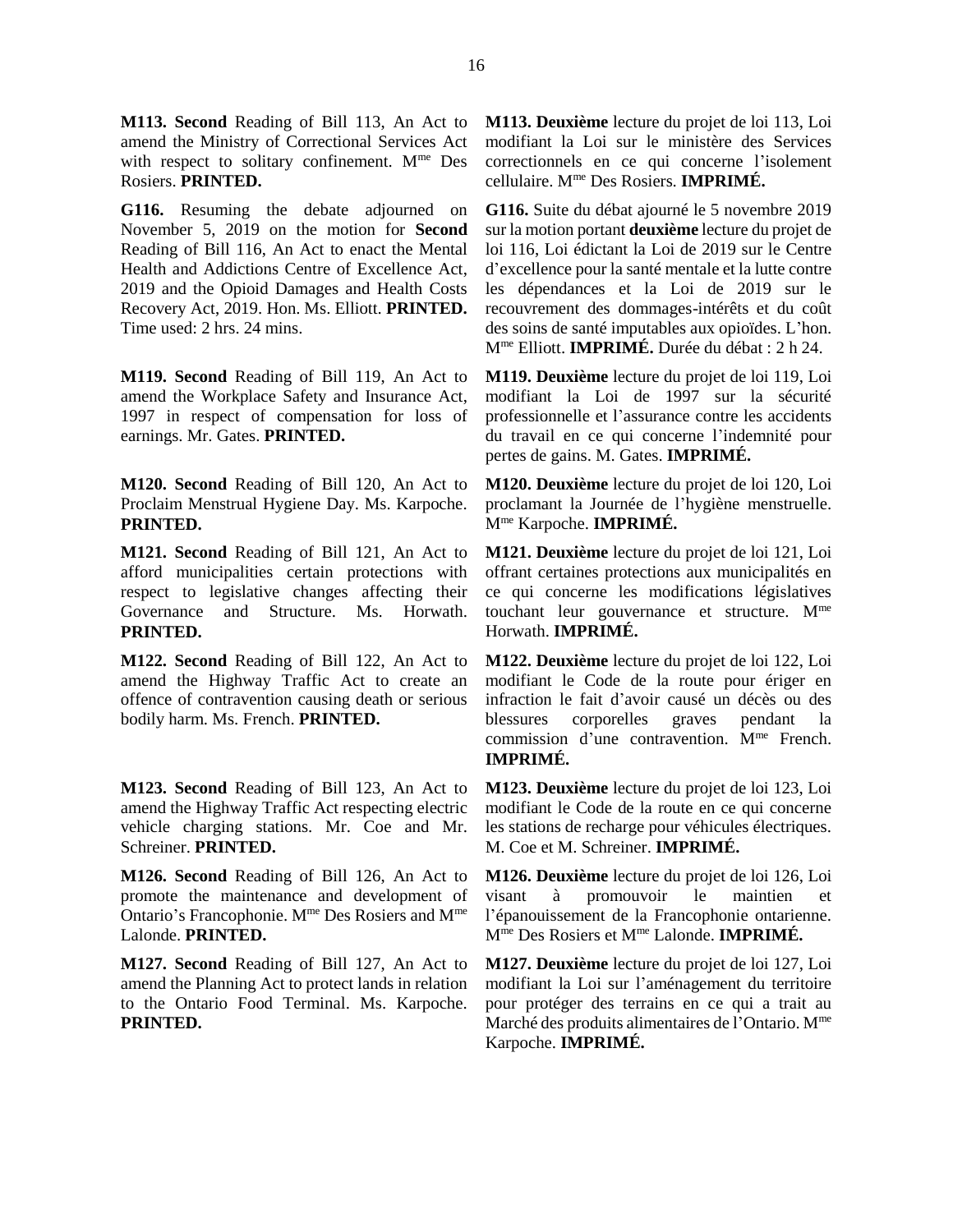**M113. Second** Reading of Bill 113, An Act to amend the Ministry of Correctional Services Act with respect to solitary confinement. M<sup>me</sup> Des Rosiers. **PRINTED.** 

**G116.** Resuming the debate adjourned on November 5, 2019 on the motion for **Second** Reading of Bill 116, An Act to enact the Mental Health and Addictions Centre of Excellence Act, 2019 and the Opioid Damages and Health Costs Recovery Act, 2019. Hon. Ms. Elliott. **PRINTED.**  Time used: 2 hrs. 24 mins.

**M119. Second** Reading of Bill 119, An Act to amend the Workplace Safety and Insurance Act, 1997 in respect of compensation for loss of earnings. Mr. Gates. **PRINTED.** 

**M120. Second** Reading of Bill 120, An Act to Proclaim Menstrual Hygiene Day. Ms. Karpoche. **PRINTED.** 

**M121. Second** Reading of Bill 121, An Act to afford municipalities certain protections with respect to legislative changes affecting their Governance and Structure. Ms. Horwath. **PRINTED.** 

**M122. Second** Reading of Bill 122, An Act to amend the Highway Traffic Act to create an offence of contravention causing death or serious bodily harm. Ms. French. **PRINTED.** 

**M123. Second** Reading of Bill 123, An Act to amend the Highway Traffic Act respecting electric vehicle charging stations. Mr. Coe and Mr. Schreiner. **PRINTED.** 

**M126. Second** Reading of Bill 126, An Act to promote the maintenance and development of Ontario's Francophonie. Mme Des Rosiers and Mme Lalonde. **PRINTED.** 

**M127. Second** Reading of Bill 127, An Act to amend the Planning Act to protect lands in relation to the Ontario Food Terminal. Ms. Karpoche. **PRINTED.** 

**M113. Deuxième** lecture du projet de loi 113, Loi modifiant la Loi sur le ministère des Services correctionnels en ce qui concerne l'isolement cellulaire. Mme Des Rosiers. **IMPRIMÉ.** 

**G116.** Suite du débat ajourné le 5 novembre 2019 sur la motion portant **deuxième** lecture du projet de loi 116, Loi édictant la Loi de 2019 sur le Centre d'excellence pour la santé mentale et la lutte contre les dépendances et la Loi de 2019 sur le recouvrement des dommages-intérêts et du coût des soins de santé imputables aux opioïdes. L'hon. Mme Elliott. **IMPRIMÉ.** Durée du débat : 2 h 24.

**M119. Deuxième** lecture du projet de loi 119, Loi modifiant la Loi de 1997 sur la sécurité professionnelle et l'assurance contre les accidents du travail en ce qui concerne l'indemnité pour pertes de gains. M. Gates. **IMPRIMÉ.** 

**M120. Deuxième** lecture du projet de loi 120, Loi proclamant la Journée de l'hygiène menstruelle. Mme Karpoche. **IMPRIMÉ.** 

**M121. Deuxième** lecture du projet de loi 121, Loi offrant certaines protections aux municipalités en ce qui concerne les modifications législatives touchant leur gouvernance et structure. Mme Horwath. **IMPRIMÉ.** 

**M122. Deuxième** lecture du projet de loi 122, Loi modifiant le Code de la route pour ériger en infraction le fait d'avoir causé un décès ou des blessures corporelles graves pendant la commission d'une contravention. Mme French. **IMPRIMÉ.** 

**M123. Deuxième** lecture du projet de loi 123, Loi modifiant le Code de la route en ce qui concerne les stations de recharge pour véhicules électriques. M. Coe et M. Schreiner. **IMPRIMÉ.**

**M126. Deuxième** lecture du projet de loi 126, Loi visant à promouvoir le maintien et l'épanouissement de la Francophonie ontarienne. Mme Des Rosiers et Mme Lalonde. **IMPRIMÉ.** 

**M127. Deuxième** lecture du projet de loi 127, Loi modifiant la Loi sur l'aménagement du territoire pour protéger des terrains en ce qui a trait au Marché des produits alimentaires de l'Ontario. M<sup>me</sup> Karpoche. **IMPRIMÉ.**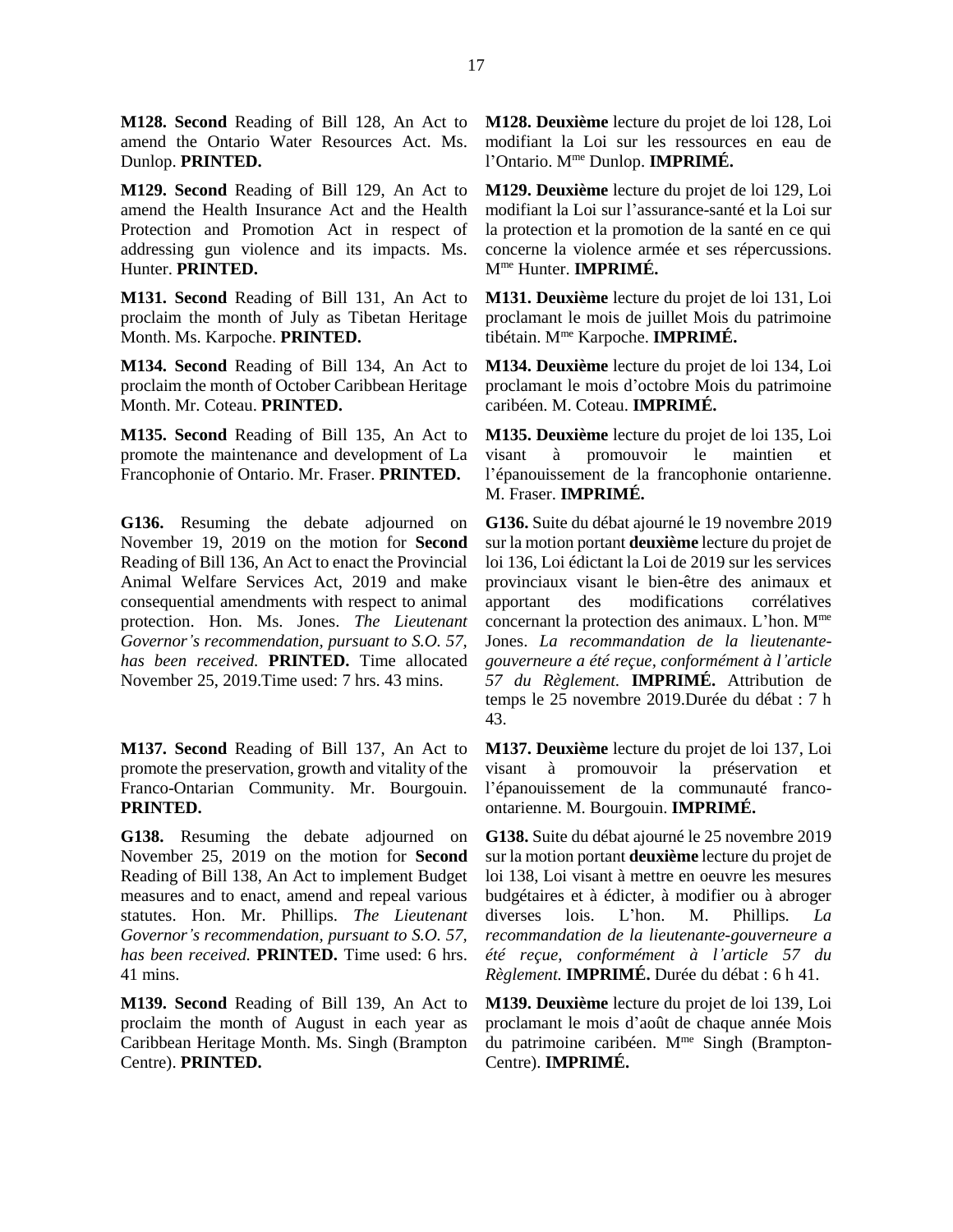**M128. Second** Reading of Bill 128, An Act to amend the Ontario Water Resources Act. Ms. Dunlop. **PRINTED.** 

**M129. Second** Reading of Bill 129, An Act to amend the Health Insurance Act and the Health Protection and Promotion Act in respect of addressing gun violence and its impacts. Ms. Hunter. **PRINTED.** 

**M131. Second** Reading of Bill 131, An Act to proclaim the month of July as Tibetan Heritage Month. Ms. Karpoche. **PRINTED.** 

**M134. Second** Reading of Bill 134, An Act to proclaim the month of October Caribbean Heritage Month. Mr. Coteau. **PRINTED.** 

**M135. Second** Reading of Bill 135, An Act to promote the maintenance and development of La Francophonie of Ontario. Mr. Fraser. **PRINTED.** 

**G136.** Resuming the debate adjourned on November 19, 2019 on the motion for **Second** Reading of Bill 136, An Act to enact the Provincial Animal Welfare Services Act, 2019 and make consequential amendments with respect to animal protection. Hon. Ms. Jones. *The Lieutenant Governor's recommendation, pursuant to S.O. 57, has been received.* **PRINTED.** Time allocated November 25, 2019.Time used: 7 hrs. 43 mins.

**M137. Second** Reading of Bill 137, An Act to promote the preservation, growth and vitality of the Franco-Ontarian Community. Mr. Bourgouin. **PRINTED.** 

**G138.** Resuming the debate adjourned on November 25, 2019 on the motion for **Second** Reading of Bill 138, An Act to implement Budget measures and to enact, amend and repeal various statutes. Hon. Mr. Phillips. *The Lieutenant Governor's recommendation, pursuant to S.O. 57, has been received.* **PRINTED.** Time used: 6 hrs. 41 mins.

**M139. Second** Reading of Bill 139, An Act to proclaim the month of August in each year as Caribbean Heritage Month. Ms. Singh (Brampton Centre). **PRINTED.** 

**M128. Deuxième** lecture du projet de loi 128, Loi modifiant la Loi sur les ressources en eau de l'Ontario. Mme Dunlop. **IMPRIMÉ.** 

**M129. Deuxième** lecture du projet de loi 129, Loi modifiant la Loi sur l'assurance-santé et la Loi sur la protection et la promotion de la santé en ce qui concerne la violence armée et ses répercussions. Mme Hunter. **IMPRIMÉ.** 

**M131. Deuxième** lecture du projet de loi 131, Loi proclamant le mois de juillet Mois du patrimoine tibétain. Mme Karpoche. **IMPRIMÉ.** 

**M134. Deuxième** lecture du projet de loi 134, Loi proclamant le mois d'octobre Mois du patrimoine caribéen. M. Coteau. **IMPRIMÉ.** 

**M135. Deuxième** lecture du projet de loi 135, Loi visant à promouvoir le maintien et l'épanouissement de la francophonie ontarienne. M. Fraser. **IMPRIMÉ.** 

**G136.** Suite du débat ajourné le 19 novembre 2019 sur la motion portant **deuxième** lecture du projet de loi 136, Loi édictant la Loi de 2019 sur les services provinciaux visant le bien-être des animaux et apportant des modifications corrélatives concernant la protection des animaux. L'hon. Mme Jones. *La recommandation de la lieutenantegouverneure a été reçue, conformément à l'article 57 du Règlement.* **IMPRIMÉ.** Attribution de temps le 25 novembre 2019.Durée du débat : 7 h 43.

**M137. Deuxième** lecture du projet de loi 137, Loi visant à promouvoir la préservation et l'épanouissement de la communauté francoontarienne. M. Bourgouin. **IMPRIMÉ.** 

**G138.** Suite du débat ajourné le 25 novembre 2019 sur la motion portant **deuxième** lecture du projet de loi 138, Loi visant à mettre en oeuvre les mesures budgétaires et à édicter, à modifier ou à abroger diverses lois. L'hon. M. Phillips. *La recommandation de la lieutenante-gouverneure a été reçue, conformément à l'article 57 du Règlement.* **IMPRIMÉ.** Durée du débat : 6 h 41.

**M139. Deuxième** lecture du projet de loi 139, Loi proclamant le mois d'août de chaque année Mois du patrimoine caribéen. Mme Singh (Brampton-Centre). **IMPRIMÉ.**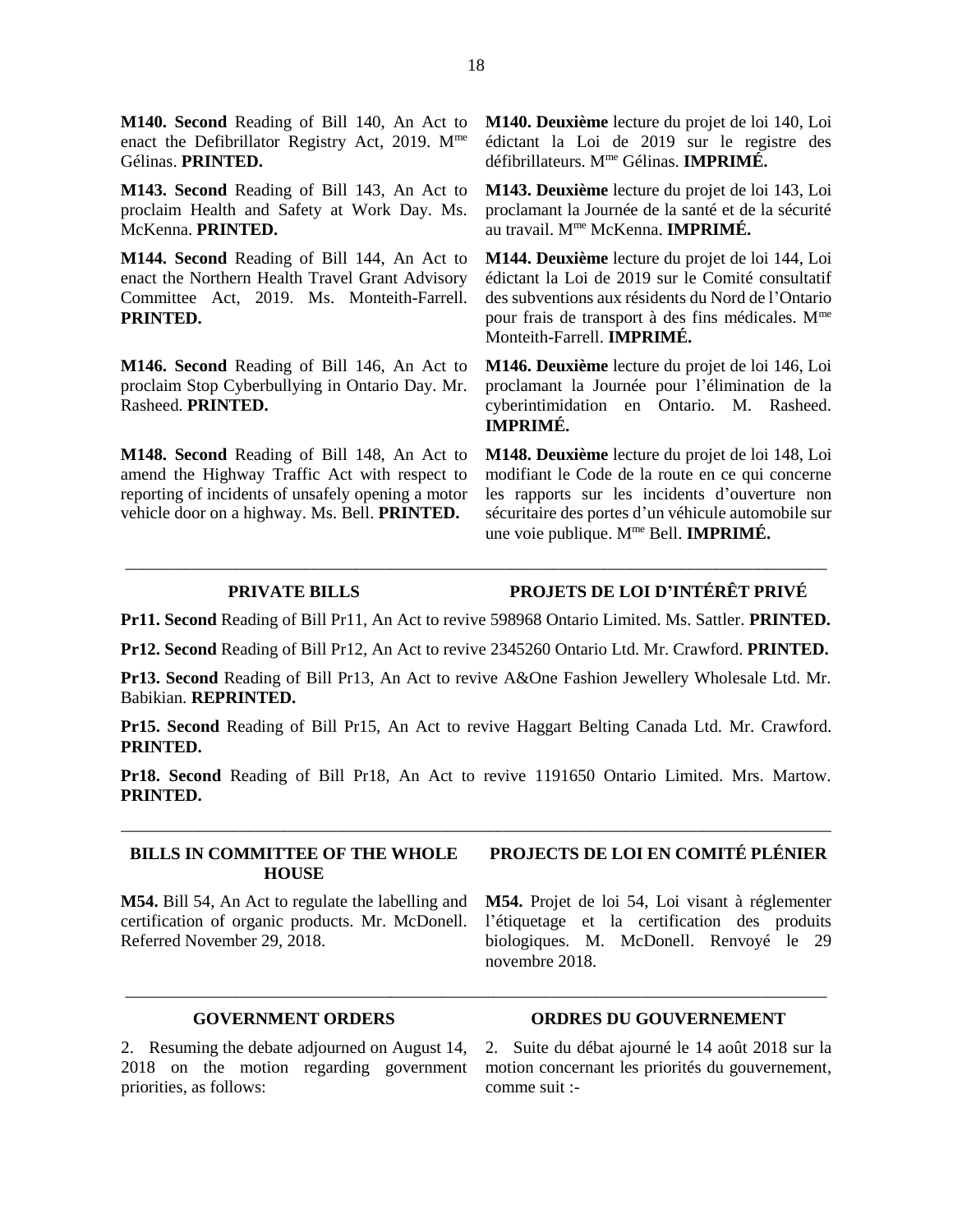**M140. Second** Reading of Bill 140, An Act to enact the Defibrillator Registry Act, 2019. Mme Gélinas. **PRINTED.**

**M143. Second** Reading of Bill 143, An Act to proclaim Health and Safety at Work Day. Ms. McKenna. **PRINTED.**

**M144. Second** Reading of Bill 144, An Act to enact the Northern Health Travel Grant Advisory Committee Act, 2019. Ms. Monteith-Farrell. **PRINTED.**

**M146. Second** Reading of Bill 146, An Act to proclaim Stop Cyberbullying in Ontario Day. Mr. Rasheed. **PRINTED.**

**M148. Second** Reading of Bill 148, An Act to amend the Highway Traffic Act with respect to reporting of incidents of unsafely opening a motor vehicle door on a highway. Ms. Bell. **PRINTED.**

**M140. Deuxième** lecture du projet de loi 140, Loi édictant la Loi de 2019 sur le registre des défibrillateurs. Mme Gélinas. **IMPRIMÉ.**

**M143. Deuxième** lecture du projet de loi 143, Loi proclamant la Journée de la santé et de la sécurité au travail. Mme McKenna. **IMPRIMÉ.**

**M144. Deuxième** lecture du projet de loi 144, Loi édictant la Loi de 2019 sur le Comité consultatif des subventions aux résidents du Nord de l'Ontario pour frais de transport à des fins médicales. Mme Monteith-Farrell. **IMPRIMÉ.**

**M146. Deuxième** lecture du projet de loi 146, Loi proclamant la Journée pour l'élimination de la cyberintimidation en Ontario. M. Rasheed. **IMPRIMÉ.**

**M148. Deuxième** lecture du projet de loi 148, Loi modifiant le Code de la route en ce qui concerne les rapports sur les incidents d'ouverture non sécuritaire des portes d'un véhicule automobile sur une voie publique. Mme Bell. **IMPRIMÉ.**

**PRIVATE BILLS PROJETS DE LOI D'INTÉRÊT PRIVÉ**

**Pr11. Second** Reading of Bill Pr11, An Act to revive 598968 Ontario Limited. Ms. Sattler. **PRINTED.** 

\_\_\_\_\_\_\_\_\_\_\_\_\_\_\_\_\_\_\_\_\_\_\_\_\_\_\_\_\_\_\_\_\_\_\_\_\_\_\_\_\_\_\_\_\_\_\_\_\_\_\_\_\_\_\_\_\_\_\_\_\_\_\_\_\_\_\_\_\_\_\_\_\_\_\_\_\_\_\_\_\_\_

**Pr12. Second** Reading of Bill Pr12, An Act to revive 2345260 Ontario Ltd. Mr. Crawford. **PRINTED.** 

**Pr13. Second** Reading of Bill Pr13, An Act to revive A&One Fashion Jewellery Wholesale Ltd. Mr. Babikian. **REPRINTED.** 

**Pr15. Second** Reading of Bill Pr15, An Act to revive Haggart Belting Canada Ltd. Mr. Crawford. **PRINTED.** 

**Pr18. Second** Reading of Bill Pr18, An Act to revive 1191650 Ontario Limited. Mrs. Martow. **PRINTED.** 

\_\_\_\_\_\_\_\_\_\_\_\_\_\_\_\_\_\_\_\_\_\_\_\_\_\_\_\_\_\_\_\_\_\_\_\_\_\_\_\_\_\_\_\_\_\_\_\_\_\_\_\_\_\_\_\_\_\_\_\_\_\_\_\_\_\_\_\_\_\_\_\_\_\_\_\_\_\_\_\_\_\_\_

\_\_\_\_\_\_\_\_\_\_\_\_\_\_\_\_\_\_\_\_\_\_\_\_\_\_\_\_\_\_\_\_\_\_\_\_\_\_\_\_\_\_\_\_\_\_\_\_\_\_\_\_\_\_\_\_\_\_\_\_\_\_\_\_\_\_\_\_\_\_\_\_\_\_\_\_\_\_\_\_\_\_

#### **BILLS IN COMMITTEE OF THE WHOLE HOUSE**

**M54.** Bill 54, An Act to regulate the labelling and certification of organic products. Mr. McDonell. Referred November 29, 2018.

# **PROJECTS DE LOI EN COMITÉ PLÉNIER**

**M54.** Projet de loi 54, Loi visant à réglementer l'étiquetage et la certification des produits biologiques. M. McDonell. Renvoyé le 29 novembre 2018.

### **GOVERNMENT ORDERS ORDRES DU GOUVERNEMENT**

2. Resuming the debate adjourned on August 14, 2018 on the motion regarding government priorities, as follows:

2. Suite du débat ajourné le 14 août 2018 sur la motion concernant les priorités du gouvernement, comme suit :-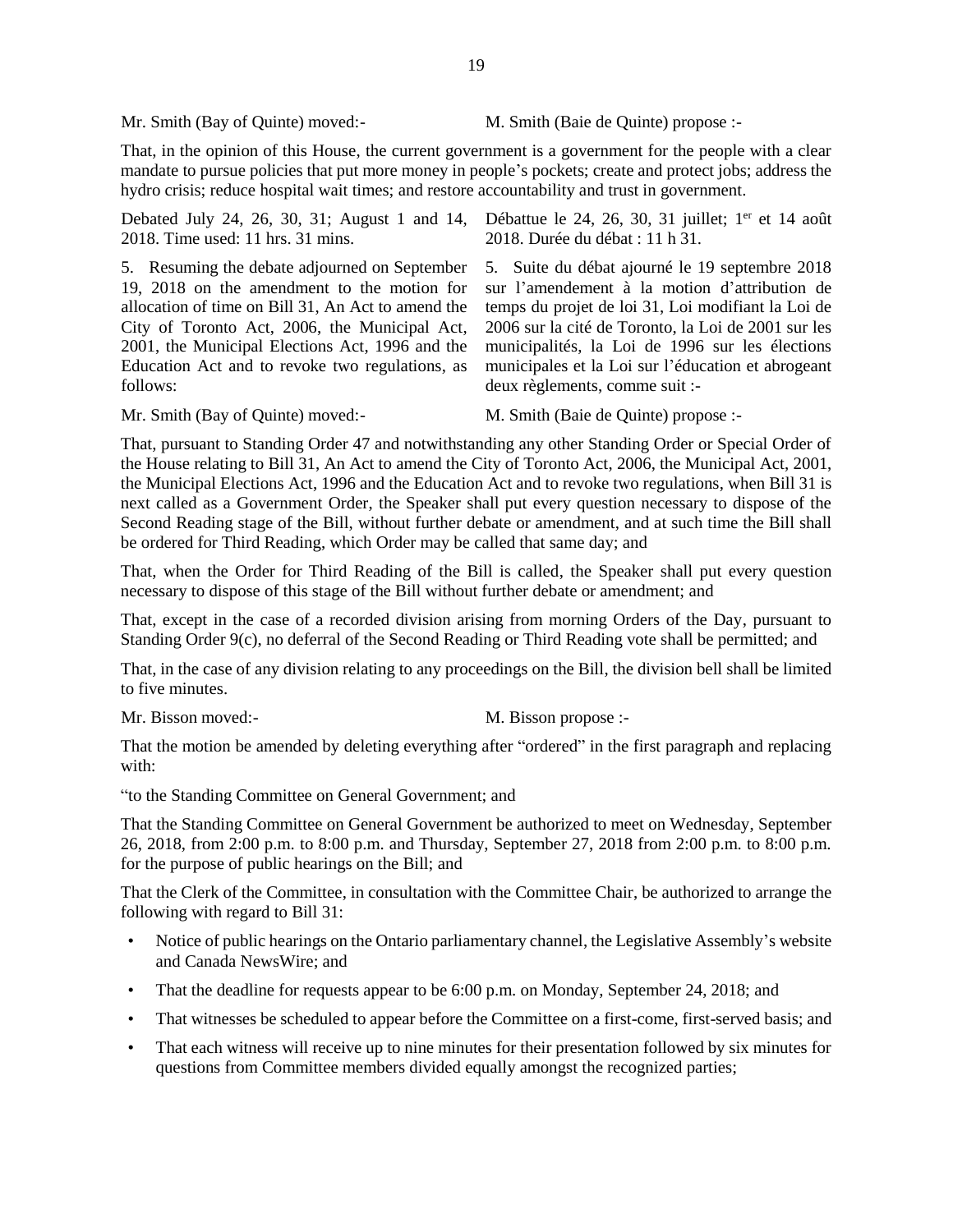Mr. Smith (Bay of Quinte) moved:- M. Smith (Baie de Quinte) propose :-

That, in the opinion of this House, the current government is a government for the people with a clear mandate to pursue policies that put more money in people's pockets; create and protect jobs; address the hydro crisis; reduce hospital wait times; and restore accountability and trust in government.

Debated July 24, 26, 30, 31; August 1 and 14, Débattue le 24, 26, 30, 31 juillet; 1<sup>er</sup> et 14 août 2018. Time used: 11 hrs. 31 mins. 2018. Durée du débat : 11 h 31.

5. Resuming the debate adjourned on September 19, 2018 on the amendment to the motion for allocation of time on Bill 31, An Act to amend the City of Toronto Act, 2006, the Municipal Act, 2001, the Municipal Elections Act, 1996 and the Education Act and to revoke two regulations, as follows:

5. Suite du débat ajourné le 19 septembre 2018 sur l'amendement à la motion d'attribution de temps du projet de loi 31, Loi modifiant la Loi de 2006 sur la cité de Toronto, la Loi de 2001 sur les municipalités, la Loi de 1996 sur les élections municipales et la Loi sur l'éducation et abrogeant deux règlements, comme suit :-

Mr. Smith (Bay of Quinte) moved:- M. Smith (Baie de Quinte) propose :-

That, pursuant to Standing Order 47 and notwithstanding any other Standing Order or Special Order of the House relating to Bill 31, An Act to amend the City of Toronto Act, 2006, the Municipal Act, 2001, the Municipal Elections Act, 1996 and the Education Act and to revoke two regulations, when Bill 31 is next called as a Government Order, the Speaker shall put every question necessary to dispose of the Second Reading stage of the Bill, without further debate or amendment, and at such time the Bill shall be ordered for Third Reading, which Order may be called that same day; and

That, when the Order for Third Reading of the Bill is called, the Speaker shall put every question necessary to dispose of this stage of the Bill without further debate or amendment; and

That, except in the case of a recorded division arising from morning Orders of the Day, pursuant to Standing Order 9(c), no deferral of the Second Reading or Third Reading vote shall be permitted; and

That, in the case of any division relating to any proceedings on the Bill, the division bell shall be limited to five minutes.

Mr. Bisson moved:- M. Bisson propose :-

That the motion be amended by deleting everything after "ordered" in the first paragraph and replacing with:

"to the Standing Committee on General Government; and

That the Standing Committee on General Government be authorized to meet on Wednesday, September 26, 2018, from 2:00 p.m. to 8:00 p.m. and Thursday, September 27, 2018 from 2:00 p.m. to 8:00 p.m. for the purpose of public hearings on the Bill; and

That the Clerk of the Committee, in consultation with the Committee Chair, be authorized to arrange the following with regard to Bill 31:

- Notice of public hearings on the Ontario parliamentary channel, the Legislative Assembly's website and Canada NewsWire; and
- That the deadline for requests appear to be 6:00 p.m. on Monday, September 24, 2018; and
- That witnesses be scheduled to appear before the Committee on a first-come, first-served basis; and
- That each witness will receive up to nine minutes for their presentation followed by six minutes for questions from Committee members divided equally amongst the recognized parties;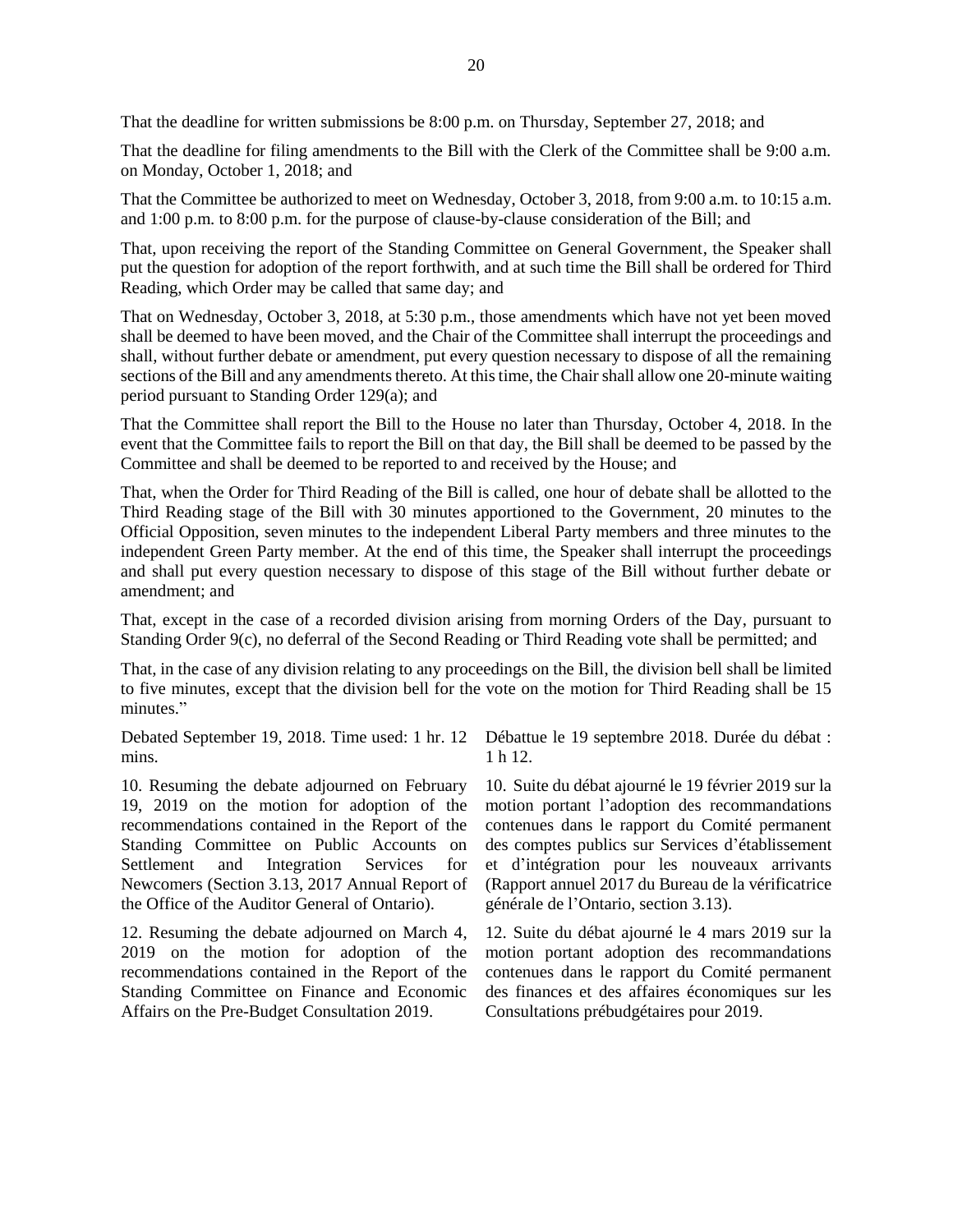That the deadline for written submissions be 8:00 p.m. on Thursday, September 27, 2018; and

That the deadline for filing amendments to the Bill with the Clerk of the Committee shall be 9:00 a.m. on Monday, October 1, 2018; and

That the Committee be authorized to meet on Wednesday, October 3, 2018, from 9:00 a.m. to 10:15 a.m. and 1:00 p.m. to 8:00 p.m. for the purpose of clause-by-clause consideration of the Bill; and

That, upon receiving the report of the Standing Committee on General Government, the Speaker shall put the question for adoption of the report forthwith, and at such time the Bill shall be ordered for Third Reading, which Order may be called that same day; and

That on Wednesday, October 3, 2018, at 5:30 p.m., those amendments which have not yet been moved shall be deemed to have been moved, and the Chair of the Committee shall interrupt the proceedings and shall, without further debate or amendment, put every question necessary to dispose of all the remaining sections of the Bill and any amendments thereto. At this time, the Chair shall allow one 20-minute waiting period pursuant to Standing Order 129(a); and

That the Committee shall report the Bill to the House no later than Thursday, October 4, 2018. In the event that the Committee fails to report the Bill on that day, the Bill shall be deemed to be passed by the Committee and shall be deemed to be reported to and received by the House; and

That, when the Order for Third Reading of the Bill is called, one hour of debate shall be allotted to the Third Reading stage of the Bill with 30 minutes apportioned to the Government, 20 minutes to the Official Opposition, seven minutes to the independent Liberal Party members and three minutes to the independent Green Party member. At the end of this time, the Speaker shall interrupt the proceedings and shall put every question necessary to dispose of this stage of the Bill without further debate or amendment; and

That, except in the case of a recorded division arising from morning Orders of the Day, pursuant to Standing Order 9(c), no deferral of the Second Reading or Third Reading vote shall be permitted; and

That, in the case of any division relating to any proceedings on the Bill, the division bell shall be limited to five minutes, except that the division bell for the vote on the motion for Third Reading shall be 15 minutes."

Debated September 19, 2018. Time used: 1 hr. 12 mins.

10. Resuming the debate adjourned on February 19, 2019 on the motion for adoption of the recommendations contained in the Report of the Standing Committee on Public Accounts on Settlement and Integration Services for Newcomers (Section 3.13, 2017 Annual Report of the Office of the Auditor General of Ontario).

12. Resuming the debate adjourned on March 4, 2019 on the motion for adoption of the recommendations contained in the Report of the Standing Committee on Finance and Economic Affairs on the Pre-Budget Consultation 2019.

Débattue le 19 septembre 2018. Durée du débat : 1 h 12.

10. Suite du débat ajourné le 19 février 2019 sur la motion portant l'adoption des recommandations contenues dans le rapport du Comité permanent des comptes publics sur Services d'établissement et d'intégration pour les nouveaux arrivants (Rapport annuel 2017 du Bureau de la vérificatrice générale de l'Ontario, section 3.13).

12. Suite du débat ajourné le 4 mars 2019 sur la motion portant adoption des recommandations contenues dans le rapport du Comité permanent des finances et des affaires économiques sur les Consultations prébudgétaires pour 2019.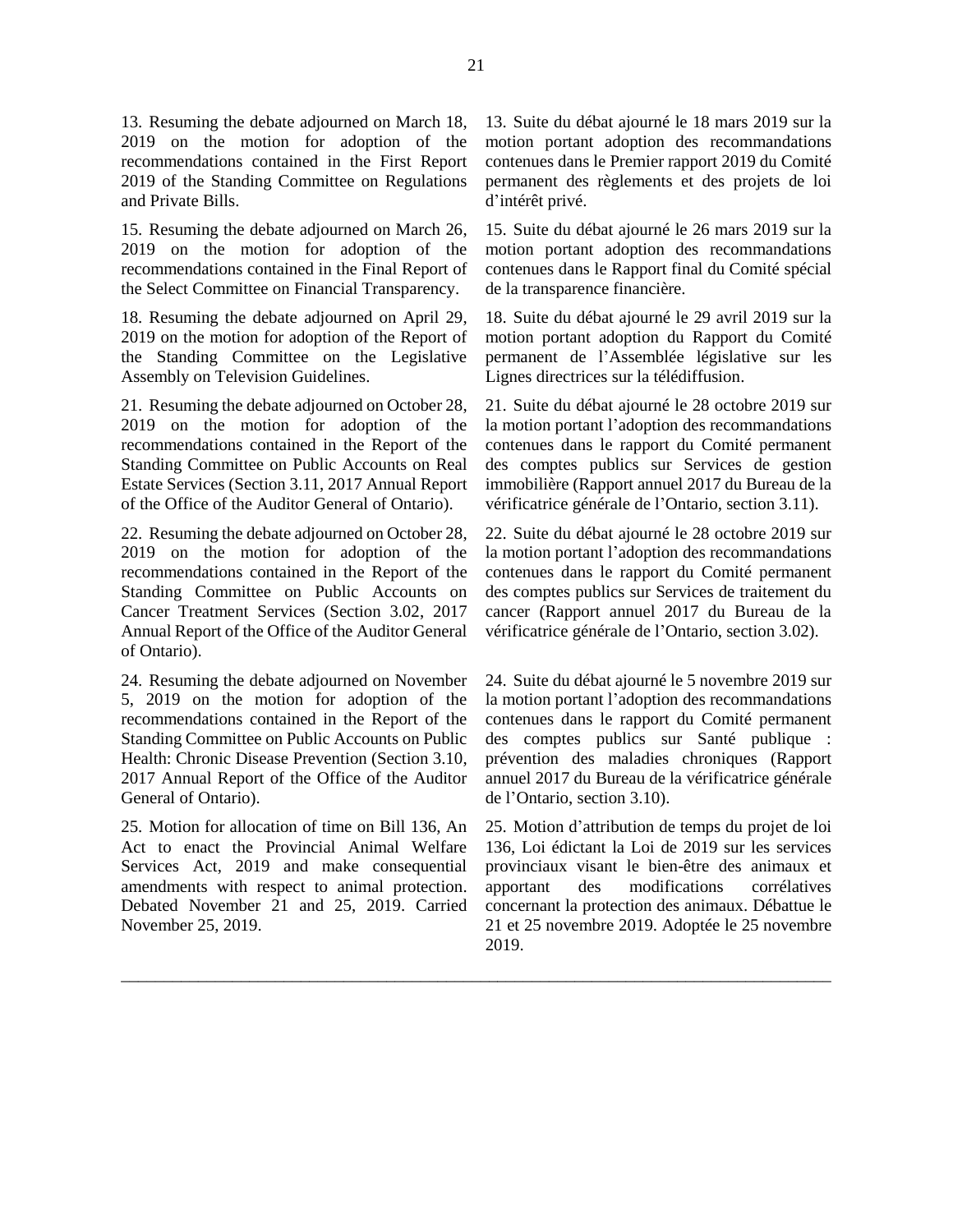13. Resuming the debate adjourned on March 18, 2019 on the motion for adoption of the recommendations contained in the First Report 2019 of the Standing Committee on Regulations and Private Bills.

15. Resuming the debate adjourned on March 26, 2019 on the motion for adoption of the recommendations contained in the Final Report of the Select Committee on Financial Transparency.

18. Resuming the debate adjourned on April 29, 2019 on the motion for adoption of the Report of the Standing Committee on the Legislative Assembly on Television Guidelines.

21. Resuming the debate adjourned on October 28, 2019 on the motion for adoption of the recommendations contained in the Report of the Standing Committee on Public Accounts on Real Estate Services (Section 3.11, 2017 Annual Report of the Office of the Auditor General of Ontario).

22. Resuming the debate adjourned on October 28, 2019 on the motion for adoption of the recommendations contained in the Report of the Standing Committee on Public Accounts on Cancer Treatment Services (Section 3.02, 2017 Annual Report of the Office of the Auditor General of Ontario).

24. Resuming the debate adjourned on November 5, 2019 on the motion for adoption of the recommendations contained in the Report of the Standing Committee on Public Accounts on Public Health: Chronic Disease Prevention (Section 3.10, 2017 Annual Report of the Office of the Auditor General of Ontario).

25. Motion for allocation of time on Bill 136, An Act to enact the Provincial Animal Welfare Services Act, 2019 and make consequential amendments with respect to animal protection. Debated November 21 and 25, 2019. Carried November 25, 2019.

13. Suite du débat ajourné le 18 mars 2019 sur la motion portant adoption des recommandations contenues dans le Premier rapport 2019 du Comité permanent des règlements et des projets de loi d'intérêt privé.

15. Suite du débat ajourné le 26 mars 2019 sur la motion portant adoption des recommandations contenues dans le Rapport final du Comité spécial de la transparence financière.

18. Suite du débat ajourné le 29 avril 2019 sur la motion portant adoption du Rapport du Comité permanent de l'Assemblée législative sur les Lignes directrices sur la télédiffusion.

21. Suite du débat ajourné le 28 octobre 2019 sur la motion portant l'adoption des recommandations contenues dans le rapport du Comité permanent des comptes publics sur Services de gestion immobilière (Rapport annuel 2017 du Bureau de la vérificatrice générale de l'Ontario, section 3.11).

22. Suite du débat ajourné le 28 octobre 2019 sur la motion portant l'adoption des recommandations contenues dans le rapport du Comité permanent des comptes publics sur Services de traitement du cancer (Rapport annuel 2017 du Bureau de la vérificatrice générale de l'Ontario, section 3.02).

24. Suite du débat ajourné le 5 novembre 2019 sur la motion portant l'adoption des recommandations contenues dans le rapport du Comité permanent des comptes publics sur Santé publique : prévention des maladies chroniques (Rapport annuel 2017 du Bureau de la vérificatrice générale de l'Ontario, section 3.10).

25. Motion d'attribution de temps du projet de loi 136, Loi édictant la Loi de 2019 sur les services provinciaux visant le bien-être des animaux et apportant des modifications corrélatives concernant la protection des animaux. Débattue le 21 et 25 novembre 2019. Adoptée le 25 novembre 2019.

\_\_\_\_\_\_\_\_\_\_\_\_\_\_\_\_\_\_\_\_\_\_\_\_\_\_\_\_\_\_\_\_\_\_\_\_\_\_\_\_\_\_\_\_\_\_\_\_\_\_\_\_\_\_\_\_\_\_\_\_\_\_\_\_\_\_\_\_\_\_\_\_\_\_\_\_\_\_\_\_\_\_\_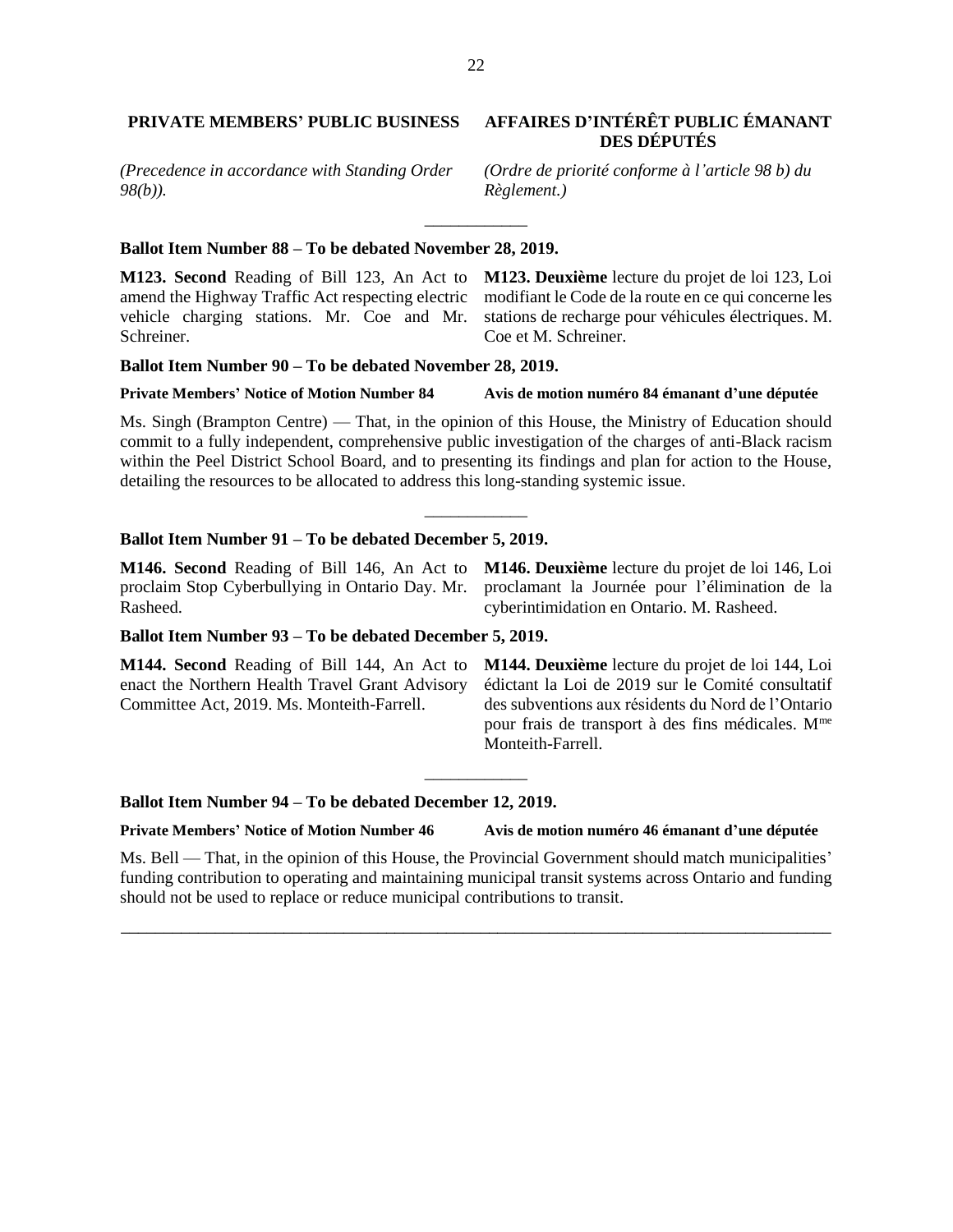# **PRIVATE MEMBERS' PUBLIC BUSINESS AFFAIRES D'INTÉRÊT PUBLIC ÉMANANT**

*(Precedence in accordance with Standing Order 98(b)).*

### **Ballot Item Number 88 – To be debated November 28, 2019.**

amend the Highway Traffic Act respecting electric modifiant le Code de la route en ce qui concerne les vehicle charging stations. Mr. Coe and Mr. stations de recharge pour véhicules électriques. M. Schreiner.

**M123. Second** Reading of Bill 123, An Act to **M123. Deuxième** lecture du projet de loi 123, Loi Coe et M. Schreiner.

#### **Ballot Item Number 90 – To be debated November 28, 2019.**

#### **Private Members' Notice of Motion Number 84 Avis de motion numéro 84 émanant d'une députée**

Ms. Singh (Brampton Centre) — That, in the opinion of this House, the Ministry of Education should commit to a fully independent, comprehensive public investigation of the charges of anti-Black racism within the Peel District School Board, and to presenting its findings and plan for action to the House, detailing the resources to be allocated to address this long-standing systemic issue.

\_\_\_\_\_\_\_\_\_\_\_\_

### **Ballot Item Number 91 – To be debated December 5, 2019.**

**M146. Second** Reading of Bill 146, An Act to proclaim Stop Cyberbullying in Ontario Day. Mr. Rasheed.

**M146. Deuxième** lecture du projet de loi 146, Loi proclamant la Journée pour l'élimination de la cyberintimidation en Ontario. M. Rasheed.

#### **Ballot Item Number 93 – To be debated December 5, 2019.**

**M144. Second** Reading of Bill 144, An Act to enact the Northern Health Travel Grant Advisory Committee Act, 2019. Ms. Monteith-Farrell.

**M144. Deuxième** lecture du projet de loi 144, Loi édictant la Loi de 2019 sur le Comité consultatif des subventions aux résidents du Nord de l'Ontario pour frais de transport à des fins médicales. Mme Monteith-Farrell.

#### **Ballot Item Number 94 – To be debated December 12, 2019.**

**Private Members' Notice of Motion Number 46 Avis de motion numéro 46 émanant d'une députée**

Ms. Bell — That, in the opinion of this House, the Provincial Government should match municipalities' funding contribution to operating and maintaining municipal transit systems across Ontario and funding should not be used to replace or reduce municipal contributions to transit.

\_\_\_\_\_\_\_\_\_\_\_\_\_\_\_\_\_\_\_\_\_\_\_\_\_\_\_\_\_\_\_\_\_\_\_\_\_\_\_\_\_\_\_\_\_\_\_\_\_\_\_\_\_\_\_\_\_\_\_\_\_\_\_\_\_\_\_\_\_\_\_\_\_\_\_\_\_\_\_\_\_\_\_

\_\_\_\_\_\_\_\_\_\_\_\_

# **DES DÉPUTÉS**

*(Ordre de priorité conforme à l'article 98 b) du Règlement.)*

\_\_\_\_\_\_\_\_\_\_\_\_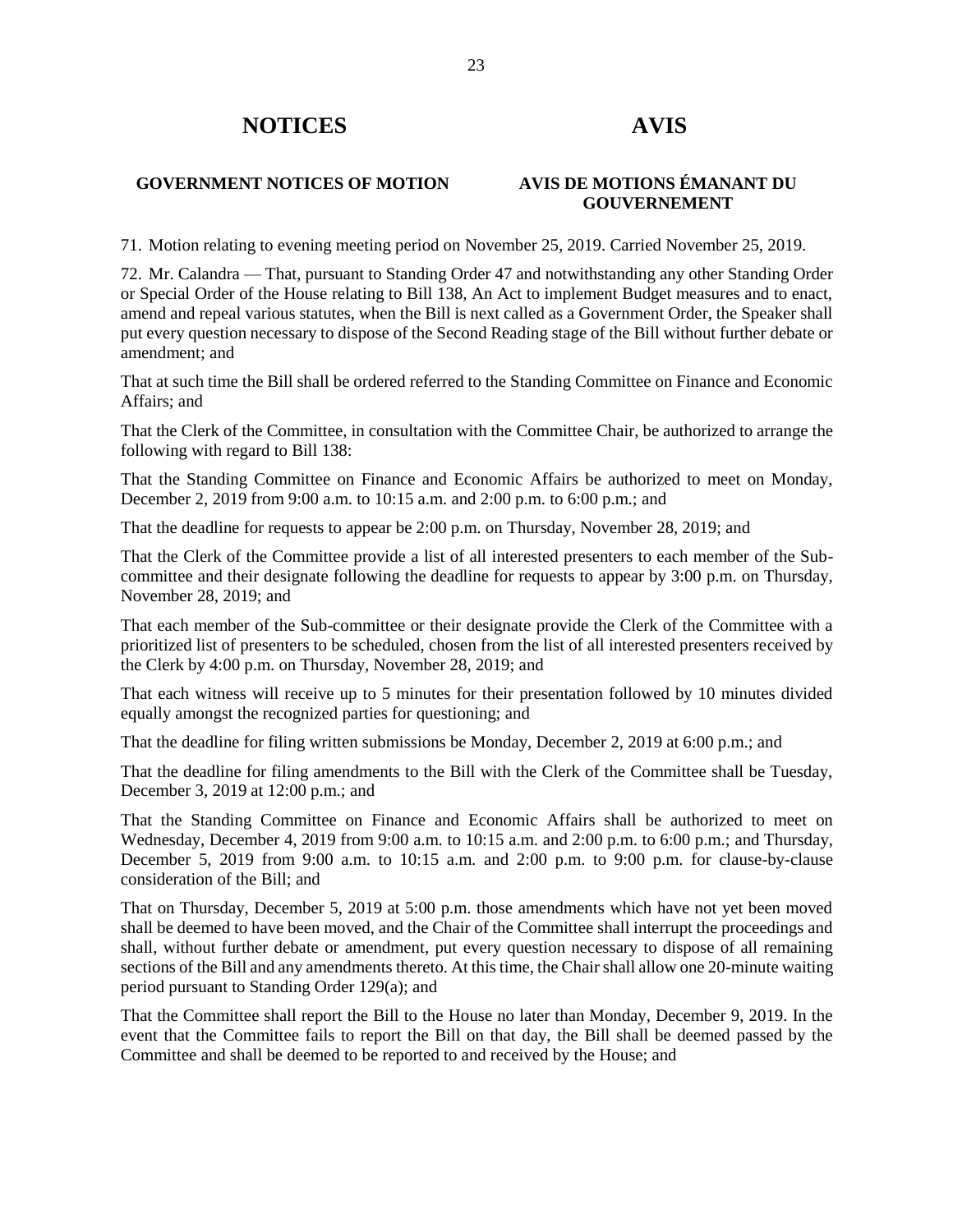# **NOTICES AVIS**

# **GOVERNMENT NOTICES OF MOTION AVIS DE MOTIONS ÉMANANT DU**

# **GOUVERNEMENT**

71. Motion relating to evening meeting period on November 25, 2019. Carried November 25, 2019.

72. Mr. Calandra — That, pursuant to Standing Order 47 and notwithstanding any other Standing Order or Special Order of the House relating to Bill 138, An Act to implement Budget measures and to enact, amend and repeal various statutes, when the Bill is next called as a Government Order, the Speaker shall put every question necessary to dispose of the Second Reading stage of the Bill without further debate or amendment; and

That at such time the Bill shall be ordered referred to the Standing Committee on Finance and Economic Affairs; and

That the Clerk of the Committee, in consultation with the Committee Chair, be authorized to arrange the following with regard to Bill 138:

That the Standing Committee on Finance and Economic Affairs be authorized to meet on Monday, December 2, 2019 from 9:00 a.m. to 10:15 a.m. and 2:00 p.m. to 6:00 p.m.; and

That the deadline for requests to appear be 2:00 p.m. on Thursday, November 28, 2019; and

That the Clerk of the Committee provide a list of all interested presenters to each member of the Subcommittee and their designate following the deadline for requests to appear by 3:00 p.m. on Thursday, November 28, 2019; and

That each member of the Sub-committee or their designate provide the Clerk of the Committee with a prioritized list of presenters to be scheduled, chosen from the list of all interested presenters received by the Clerk by 4:00 p.m. on Thursday, November 28, 2019; and

That each witness will receive up to 5 minutes for their presentation followed by 10 minutes divided equally amongst the recognized parties for questioning; and

That the deadline for filing written submissions be Monday, December 2, 2019 at 6:00 p.m.; and

That the deadline for filing amendments to the Bill with the Clerk of the Committee shall be Tuesday, December 3, 2019 at 12:00 p.m.; and

That the Standing Committee on Finance and Economic Affairs shall be authorized to meet on Wednesday, December 4, 2019 from 9:00 a.m. to 10:15 a.m. and 2:00 p.m. to 6:00 p.m.; and Thursday, December 5, 2019 from 9:00 a.m. to 10:15 a.m. and 2:00 p.m. to 9:00 p.m. for clause-by-clause consideration of the Bill; and

That on Thursday, December 5, 2019 at 5:00 p.m. those amendments which have not yet been moved shall be deemed to have been moved, and the Chair of the Committee shall interrupt the proceedings and shall, without further debate or amendment, put every question necessary to dispose of all remaining sections of the Bill and any amendments thereto. At this time, the Chair shall allow one 20-minute waiting period pursuant to Standing Order 129(a); and

That the Committee shall report the Bill to the House no later than Monday, December 9, 2019. In the event that the Committee fails to report the Bill on that day, the Bill shall be deemed passed by the Committee and shall be deemed to be reported to and received by the House; and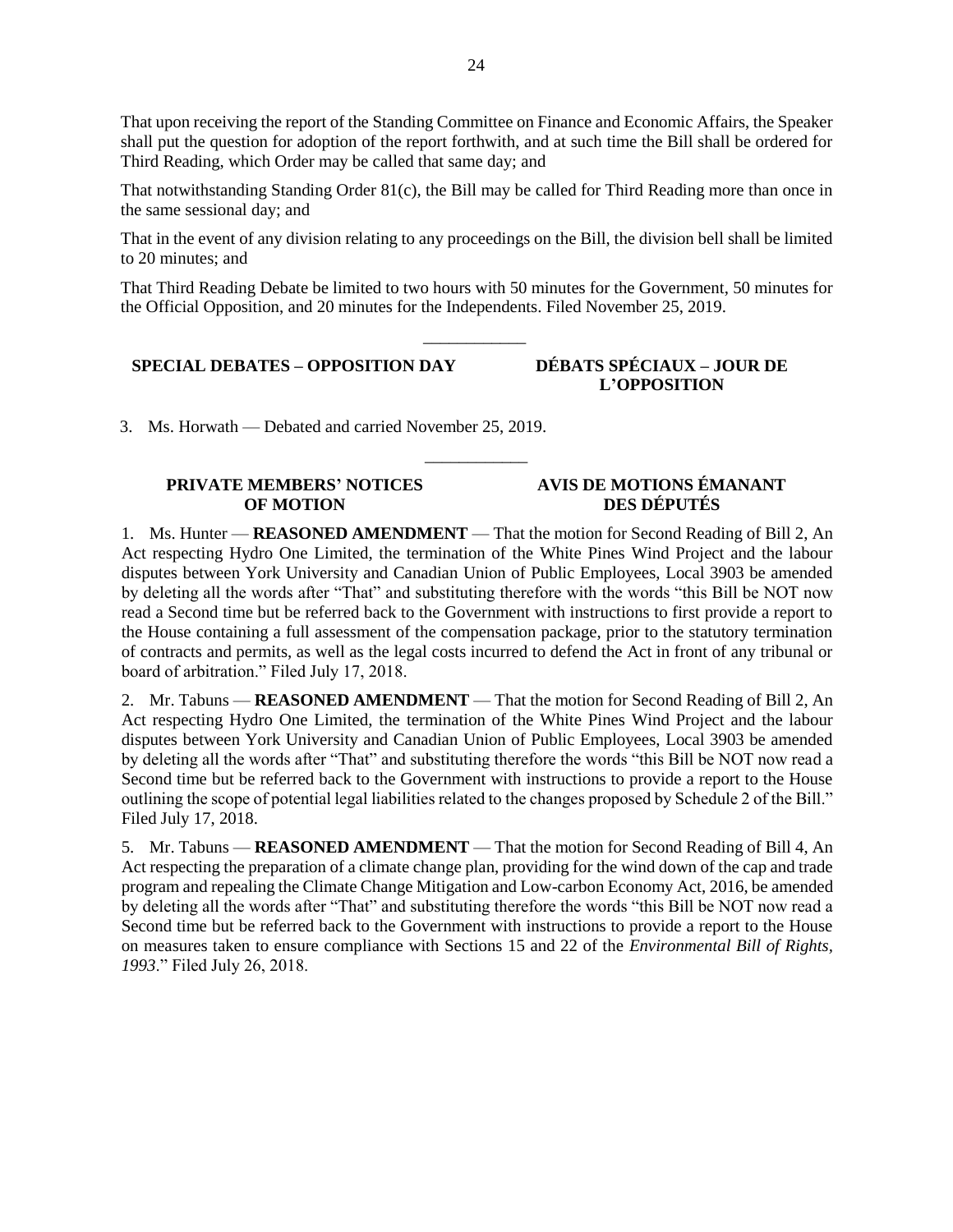That upon receiving the report of the Standing Committee on Finance and Economic Affairs, the Speaker shall put the question for adoption of the report forthwith, and at such time the Bill shall be ordered for Third Reading, which Order may be called that same day; and

That notwithstanding Standing Order 81(c), the Bill may be called for Third Reading more than once in the same sessional day; and

That in the event of any division relating to any proceedings on the Bill, the division bell shall be limited to 20 minutes; and

That Third Reading Debate be limited to two hours with 50 minutes for the Government, 50 minutes for the Official Opposition, and 20 minutes for the Independents. Filed November 25, 2019.

\_\_\_\_\_\_\_\_\_\_\_\_

\_\_\_\_\_\_\_\_\_\_\_\_

# **SPECIAL DEBATES – OPPOSITION DAY DÉBATS SPÉCIAUX – JOUR DE**

# **L'OPPOSITION**

3. Ms. Horwath — Debated and carried November 25, 2019.

### **PRIVATE MEMBERS' NOTICES OF MOTION**

# **AVIS DE MOTIONS ÉMANANT DES DÉPUTÉS**

1. Ms. Hunter — **REASONED AMENDMENT** — That the motion for Second Reading of Bill 2, An Act respecting Hydro One Limited, the termination of the White Pines Wind Project and the labour disputes between York University and Canadian Union of Public Employees, Local 3903 be amended by deleting all the words after "That" and substituting therefore with the words "this Bill be NOT now read a Second time but be referred back to the Government with instructions to first provide a report to the House containing a full assessment of the compensation package, prior to the statutory termination of contracts and permits, as well as the legal costs incurred to defend the Act in front of any tribunal or board of arbitration." Filed July 17, 2018.

2. Mr. Tabuns — **REASONED AMENDMENT** — That the motion for Second Reading of Bill 2, An Act respecting Hydro One Limited, the termination of the White Pines Wind Project and the labour disputes between York University and Canadian Union of Public Employees, Local 3903 be amended by deleting all the words after "That" and substituting therefore the words "this Bill be NOT now read a Second time but be referred back to the Government with instructions to provide a report to the House outlining the scope of potential legal liabilities related to the changes proposed by Schedule 2 of the Bill." Filed July 17, 2018.

5. Mr. Tabuns — **REASONED AMENDMENT** — That the motion for Second Reading of Bill 4, An Act respecting the preparation of a climate change plan, providing for the wind down of the cap and trade program and repealing the Climate Change Mitigation and Low-carbon Economy Act, 2016, be amended by deleting all the words after "That" and substituting therefore the words "this Bill be NOT now read a Second time but be referred back to the Government with instructions to provide a report to the House on measures taken to ensure compliance with Sections 15 and 22 of the *Environmental Bill of Rights, 1993*." Filed July 26, 2018.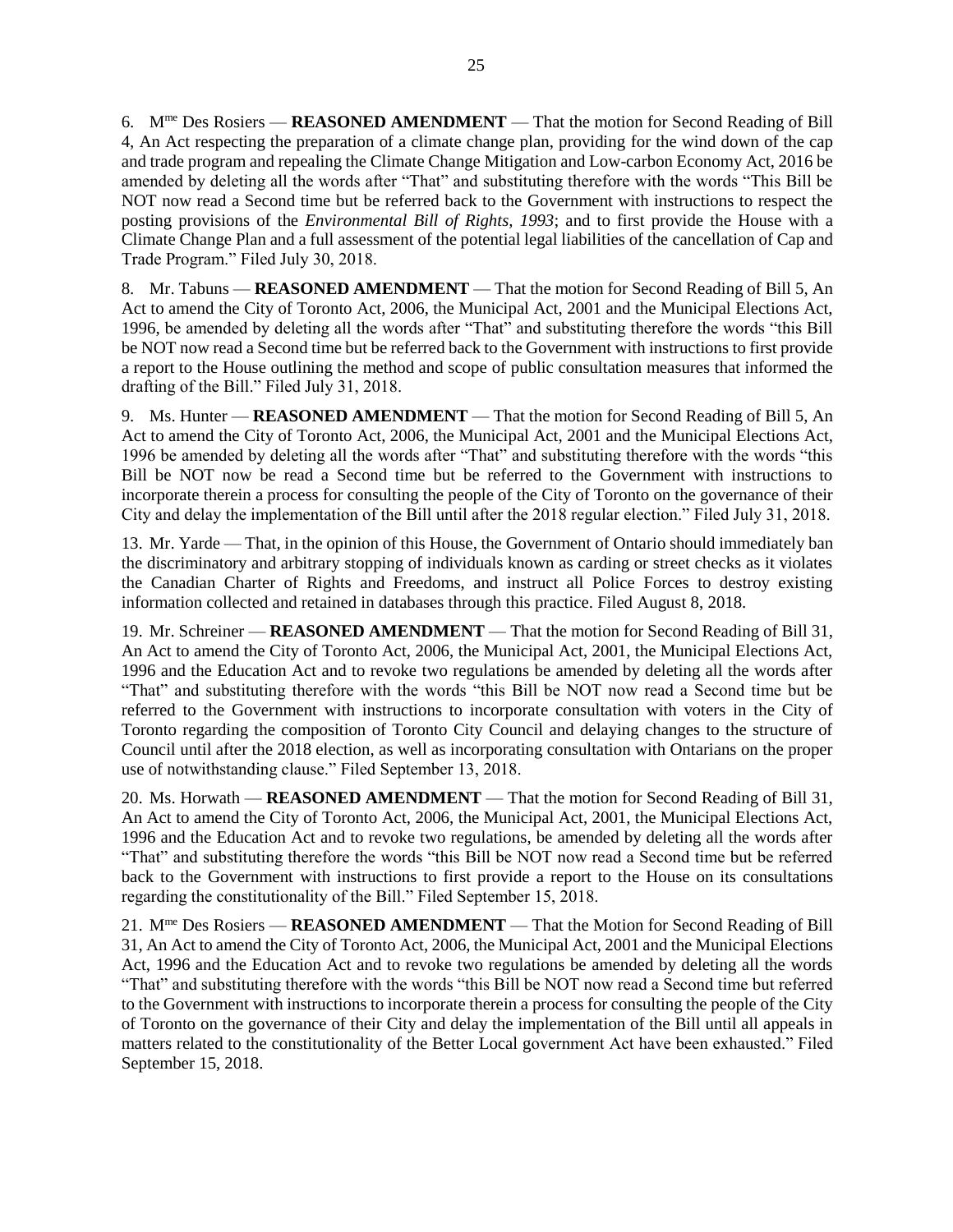6. Mme Des Rosiers — **REASONED AMENDMENT** — That the motion for Second Reading of Bill 4, An Act respecting the preparation of a climate change plan, providing for the wind down of the cap and trade program and repealing the Climate Change Mitigation and Low-carbon Economy Act, 2016 be amended by deleting all the words after "That" and substituting therefore with the words "This Bill be NOT now read a Second time but be referred back to the Government with instructions to respect the posting provisions of the *Environmental Bill of Rights, 1993*; and to first provide the House with a Climate Change Plan and a full assessment of the potential legal liabilities of the cancellation of Cap and Trade Program." Filed July 30, 2018.

8. Mr. Tabuns — **REASONED AMENDMENT** — That the motion for Second Reading of Bill 5, An Act to amend the City of Toronto Act, 2006, the Municipal Act, 2001 and the Municipal Elections Act, 1996, be amended by deleting all the words after "That" and substituting therefore the words "this Bill be NOT now read a Second time but be referred back to the Government with instructions to first provide a report to the House outlining the method and scope of public consultation measures that informed the drafting of the Bill." Filed July 31, 2018.

9. Ms. Hunter — **REASONED AMENDMENT** — That the motion for Second Reading of Bill 5, An Act to amend the City of Toronto Act, 2006, the Municipal Act, 2001 and the Municipal Elections Act, 1996 be amended by deleting all the words after "That" and substituting therefore with the words "this Bill be NOT now be read a Second time but be referred to the Government with instructions to incorporate therein a process for consulting the people of the City of Toronto on the governance of their City and delay the implementation of the Bill until after the 2018 regular election." Filed July 31, 2018.

13. Mr. Yarde — That, in the opinion of this House, the Government of Ontario should immediately ban the discriminatory and arbitrary stopping of individuals known as carding or street checks as it violates the Canadian Charter of Rights and Freedoms, and instruct all Police Forces to destroy existing information collected and retained in databases through this practice. Filed August 8, 2018.

19. Mr. Schreiner — **REASONED AMENDMENT** — That the motion for Second Reading of Bill 31, An Act to amend the City of Toronto Act, 2006, the Municipal Act, 2001, the Municipal Elections Act, 1996 and the Education Act and to revoke two regulations be amended by deleting all the words after "That" and substituting therefore with the words "this Bill be NOT now read a Second time but be referred to the Government with instructions to incorporate consultation with voters in the City of Toronto regarding the composition of Toronto City Council and delaying changes to the structure of Council until after the 2018 election, as well as incorporating consultation with Ontarians on the proper use of notwithstanding clause." Filed September 13, 2018.

20. Ms. Horwath — **REASONED AMENDMENT** — That the motion for Second Reading of Bill 31, An Act to amend the City of Toronto Act, 2006, the Municipal Act, 2001, the Municipal Elections Act, 1996 and the Education Act and to revoke two regulations, be amended by deleting all the words after "That" and substituting therefore the words "this Bill be NOT now read a Second time but be referred back to the Government with instructions to first provide a report to the House on its consultations regarding the constitutionality of the Bill." Filed September 15, 2018.

21. Mme Des Rosiers — **REASONED AMENDMENT** — That the Motion for Second Reading of Bill 31, An Act to amend the City of Toronto Act, 2006, the Municipal Act, 2001 and the Municipal Elections Act, 1996 and the Education Act and to revoke two regulations be amended by deleting all the words "That" and substituting therefore with the words "this Bill be NOT now read a Second time but referred to the Government with instructions to incorporate therein a process for consulting the people of the City of Toronto on the governance of their City and delay the implementation of the Bill until all appeals in matters related to the constitutionality of the Better Local government Act have been exhausted." Filed September 15, 2018.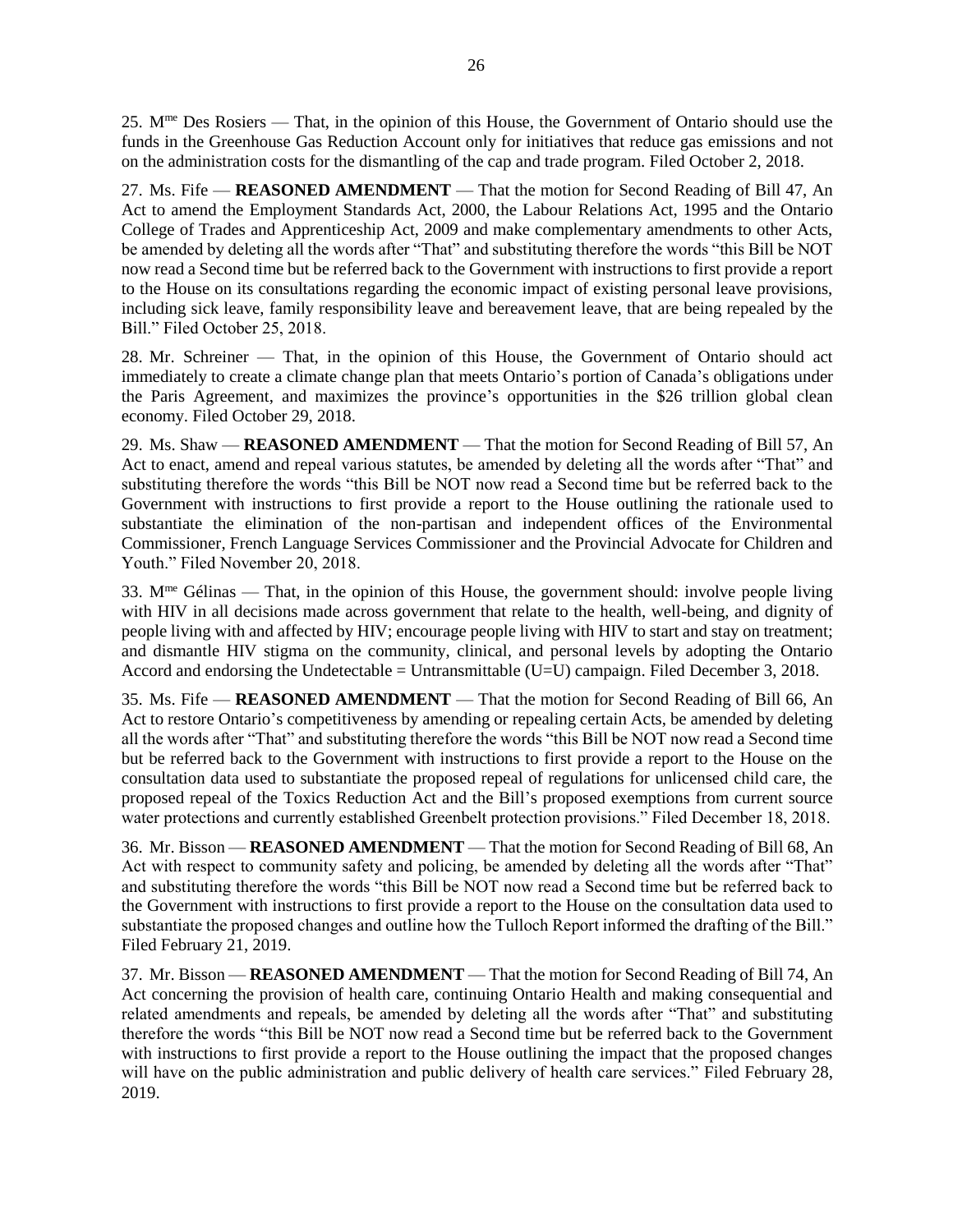25. Mme Des Rosiers — That, in the opinion of this House, the Government of Ontario should use the funds in the Greenhouse Gas Reduction Account only for initiatives that reduce gas emissions and not on the administration costs for the dismantling of the cap and trade program. Filed October 2, 2018.

27. Ms. Fife — **REASONED AMENDMENT** — That the motion for Second Reading of Bill 47, An Act to amend the Employment Standards Act, 2000, the Labour Relations Act, 1995 and the Ontario College of Trades and Apprenticeship Act, 2009 and make complementary amendments to other Acts, be amended by deleting all the words after "That" and substituting therefore the words "this Bill be NOT now read a Second time but be referred back to the Government with instructions to first provide a report to the House on its consultations regarding the economic impact of existing personal leave provisions, including sick leave, family responsibility leave and bereavement leave, that are being repealed by the Bill." Filed October 25, 2018.

28. Mr. Schreiner — That, in the opinion of this House, the Government of Ontario should act immediately to create a climate change plan that meets Ontario's portion of Canada's obligations under the Paris Agreement, and maximizes the province's opportunities in the \$26 trillion global clean economy. Filed October 29, 2018.

29. Ms. Shaw — **REASONED AMENDMENT** — That the motion for Second Reading of Bill 57, An Act to enact, amend and repeal various statutes, be amended by deleting all the words after "That" and substituting therefore the words "this Bill be NOT now read a Second time but be referred back to the Government with instructions to first provide a report to the House outlining the rationale used to substantiate the elimination of the non-partisan and independent offices of the Environmental Commissioner, French Language Services Commissioner and the Provincial Advocate for Children and Youth." Filed November 20, 2018.

33.  $M^{\text{me}}$  Gélinas — That, in the opinion of this House, the government should: involve people living with HIV in all decisions made across government that relate to the health, well-being, and dignity of people living with and affected by HIV; encourage people living with HIV to start and stay on treatment; and dismantle HIV stigma on the community, clinical, and personal levels by adopting the Ontario Accord and endorsing the Undetectable = Untransmittable (U=U) campaign. Filed December 3, 2018.

35. Ms. Fife — **REASONED AMENDMENT** — That the motion for Second Reading of Bill 66, An Act to restore Ontario's competitiveness by amending or repealing certain Acts, be amended by deleting all the words after "That" and substituting therefore the words "this Bill be NOT now read a Second time but be referred back to the Government with instructions to first provide a report to the House on the consultation data used to substantiate the proposed repeal of regulations for unlicensed child care, the proposed repeal of the Toxics Reduction Act and the Bill's proposed exemptions from current source water protections and currently established Greenbelt protection provisions." Filed December 18, 2018.

36. Mr. Bisson — **REASONED AMENDMENT** — That the motion for Second Reading of Bill 68, An Act with respect to community safety and policing, be amended by deleting all the words after "That" and substituting therefore the words "this Bill be NOT now read a Second time but be referred back to the Government with instructions to first provide a report to the House on the consultation data used to substantiate the proposed changes and outline how the Tulloch Report informed the drafting of the Bill." Filed February 21, 2019.

37. Mr. Bisson — **REASONED AMENDMENT** — That the motion for Second Reading of Bill 74, An Act concerning the provision of health care, continuing Ontario Health and making consequential and related amendments and repeals, be amended by deleting all the words after "That" and substituting therefore the words "this Bill be NOT now read a Second time but be referred back to the Government with instructions to first provide a report to the House outlining the impact that the proposed changes will have on the public administration and public delivery of health care services." Filed February 28, 2019.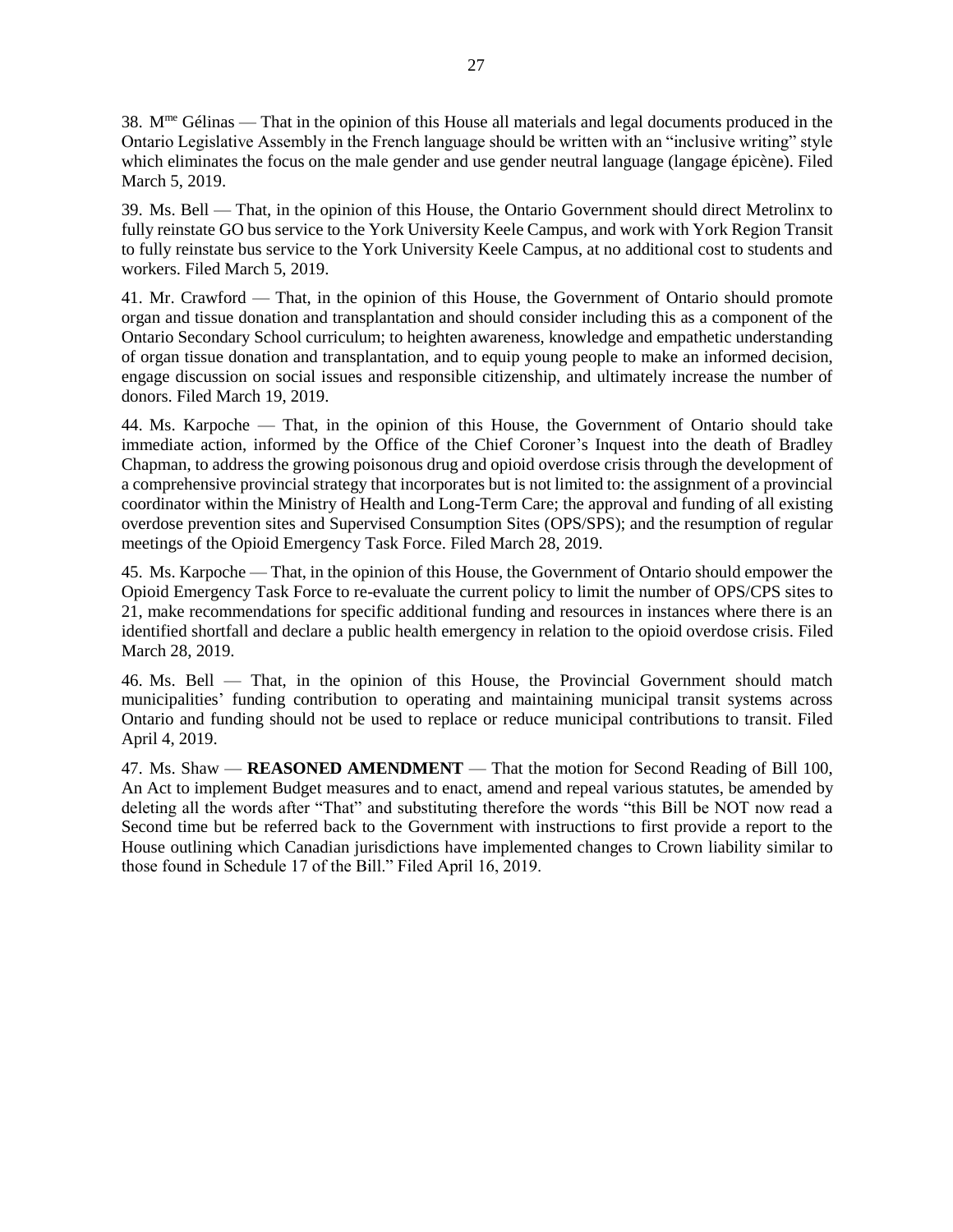38.  $M^{\text{me}}$  Gélinas — That in the opinion of this House all materials and legal documents produced in the Ontario Legislative Assembly in the French language should be written with an "inclusive writing" style which eliminates the focus on the male gender and use gender neutral language (langage épicène). Filed March 5, 2019.

39. Ms. Bell — That, in the opinion of this House, the Ontario Government should direct Metrolinx to fully reinstate GO bus service to the York University Keele Campus, and work with York Region Transit to fully reinstate bus service to the York University Keele Campus, at no additional cost to students and workers. Filed March 5, 2019.

41. Mr. Crawford — That, in the opinion of this House, the Government of Ontario should promote organ and tissue donation and transplantation and should consider including this as a component of the Ontario Secondary School curriculum; to heighten awareness, knowledge and empathetic understanding of organ tissue donation and transplantation, and to equip young people to make an informed decision, engage discussion on social issues and responsible citizenship, and ultimately increase the number of donors. Filed March 19, 2019.

44. Ms. Karpoche — That, in the opinion of this House, the Government of Ontario should take immediate action, informed by the Office of the Chief Coroner's Inquest into the death of Bradley Chapman, to address the growing poisonous drug and opioid overdose crisis through the development of a comprehensive provincial strategy that incorporates but is not limited to: the assignment of a provincial coordinator within the Ministry of Health and Long-Term Care; the approval and funding of all existing overdose prevention sites and Supervised Consumption Sites (OPS/SPS); and the resumption of regular meetings of the Opioid Emergency Task Force. Filed March 28, 2019.

45. Ms. Karpoche — That, in the opinion of this House, the Government of Ontario should empower the Opioid Emergency Task Force to re-evaluate the current policy to limit the number of OPS/CPS sites to 21, make recommendations for specific additional funding and resources in instances where there is an identified shortfall and declare a public health emergency in relation to the opioid overdose crisis. Filed March 28, 2019.

46. Ms. Bell — That, in the opinion of this House, the Provincial Government should match municipalities' funding contribution to operating and maintaining municipal transit systems across Ontario and funding should not be used to replace or reduce municipal contributions to transit. Filed April 4, 2019.

47. Ms. Shaw — **REASONED AMENDMENT** — That the motion for Second Reading of Bill 100, An Act to implement Budget measures and to enact, amend and repeal various statutes, be amended by deleting all the words after "That" and substituting therefore the words "this Bill be NOT now read a Second time but be referred back to the Government with instructions to first provide a report to the House outlining which Canadian jurisdictions have implemented changes to Crown liability similar to those found in Schedule 17 of the Bill." Filed April 16, 2019.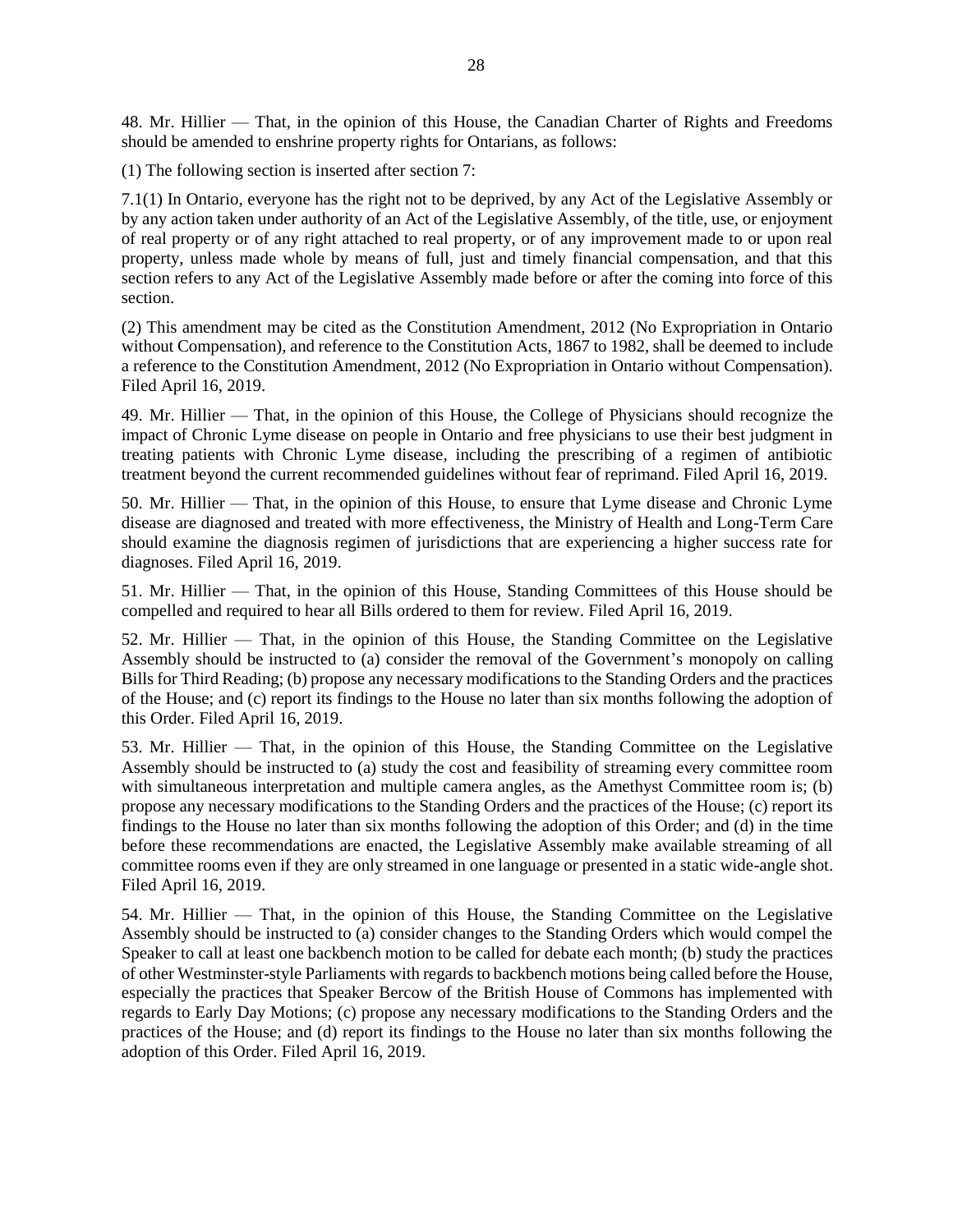48. Mr. Hillier — That, in the opinion of this House, the Canadian Charter of Rights and Freedoms should be amended to enshrine property rights for Ontarians, as follows:

(1) The following section is inserted after section 7:

7.1(1) In Ontario, everyone has the right not to be deprived, by any Act of the Legislative Assembly or by any action taken under authority of an Act of the Legislative Assembly, of the title, use, or enjoyment of real property or of any right attached to real property, or of any improvement made to or upon real property, unless made whole by means of full, just and timely financial compensation, and that this section refers to any Act of the Legislative Assembly made before or after the coming into force of this section.

(2) This amendment may be cited as the Constitution Amendment, 2012 (No Expropriation in Ontario without Compensation), and reference to the Constitution Acts, 1867 to 1982, shall be deemed to include a reference to the Constitution Amendment, 2012 (No Expropriation in Ontario without Compensation). Filed April 16, 2019.

49. Mr. Hillier — That, in the opinion of this House, the College of Physicians should recognize the impact of Chronic Lyme disease on people in Ontario and free physicians to use their best judgment in treating patients with Chronic Lyme disease, including the prescribing of a regimen of antibiotic treatment beyond the current recommended guidelines without fear of reprimand. Filed April 16, 2019.

50. Mr. Hillier — That, in the opinion of this House, to ensure that Lyme disease and Chronic Lyme disease are diagnosed and treated with more effectiveness, the Ministry of Health and Long-Term Care should examine the diagnosis regimen of jurisdictions that are experiencing a higher success rate for diagnoses. Filed April 16, 2019.

51. Mr. Hillier — That, in the opinion of this House, Standing Committees of this House should be compelled and required to hear all Bills ordered to them for review. Filed April 16, 2019.

52. Mr. Hillier — That, in the opinion of this House, the Standing Committee on the Legislative Assembly should be instructed to (a) consider the removal of the Government's monopoly on calling Bills for Third Reading; (b) propose any necessary modifications to the Standing Orders and the practices of the House; and (c) report its findings to the House no later than six months following the adoption of this Order. Filed April 16, 2019.

53. Mr. Hillier — That, in the opinion of this House, the Standing Committee on the Legislative Assembly should be instructed to (a) study the cost and feasibility of streaming every committee room with simultaneous interpretation and multiple camera angles, as the Amethyst Committee room is; (b) propose any necessary modifications to the Standing Orders and the practices of the House; (c) report its findings to the House no later than six months following the adoption of this Order; and (d) in the time before these recommendations are enacted, the Legislative Assembly make available streaming of all committee rooms even if they are only streamed in one language or presented in a static wide-angle shot. Filed April 16, 2019.

54. Mr. Hillier — That, in the opinion of this House, the Standing Committee on the Legislative Assembly should be instructed to (a) consider changes to the Standing Orders which would compel the Speaker to call at least one backbench motion to be called for debate each month; (b) study the practices of other Westminster-style Parliaments with regards to backbench motions being called before the House, especially the practices that Speaker Bercow of the British House of Commons has implemented with regards to Early Day Motions; (c) propose any necessary modifications to the Standing Orders and the practices of the House; and (d) report its findings to the House no later than six months following the adoption of this Order. Filed April 16, 2019.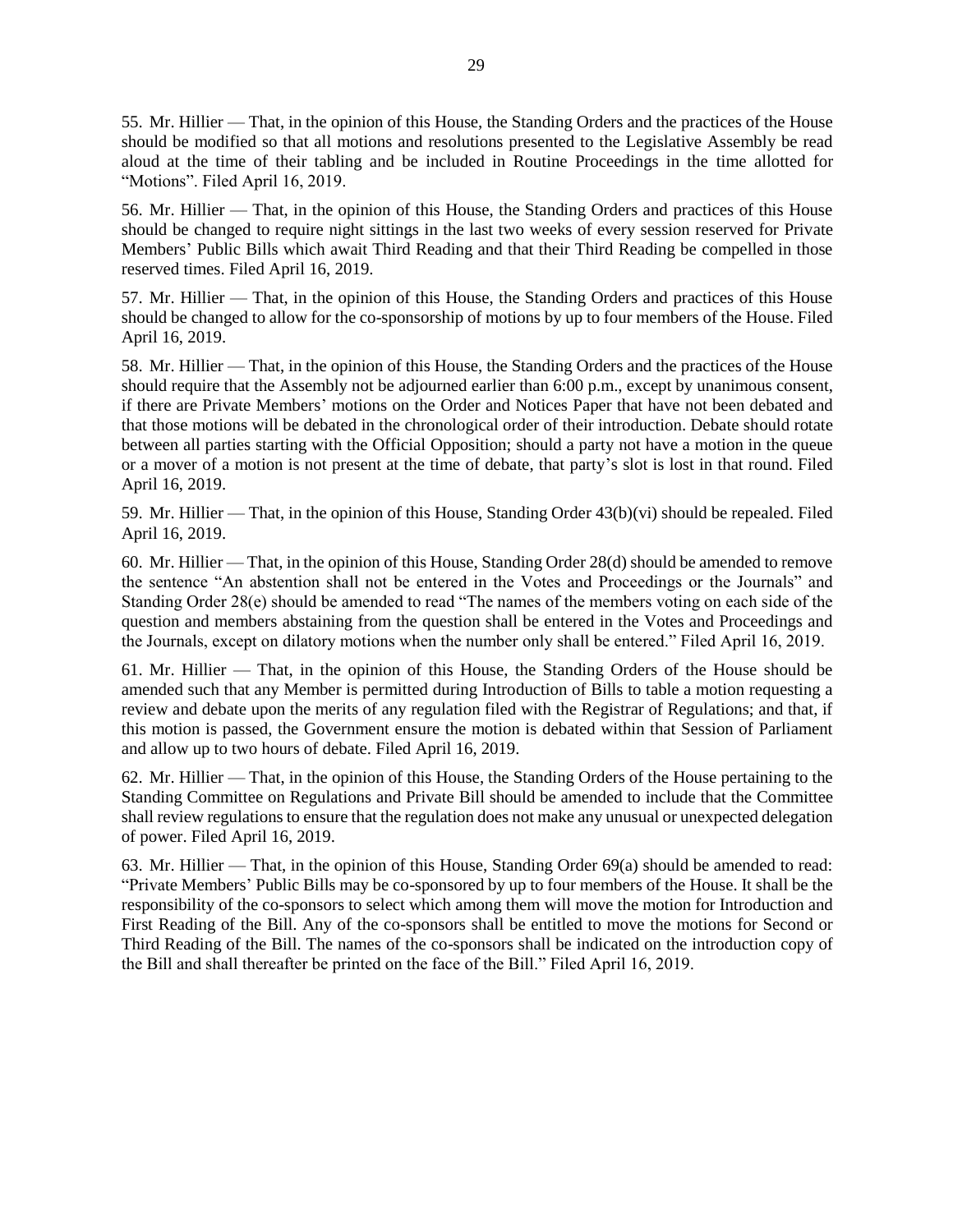55. Mr. Hillier — That, in the opinion of this House, the Standing Orders and the practices of the House should be modified so that all motions and resolutions presented to the Legislative Assembly be read aloud at the time of their tabling and be included in Routine Proceedings in the time allotted for "Motions". Filed April 16, 2019.

56. Mr. Hillier — That, in the opinion of this House, the Standing Orders and practices of this House should be changed to require night sittings in the last two weeks of every session reserved for Private Members' Public Bills which await Third Reading and that their Third Reading be compelled in those reserved times. Filed April 16, 2019.

57. Mr. Hillier — That, in the opinion of this House, the Standing Orders and practices of this House should be changed to allow for the co-sponsorship of motions by up to four members of the House. Filed April 16, 2019.

58. Mr. Hillier — That, in the opinion of this House, the Standing Orders and the practices of the House should require that the Assembly not be adjourned earlier than 6:00 p.m., except by unanimous consent, if there are Private Members' motions on the Order and Notices Paper that have not been debated and that those motions will be debated in the chronological order of their introduction. Debate should rotate between all parties starting with the Official Opposition; should a party not have a motion in the queue or a mover of a motion is not present at the time of debate, that party's slot is lost in that round. Filed April 16, 2019.

59. Mr. Hillier — That, in the opinion of this House, Standing Order 43(b)(vi) should be repealed. Filed April 16, 2019.

60. Mr. Hillier — That, in the opinion of this House, Standing Order 28(d) should be amended to remove the sentence "An abstention shall not be entered in the Votes and Proceedings or the Journals" and Standing Order 28(e) should be amended to read "The names of the members voting on each side of the question and members abstaining from the question shall be entered in the Votes and Proceedings and the Journals, except on dilatory motions when the number only shall be entered." Filed April 16, 2019.

61. Mr. Hillier — That, in the opinion of this House, the Standing Orders of the House should be amended such that any Member is permitted during Introduction of Bills to table a motion requesting a review and debate upon the merits of any regulation filed with the Registrar of Regulations; and that, if this motion is passed, the Government ensure the motion is debated within that Session of Parliament and allow up to two hours of debate. Filed April 16, 2019.

62. Mr. Hillier — That, in the opinion of this House, the Standing Orders of the House pertaining to the Standing Committee on Regulations and Private Bill should be amended to include that the Committee shall review regulations to ensure that the regulation does not make any unusual or unexpected delegation of power. Filed April 16, 2019.

63. Mr. Hillier — That, in the opinion of this House, Standing Order 69(a) should be amended to read: "Private Members' Public Bills may be co-sponsored by up to four members of the House. It shall be the responsibility of the co-sponsors to select which among them will move the motion for Introduction and First Reading of the Bill. Any of the co-sponsors shall be entitled to move the motions for Second or Third Reading of the Bill. The names of the co-sponsors shall be indicated on the introduction copy of the Bill and shall thereafter be printed on the face of the Bill." Filed April 16, 2019.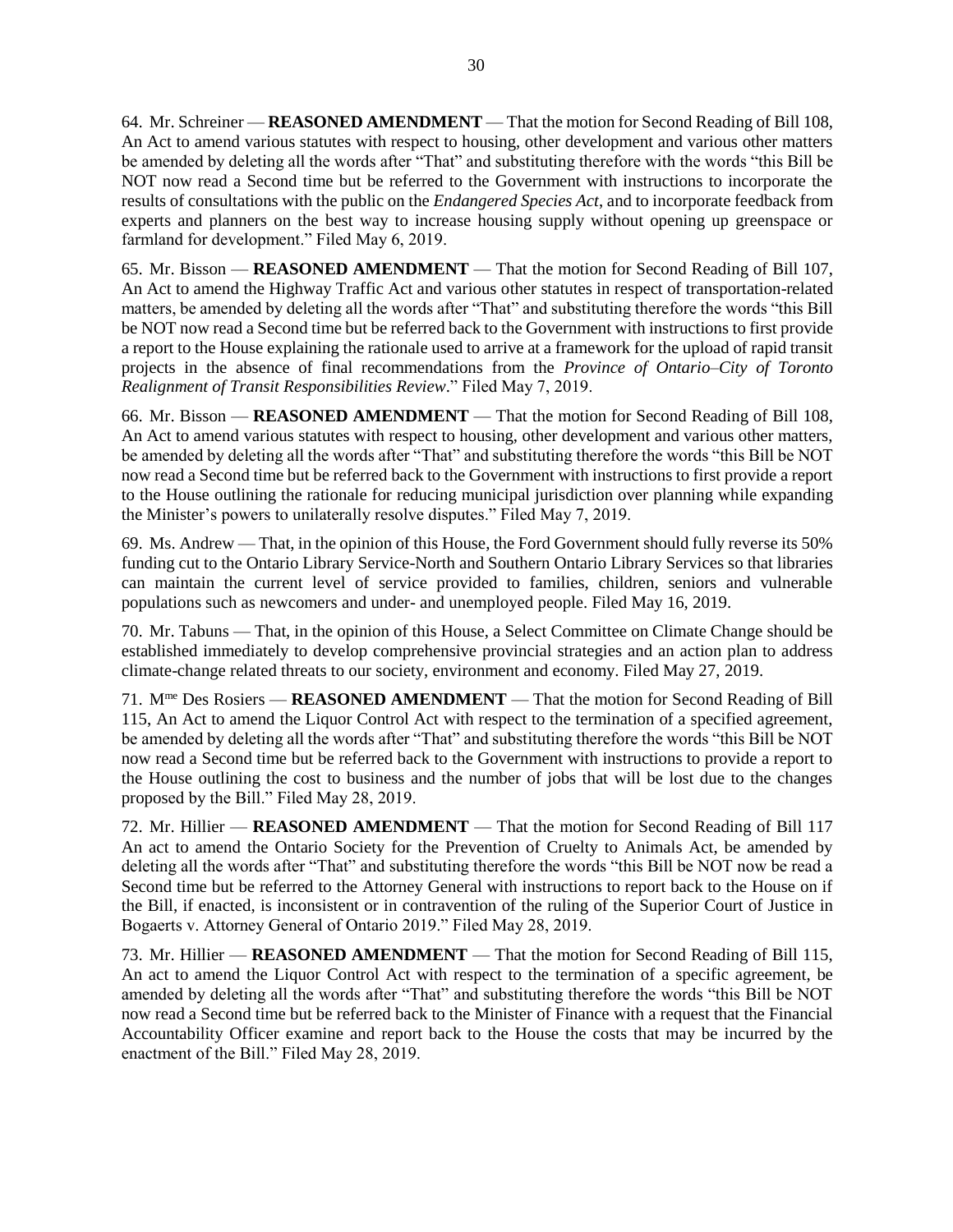64. Mr. Schreiner — **REASONED AMENDMENT** — That the motion for Second Reading of Bill 108, An Act to amend various statutes with respect to housing, other development and various other matters be amended by deleting all the words after "That" and substituting therefore with the words "this Bill be NOT now read a Second time but be referred to the Government with instructions to incorporate the results of consultations with the public on the *Endangered Species Act*, and to incorporate feedback from experts and planners on the best way to increase housing supply without opening up greenspace or farmland for development." Filed May 6, 2019.

65. Mr. Bisson — **REASONED AMENDMENT** — That the motion for Second Reading of Bill 107, An Act to amend the Highway Traffic Act and various other statutes in respect of transportation-related matters, be amended by deleting all the words after "That" and substituting therefore the words "this Bill be NOT now read a Second time but be referred back to the Government with instructions to first provide a report to the House explaining the rationale used to arrive at a framework for the upload of rapid transit projects in the absence of final recommendations from the *Province of Ontario–City of Toronto Realignment of Transit Responsibilities Review*." Filed May 7, 2019.

66. Mr. Bisson — **REASONED AMENDMENT** — That the motion for Second Reading of Bill 108, An Act to amend various statutes with respect to housing, other development and various other matters, be amended by deleting all the words after "That" and substituting therefore the words "this Bill be NOT now read a Second time but be referred back to the Government with instructions to first provide a report to the House outlining the rationale for reducing municipal jurisdiction over planning while expanding the Minister's powers to unilaterally resolve disputes." Filed May 7, 2019.

69. Ms. Andrew — That, in the opinion of this House, the Ford Government should fully reverse its 50% funding cut to the Ontario Library Service-North and Southern Ontario Library Services so that libraries can maintain the current level of service provided to families, children, seniors and vulnerable populations such as newcomers and under- and unemployed people. Filed May 16, 2019.

70. Mr. Tabuns — That, in the opinion of this House, a Select Committee on Climate Change should be established immediately to develop comprehensive provincial strategies and an action plan to address climate-change related threats to our society, environment and economy. Filed May 27, 2019.

71. Mme Des Rosiers — **REASONED AMENDMENT** — That the motion for Second Reading of Bill 115, An Act to amend the Liquor Control Act with respect to the termination of a specified agreement, be amended by deleting all the words after "That" and substituting therefore the words "this Bill be NOT now read a Second time but be referred back to the Government with instructions to provide a report to the House outlining the cost to business and the number of jobs that will be lost due to the changes proposed by the Bill." Filed May 28, 2019.

72. Mr. Hillier — **REASONED AMENDMENT** — That the motion for Second Reading of Bill 117 An act to amend the Ontario Society for the Prevention of Cruelty to Animals Act, be amended by deleting all the words after "That" and substituting therefore the words "this Bill be NOT now be read a Second time but be referred to the Attorney General with instructions to report back to the House on if the Bill, if enacted, is inconsistent or in contravention of the ruling of the Superior Court of Justice in Bogaerts v. Attorney General of Ontario 2019." Filed May 28, 2019.

73. Mr. Hillier — **REASONED AMENDMENT** — That the motion for Second Reading of Bill 115, An act to amend the Liquor Control Act with respect to the termination of a specific agreement, be amended by deleting all the words after "That" and substituting therefore the words "this Bill be NOT now read a Second time but be referred back to the Minister of Finance with a request that the Financial Accountability Officer examine and report back to the House the costs that may be incurred by the enactment of the Bill." Filed May 28, 2019.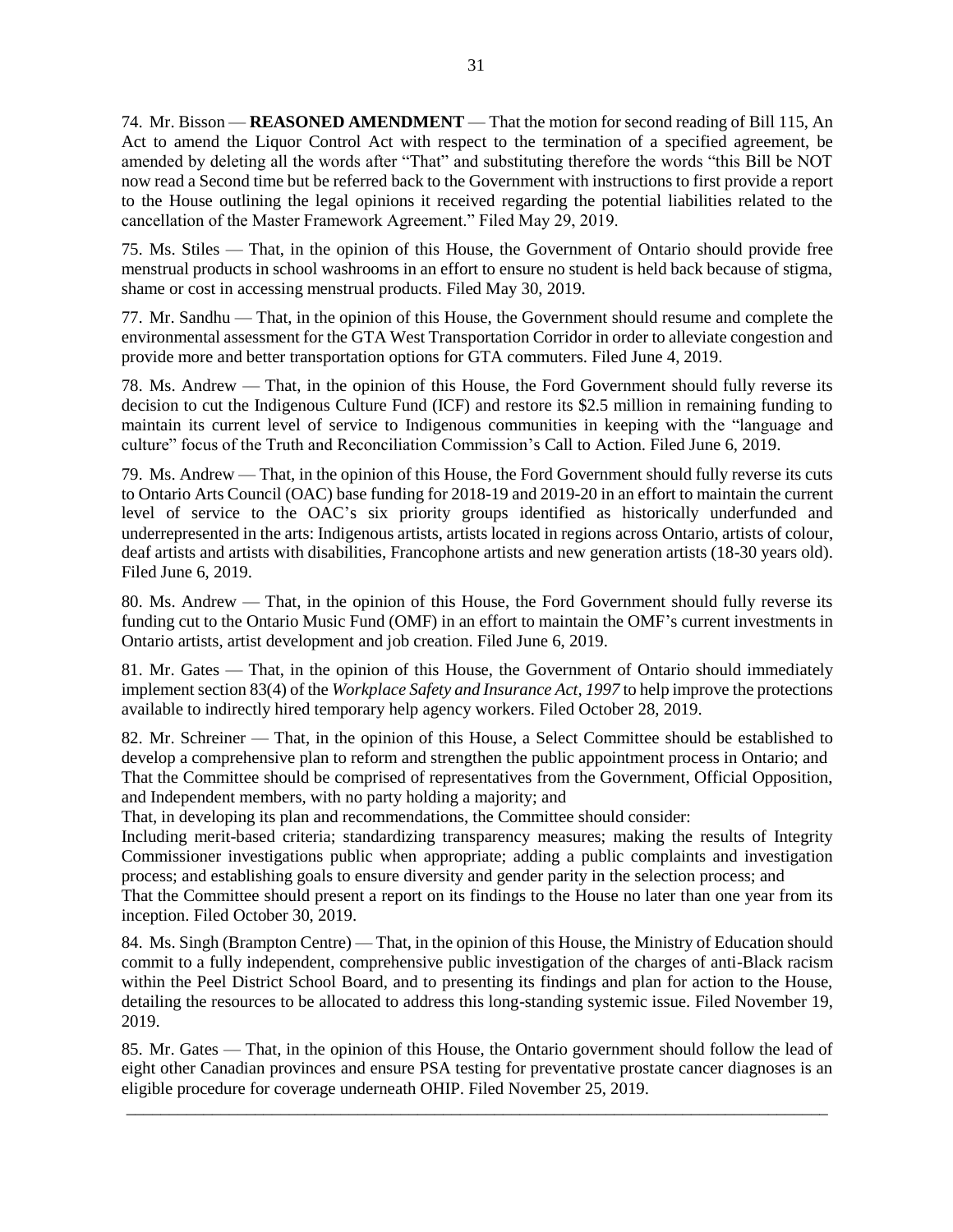74. Mr. Bisson — **REASONED AMENDMENT** — That the motion for second reading of Bill 115, An Act to amend the Liquor Control Act with respect to the termination of a specified agreement, be amended by deleting all the words after "That" and substituting therefore the words "this Bill be NOT now read a Second time but be referred back to the Government with instructions to first provide a report to the House outlining the legal opinions it received regarding the potential liabilities related to the cancellation of the Master Framework Agreement." Filed May 29, 2019.

75. Ms. Stiles — That, in the opinion of this House, the Government of Ontario should provide free menstrual products in school washrooms in an effort to ensure no student is held back because of stigma, shame or cost in accessing menstrual products. Filed May 30, 2019.

77. Mr. Sandhu — That, in the opinion of this House, the Government should resume and complete the environmental assessment for the GTA West Transportation Corridor in order to alleviate congestion and provide more and better transportation options for GTA commuters. Filed June 4, 2019.

78. Ms. Andrew — That, in the opinion of this House, the Ford Government should fully reverse its decision to cut the Indigenous Culture Fund (ICF) and restore its \$2.5 million in remaining funding to maintain its current level of service to Indigenous communities in keeping with the "language and culture" focus of the Truth and Reconciliation Commission's Call to Action. Filed June 6, 2019.

79. Ms. Andrew — That, in the opinion of this House, the Ford Government should fully reverse its cuts to Ontario Arts Council (OAC) base funding for 2018-19 and 2019-20 in an effort to maintain the current level of service to the OAC's six priority groups identified as historically underfunded and underrepresented in the arts: Indigenous artists, artists located in regions across Ontario, artists of colour, deaf artists and artists with disabilities, Francophone artists and new generation artists (18-30 years old). Filed June 6, 2019.

80. Ms. Andrew — That, in the opinion of this House, the Ford Government should fully reverse its funding cut to the Ontario Music Fund (OMF) in an effort to maintain the OMF's current investments in Ontario artists, artist development and job creation. Filed June 6, 2019.

81. Mr. Gates — That, in the opinion of this House, the Government of Ontario should immediately implement section 83(4) of the *Workplace Safety and Insurance Act, 1997* to help improve the protections available to indirectly hired temporary help agency workers. Filed October 28, 2019.

82. Mr. Schreiner — That, in the opinion of this House, a Select Committee should be established to develop a comprehensive plan to reform and strengthen the public appointment process in Ontario; and That the Committee should be comprised of representatives from the Government, Official Opposition, and Independent members, with no party holding a majority; and

That, in developing its plan and recommendations, the Committee should consider:

Including merit-based criteria; standardizing transparency measures; making the results of Integrity Commissioner investigations public when appropriate; adding a public complaints and investigation process; and establishing goals to ensure diversity and gender parity in the selection process; and

That the Committee should present a report on its findings to the House no later than one year from its inception. Filed October 30, 2019.

84. Ms. Singh (Brampton Centre) — That, in the opinion of this House, the Ministry of Education should commit to a fully independent, comprehensive public investigation of the charges of anti-Black racism within the Peel District School Board, and to presenting its findings and plan for action to the House, detailing the resources to be allocated to address this long-standing systemic issue. Filed November 19, 2019.

85. Mr. Gates — That, in the opinion of this House, the Ontario government should follow the lead of eight other Canadian provinces and ensure PSA testing for preventative prostate cancer diagnoses is an eligible procedure for coverage underneath OHIP. Filed November 25, 2019.

\_\_\_\_\_\_\_\_\_\_\_\_\_\_\_\_\_\_\_\_\_\_\_\_\_\_\_\_\_\_\_\_\_\_\_\_\_\_\_\_\_\_\_\_\_\_\_\_\_\_\_\_\_\_\_\_\_\_\_\_\_\_\_\_\_\_\_\_\_\_\_\_\_\_\_\_\_\_\_\_\_\_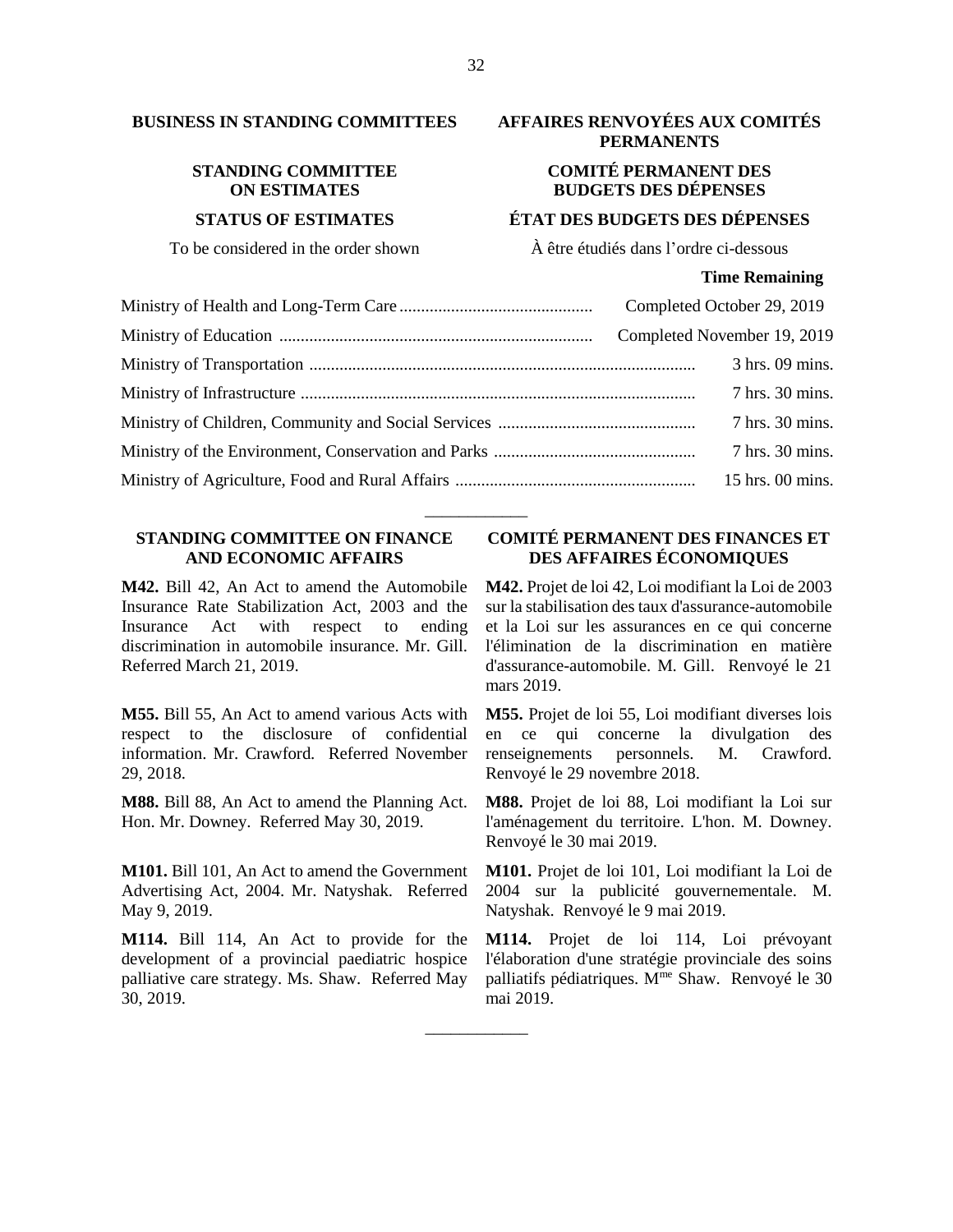# **STANDING COMMITTEE ON ESTIMATES**

# **BUSINESS IN STANDING COMMITTEES AFFAIRES RENVOYÉES AUX COMITÉS PERMANENTS**

# **COMITÉ PERMANENT DES BUDGETS DES DÉPENSES**

## **STATUS OF ESTIMATES ÉTAT DES BUDGETS DES DÉPENSES**

To be considered in the order shown  $\hat{A}$  être étudiés dans l'ordre ci-dessous

### **Time Remaining**

|  | Completed October 29, 2019  |
|--|-----------------------------|
|  | Completed November 19, 2019 |
|  | 3 hrs. 09 mins.             |
|  | 7 hrs. 30 mins.             |
|  | 7 hrs. 30 mins.             |
|  | 7 hrs. 30 mins.             |
|  | 15 hrs. 00 mins.            |

\_\_\_\_\_\_\_\_\_\_\_\_

\_\_\_\_\_\_\_\_\_\_\_\_

# **STANDING COMMITTEE ON FINANCE AND ECONOMIC AFFAIRS**

**M42.** Bill 42, An Act to amend the Automobile Insurance Rate Stabilization Act, 2003 and the Insurance Act with respect to ending discrimination in automobile insurance. Mr. Gill. Referred March 21, 2019.

**M55.** Bill 55, An Act to amend various Acts with respect to the disclosure of confidential information. Mr. Crawford. Referred November 29, 2018.

**M88.** Bill 88, An Act to amend the Planning Act. Hon. Mr. Downey. Referred May 30, 2019.

**M101.** Bill 101, An Act to amend the Government Advertising Act, 2004. Mr. Natyshak. Referred May 9, 2019.

**M114.** Bill 114, An Act to provide for the development of a provincial paediatric hospice palliative care strategy. Ms. Shaw. Referred May 30, 2019.

# **COMITÉ PERMANENT DES FINANCES ET DES AFFAIRES ÉCONOMIQUES**

**M42.** Projet de loi 42, Loi modifiant la Loi de 2003 sur la stabilisation des taux d'assurance-automobile et la Loi sur les assurances en ce qui concerne l'élimination de la discrimination en matière d'assurance-automobile. M. Gill. Renvoyé le 21 mars 2019.

**M55.** Projet de loi 55, Loi modifiant diverses lois en ce qui concerne la divulgation des renseignements personnels. M. Crawford. Renvoyé le 29 novembre 2018.

**M88.** Projet de loi 88, Loi modifiant la Loi sur l'aménagement du territoire. L'hon. M. Downey. Renvoyé le 30 mai 2019.

**M101.** Projet de loi 101, Loi modifiant la Loi de 2004 sur la publicité gouvernementale. M. Natyshak. Renvoyé le 9 mai 2019.

**M114.** Projet de loi 114, Loi prévoyant l'élaboration d'une stratégie provinciale des soins palliatifs pédiatriques. M<sup>me</sup> Shaw. Renvoyé le 30 mai 2019.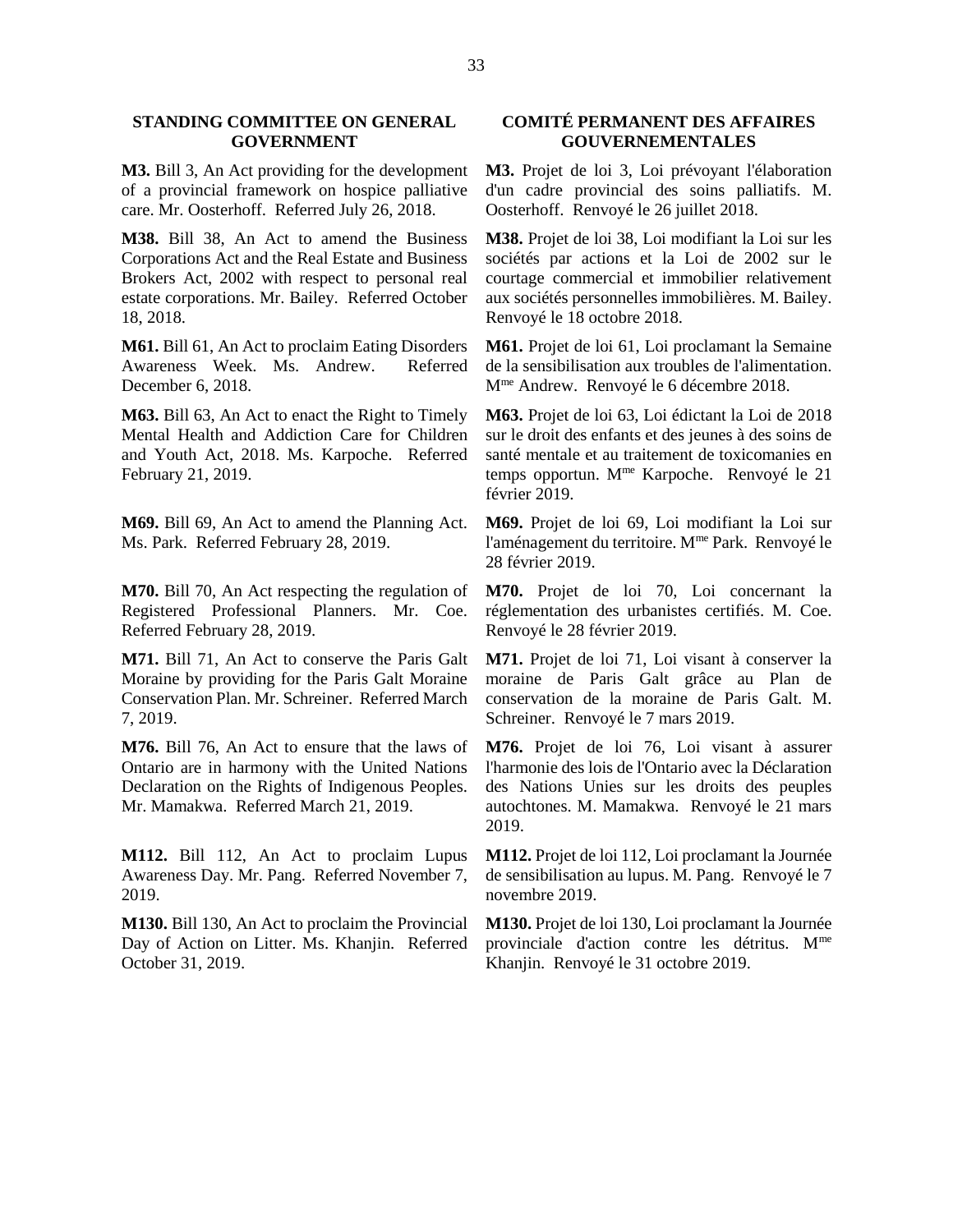### **STANDING COMMITTEE ON GENERAL GOVERNMENT**

**M3.** Bill 3, An Act providing for the development of a provincial framework on hospice palliative care. Mr. Oosterhoff. Referred July 26, 2018.

**M38.** Bill 38, An Act to amend the Business Corporations Act and the Real Estate and Business Brokers Act, 2002 with respect to personal real estate corporations. Mr. Bailey. Referred October 18, 2018.

**M61.** Bill 61, An Act to proclaim Eating Disorders Awareness Week. Ms. Andrew. Referred December 6, 2018.

**M63.** Bill 63, An Act to enact the Right to Timely Mental Health and Addiction Care for Children and Youth Act, 2018. Ms. Karpoche. Referred February 21, 2019.

**M69.** Bill 69, An Act to amend the Planning Act. Ms. Park. Referred February 28, 2019.

**M70.** Bill 70, An Act respecting the regulation of Registered Professional Planners. Mr. Coe. Referred February 28, 2019.

**M71.** Bill 71, An Act to conserve the Paris Galt Moraine by providing for the Paris Galt Moraine Conservation Plan. Mr. Schreiner. Referred March 7, 2019.

**M76.** Bill 76, An Act to ensure that the laws of Ontario are in harmony with the United Nations Declaration on the Rights of Indigenous Peoples. Mr. Mamakwa. Referred March 21, 2019.

**M112.** Bill 112, An Act to proclaim Lupus Awareness Day. Mr. Pang. Referred November 7, 2019.

**M130.** Bill 130, An Act to proclaim the Provincial Day of Action on Litter. Ms. Khanjin. Referred October 31, 2019.

# **COMITÉ PERMANENT DES AFFAIRES GOUVERNEMENTALES**

**M3.** Projet de loi 3, Loi prévoyant l'élaboration d'un cadre provincial des soins palliatifs. M. Oosterhoff. Renvoyé le 26 juillet 2018.

**M38.** Projet de loi 38, Loi modifiant la Loi sur les sociétés par actions et la Loi de 2002 sur le courtage commercial et immobilier relativement aux sociétés personnelles immobilières. M. Bailey. Renvoyé le 18 octobre 2018.

**M61.** Projet de loi 61, Loi proclamant la Semaine de la sensibilisation aux troubles de l'alimentation. Mme Andrew. Renvoyé le 6 décembre 2018.

**M63.** Projet de loi 63, Loi édictant la Loi de 2018 sur le droit des enfants et des jeunes à des soins de santé mentale et au traitement de toxicomanies en temps opportun. M<sup>me</sup> Karpoche. Renvoyé le 21 février 2019.

**M69.** Projet de loi 69, Loi modifiant la Loi sur l'aménagement du territoire. M<sup>me</sup> Park. Renvoyé le 28 février 2019.

**M70.** Projet de loi 70, Loi concernant la réglementation des urbanistes certifiés. M. Coe. Renvoyé le 28 février 2019.

**M71.** Projet de loi 71, Loi visant à conserver la moraine de Paris Galt grâce au Plan de conservation de la moraine de Paris Galt. M. Schreiner. Renvoyé le 7 mars 2019.

**M76.** Projet de loi 76, Loi visant à assurer l'harmonie des lois de l'Ontario avec la Déclaration des Nations Unies sur les droits des peuples autochtones. M. Mamakwa. Renvoyé le 21 mars 2019.

**M112.** Projet de loi 112, Loi proclamant la Journée de sensibilisation au lupus. M. Pang. Renvoyé le 7 novembre 2019.

**M130.** Projet de loi 130, Loi proclamant la Journée provinciale d'action contre les détritus. Mme Khanjin. Renvoyé le 31 octobre 2019.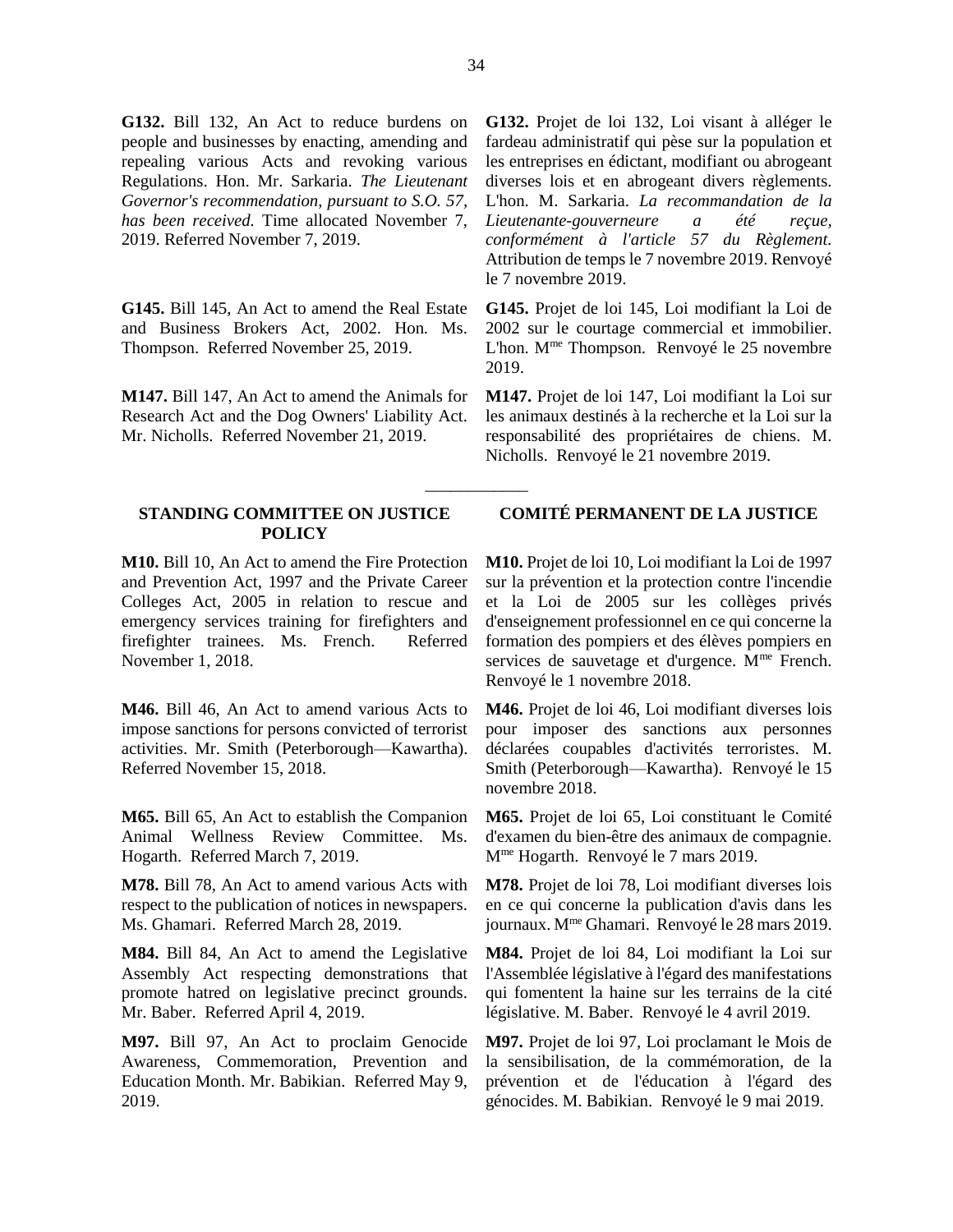**G132.** Bill 132, An Act to reduce burdens on people and businesses by enacting, amending and repealing various Acts and revoking various Regulations. Hon. Mr. Sarkaria. *The Lieutenant Governor's recommendation, pursuant to S.O. 57, has been received.* Time allocated November 7, 2019. Referred November 7, 2019.

**G145.** Bill 145, An Act to amend the Real Estate and Business Brokers Act, 2002. Hon. Ms. Thompson. Referred November 25, 2019.

**M147.** Bill 147, An Act to amend the Animals for Research Act and the Dog Owners' Liability Act. Mr. Nicholls. Referred November 21, 2019.

### **STANDING COMMITTEE ON JUSTICE POLICY**

**M10.** Bill 10, An Act to amend the Fire Protection and Prevention Act, 1997 and the Private Career Colleges Act, 2005 in relation to rescue and emergency services training for firefighters and firefighter trainees. Ms. French. Referred November 1, 2018.

**M46.** Bill 46, An Act to amend various Acts to impose sanctions for persons convicted of terrorist activities. Mr. Smith (Peterborough—Kawartha). Referred November 15, 2018.

**M65.** Bill 65, An Act to establish the Companion Animal Wellness Review Committee. Ms. Hogarth. Referred March 7, 2019.

**M78.** Bill 78, An Act to amend various Acts with respect to the publication of notices in newspapers. Ms. Ghamari. Referred March 28, 2019.

**M84.** Bill 84, An Act to amend the Legislative Assembly Act respecting demonstrations that promote hatred on legislative precinct grounds. Mr. Baber. Referred April 4, 2019.

**M97.** Bill 97, An Act to proclaim Genocide Awareness, Commemoration, Prevention and Education Month. Mr. Babikian. Referred May 9, 2019.

**G132.** Projet de loi 132, Loi visant à alléger le fardeau administratif qui pèse sur la population et les entreprises en édictant, modifiant ou abrogeant diverses lois et en abrogeant divers règlements. L'hon. M. Sarkaria. *La recommandation de la Lieutenante-gouverneure a été reçue, conformément à l'article 57 du Règlement.*  Attribution de temps le 7 novembre 2019. Renvoyé le 7 novembre 2019.

**G145.** Projet de loi 145, Loi modifiant la Loi de 2002 sur le courtage commercial et immobilier. L'hon. M<sup>me</sup> Thompson. Renvoyé le 25 novembre 2019.

**M147.** Projet de loi 147, Loi modifiant la Loi sur les animaux destinés à la recherche et la Loi sur la responsabilité des propriétaires de chiens. M. Nicholls. Renvoyé le 21 novembre 2019.

# **COMITÉ PERMANENT DE LA JUSTICE**

**M10.** Projet de loi 10, Loi modifiant la Loi de 1997 sur la prévention et la protection contre l'incendie et la Loi de 2005 sur les collèges privés d'enseignement professionnel en ce qui concerne la formation des pompiers et des élèves pompiers en services de sauvetage et d'urgence. M<sup>me</sup> French. Renvoyé le 1 novembre 2018.

**M46.** Projet de loi 46, Loi modifiant diverses lois pour imposer des sanctions aux personnes déclarées coupables d'activités terroristes. M. Smith (Peterborough—Kawartha). Renvoyé le 15 novembre 2018.

**M65.** Projet de loi 65, Loi constituant le Comité d'examen du bien-être des animaux de compagnie. Mme Hogarth. Renvoyé le 7 mars 2019.

**M78.** Projet de loi 78, Loi modifiant diverses lois en ce qui concerne la publication d'avis dans les journaux. Mme Ghamari. Renvoyé le 28 mars 2019.

**M84.** Projet de loi 84, Loi modifiant la Loi sur l'Assemblée législative à l'égard des manifestations qui fomentent la haine sur les terrains de la cité législative. M. Baber. Renvoyé le 4 avril 2019.

**M97.** Projet de loi 97, Loi proclamant le Mois de la sensibilisation, de la commémoration, de la prévention et de l'éducation à l'égard des génocides. M. Babikian. Renvoyé le 9 mai 2019.

\_\_\_\_\_\_\_\_\_\_\_\_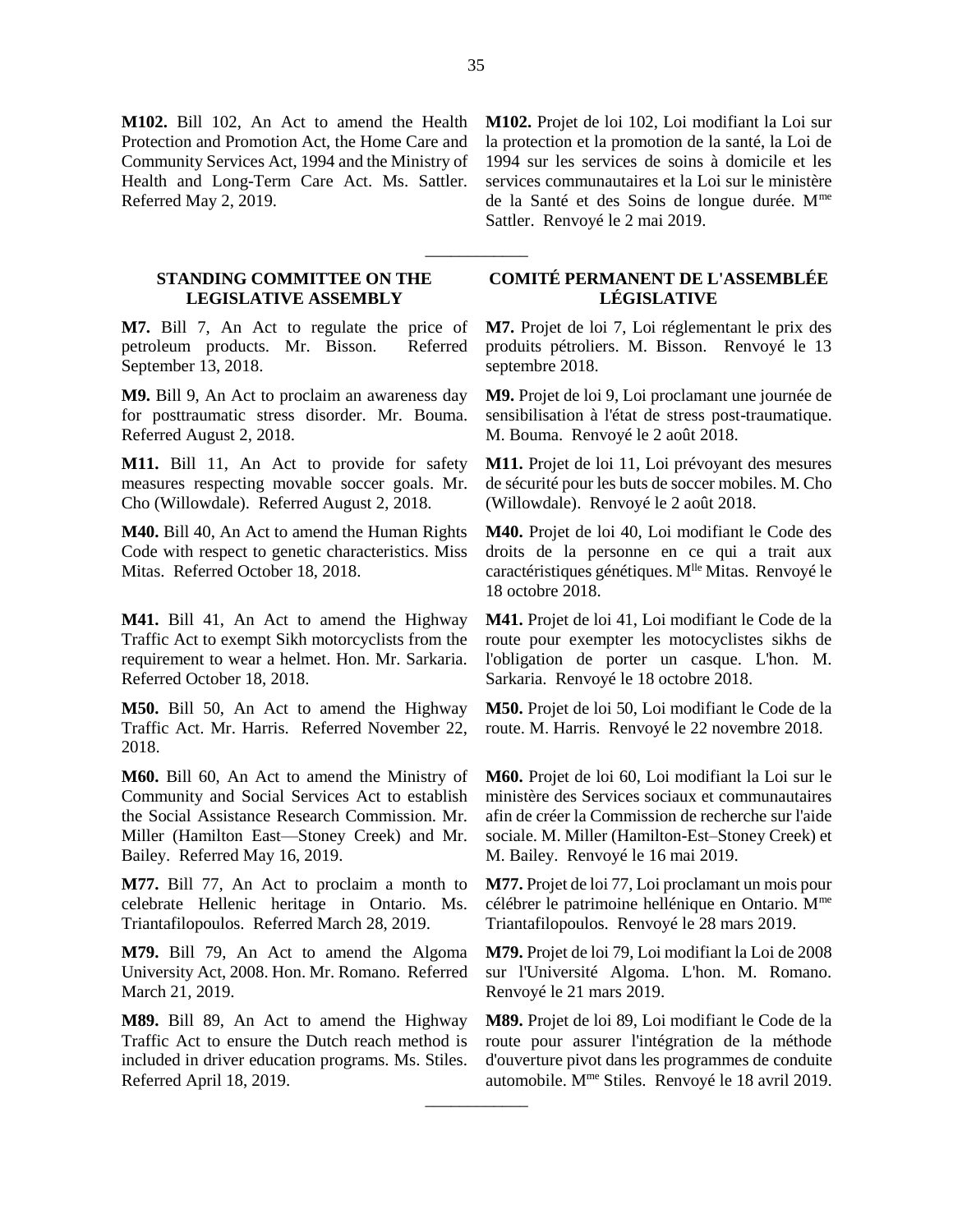**M102.** Bill 102, An Act to amend the Health Protection and Promotion Act, the Home Care and Community Services Act, 1994 and the Ministry of Health and Long-Term Care Act. Ms. Sattler. Referred May 2, 2019.

### **STANDING COMMITTEE ON THE LEGISLATIVE ASSEMBLY**

**M7.** Bill 7, An Act to regulate the price of petroleum products. Mr. Bisson. Referred September 13, 2018.

**M9.** Bill 9, An Act to proclaim an awareness day for posttraumatic stress disorder. Mr. Bouma. Referred August 2, 2018.

**M11.** Bill 11, An Act to provide for safety measures respecting movable soccer goals. Mr. Cho (Willowdale). Referred August 2, 2018.

**M40.** Bill 40, An Act to amend the Human Rights Code with respect to genetic characteristics. Miss Mitas. Referred October 18, 2018.

**M41.** Bill 41, An Act to amend the Highway Traffic Act to exempt Sikh motorcyclists from the requirement to wear a helmet. Hon. Mr. Sarkaria. Referred October 18, 2018.

**M50.** Bill 50, An Act to amend the Highway Traffic Act. Mr. Harris. Referred November 22, 2018.

**M60.** Bill 60, An Act to amend the Ministry of Community and Social Services Act to establish the Social Assistance Research Commission. Mr. Miller (Hamilton East—Stoney Creek) and Mr. Bailey. Referred May 16, 2019.

**M77.** Bill 77, An Act to proclaim a month to celebrate Hellenic heritage in Ontario. Ms. Triantafilopoulos. Referred March 28, 2019.

**M79.** Bill 79, An Act to amend the Algoma University Act, 2008. Hon. Mr. Romano. Referred March 21, 2019.

**M89.** Bill 89, An Act to amend the Highway Traffic Act to ensure the Dutch reach method is included in driver education programs. Ms. Stiles. Referred April 18, 2019.

**M102.** Projet de loi 102, Loi modifiant la Loi sur la protection et la promotion de la santé, la Loi de 1994 sur les services de soins à domicile et les services communautaires et la Loi sur le ministère de la Santé et des Soins de longue durée. Mme Sattler. Renvoyé le 2 mai 2019.

# **COMITÉ PERMANENT DE L'ASSEMBLÉE LÉGISLATIVE**

**M7.** Projet de loi 7, Loi réglementant le prix des produits pétroliers. M. Bisson. Renvoyé le 13 septembre 2018.

**M9.** Projet de loi 9, Loi proclamant une journée de sensibilisation à l'état de stress post-traumatique. M. Bouma. Renvoyé le 2 août 2018.

**M11.** Projet de loi 11, Loi prévoyant des mesures de sécurité pour les buts de soccer mobiles. M. Cho (Willowdale). Renvoyé le 2 août 2018.

**M40.** Projet de loi 40, Loi modifiant le Code des droits de la personne en ce qui a trait aux caractéristiques génétiques. M<sup>lle</sup> Mitas. Renvoyé le 18 octobre 2018.

**M41.** Projet de loi 41, Loi modifiant le Code de la route pour exempter les motocyclistes sikhs de l'obligation de porter un casque. L'hon. M. Sarkaria. Renvoyé le 18 octobre 2018.

**M50.** Projet de loi 50, Loi modifiant le Code de la route. M. Harris. Renvoyé le 22 novembre 2018.

**M60.** Projet de loi 60, Loi modifiant la Loi sur le ministère des Services sociaux et communautaires afin de créer la Commission de recherche sur l'aide sociale. M. Miller (Hamilton-Est–Stoney Creek) et M. Bailey. Renvoyé le 16 mai 2019.

**M77.** Projet de loi 77, Loi proclamant un mois pour célébrer le patrimoine hellénique en Ontario. Mme Triantafilopoulos. Renvoyé le 28 mars 2019.

**M79.** Projet de loi 79, Loi modifiant la Loi de 2008 sur l'Université Algoma. L'hon. M. Romano. Renvoyé le 21 mars 2019.

**M89.** Projet de loi 89, Loi modifiant le Code de la route pour assurer l'intégration de la méthode d'ouverture pivot dans les programmes de conduite automobile. Mme Stiles. Renvoyé le 18 avril 2019.

\_\_\_\_\_\_\_\_\_\_\_\_

\_\_\_\_\_\_\_\_\_\_\_\_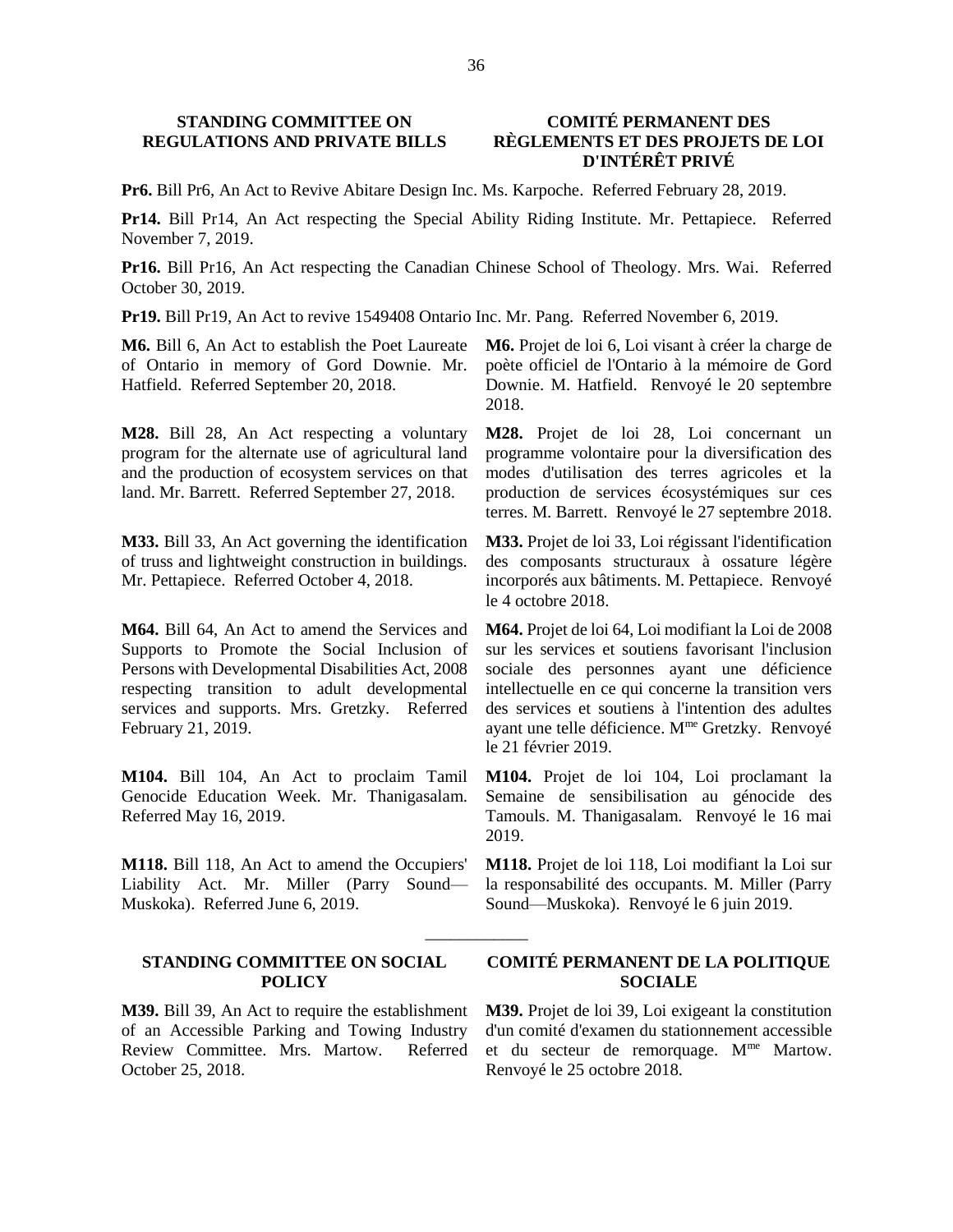# **STANDING COMMITTEE ON REGULATIONS AND PRIVATE BILLS**

### **COMITÉ PERMANENT DES RÈGLEMENTS ET DES PROJETS DE LOI D'INTÉRÊT PRIVÉ**

**Pr6.** Bill Pr6, An Act to Revive Abitare Design Inc. Ms. Karpoche. Referred February 28, 2019.

**Pr14.** Bill Pr14, An Act respecting the Special Ability Riding Institute. Mr. Pettapiece. Referred November 7, 2019.

**Pr16.** Bill Pr16, An Act respecting the Canadian Chinese School of Theology. Mrs. Wai. Referred October 30, 2019.

\_\_\_\_\_\_\_\_\_\_\_\_

**Pr19.** Bill Pr19, An Act to revive 1549408 Ontario Inc. Mr. Pang. Referred November 6, 2019.

**M6.** Bill 6, An Act to establish the Poet Laureate of Ontario in memory of Gord Downie. Mr. Hatfield. Referred September 20, 2018.

**M28.** Bill 28, An Act respecting a voluntary program for the alternate use of agricultural land and the production of ecosystem services on that land. Mr. Barrett. Referred September 27, 2018.

**M33.** Bill 33, An Act governing the identification of truss and lightweight construction in buildings. Mr. Pettapiece. Referred October 4, 2018.

**M64.** Bill 64, An Act to amend the Services and Supports to Promote the Social Inclusion of Persons with Developmental Disabilities Act, 2008 respecting transition to adult developmental services and supports. Mrs. Gretzky. Referred February 21, 2019.

**M104.** Bill 104, An Act to proclaim Tamil Genocide Education Week. Mr. Thanigasalam. Referred May 16, 2019.

**M118.** Bill 118, An Act to amend the Occupiers' Liability Act. Mr. Miller (Parry Sound— Muskoka). Referred June 6, 2019.

### **STANDING COMMITTEE ON SOCIAL POLICY**

**M39.** Bill 39, An Act to require the establishment of an Accessible Parking and Towing Industry Review Committee. Mrs. Martow. Referred October 25, 2018.

**M6.** Projet de loi 6, Loi visant à créer la charge de poète officiel de l'Ontario à la mémoire de Gord Downie. M. Hatfield. Renvoyé le 20 septembre 2018.

**M28.** Projet de loi 28, Loi concernant un programme volontaire pour la diversification des modes d'utilisation des terres agricoles et la production de services écosystémiques sur ces terres. M. Barrett. Renvoyé le 27 septembre 2018.

**M33.** Projet de loi 33, Loi régissant l'identification des composants structuraux à ossature légère incorporés aux bâtiments. M. Pettapiece. Renvoyé le 4 octobre 2018.

**M64.** Projet de loi 64, Loi modifiant la Loi de 2008 sur les services et soutiens favorisant l'inclusion sociale des personnes ayant une déficience intellectuelle en ce qui concerne la transition vers des services et soutiens à l'intention des adultes ayant une telle déficience. M<sup>me</sup> Gretzky. Renvoyé le 21 février 2019.

**M104.** Projet de loi 104, Loi proclamant la Semaine de sensibilisation au génocide des Tamouls. M. Thanigasalam. Renvoyé le 16 mai 2019.

**M118.** Projet de loi 118, Loi modifiant la Loi sur la responsabilité des occupants. M. Miller (Parry Sound—Muskoka). Renvoyé le 6 juin 2019.

### **COMITÉ PERMANENT DE LA POLITIQUE SOCIALE**

**M39.** Projet de loi 39, Loi exigeant la constitution d'un comité d'examen du stationnement accessible et du secteur de remorquage. M<sup>me</sup> Martow. Renvoyé le 25 octobre 2018.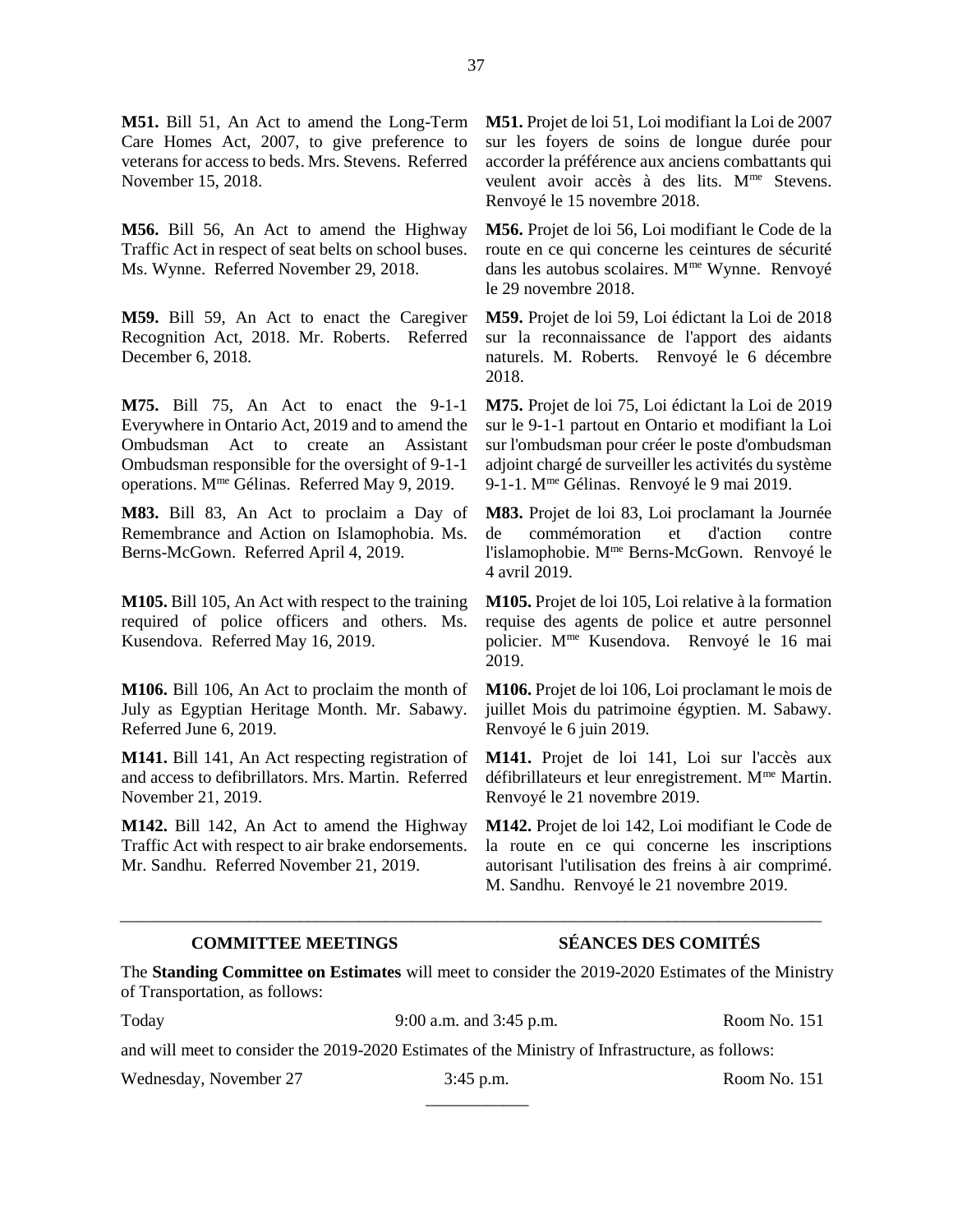**M51.** Bill 51, An Act to amend the Long-Term Care Homes Act, 2007, to give preference to veterans for access to beds. Mrs. Stevens. Referred November 15, 2018.

**M56.** Bill 56, An Act to amend the Highway Traffic Act in respect of seat belts on school buses. Ms. Wynne. Referred November 29, 2018.

**M59.** Bill 59, An Act to enact the Caregiver Recognition Act, 2018. Mr. Roberts. Referred December 6, 2018.

**M75.** Bill 75, An Act to enact the 9-1-1 Everywhere in Ontario Act, 2019 and to amend the Ombudsman Act to create an Assistant Ombudsman responsible for the oversight of 9-1-1 operations. Mme Gélinas. Referred May 9, 2019.

**M83.** Bill 83, An Act to proclaim a Day of Remembrance and Action on Islamophobia. Ms. Berns-McGown. Referred April 4, 2019.

**M105.** Bill 105, An Act with respect to the training required of police officers and others. Ms. Kusendova. Referred May 16, 2019.

**M106.** Bill 106, An Act to proclaim the month of July as Egyptian Heritage Month. Mr. Sabawy. Referred June 6, 2019.

**M141.** Bill 141, An Act respecting registration of and access to defibrillators. Mrs. Martin. Referred November 21, 2019.

**M142.** Bill 142, An Act to amend the Highway Traffic Act with respect to air brake endorsements. Mr. Sandhu. Referred November 21, 2019.

**M51.** Projet de loi 51, Loi modifiant la Loi de 2007 sur les foyers de soins de longue durée pour accorder la préférence aux anciens combattants qui veulent avoir accès à des lits. M<sup>me</sup> Stevens. Renvoyé le 15 novembre 2018.

**M56.** Projet de loi 56, Loi modifiant le Code de la route en ce qui concerne les ceintures de sécurité dans les autobus scolaires. M<sup>me</sup> Wynne. Renvoyé le 29 novembre 2018.

**M59.** Projet de loi 59, Loi édictant la Loi de 2018 sur la reconnaissance de l'apport des aidants naturels. M. Roberts. Renvoyé le 6 décembre 2018.

**M75.** Projet de loi 75, Loi édictant la Loi de 2019 sur le 9-1-1 partout en Ontario et modifiant la Loi sur l'ombudsman pour créer le poste d'ombudsman adjoint chargé de surveiller les activités du système 9-1-1. M<sup>me</sup> Gélinas. Renvoyé le 9 mai 2019.

**M83.** Projet de loi 83, Loi proclamant la Journée de commémoration et d'action contre l'islamophobie. Mme Berns-McGown. Renvoyé le 4 avril 2019.

**M105.** Projet de loi 105, Loi relative à la formation requise des agents de police et autre personnel policier. Mme Kusendova. Renvoyé le 16 mai 2019.

**M106.** Projet de loi 106, Loi proclamant le mois de juillet Mois du patrimoine égyptien. M. Sabawy. Renvoyé le 6 juin 2019.

**M141.** Projet de loi 141, Loi sur l'accès aux défibrillateurs et leur enregistrement. Mme Martin. Renvoyé le 21 novembre 2019.

**M142.** Projet de loi 142, Loi modifiant le Code de la route en ce qui concerne les inscriptions autorisant l'utilisation des freins à air comprimé. M. Sandhu. Renvoyé le 21 novembre 2019.

# **COMMITTEE MEETINGS SÉANCES DES COMITÉS**

The **Standing Committee on Estimates** will meet to consider the 2019-2020 Estimates of the Ministry of Transportation, as follows:

\_\_\_\_\_\_\_\_\_\_\_\_\_\_\_\_\_\_\_\_\_\_\_\_\_\_\_\_\_\_\_\_\_\_\_\_\_\_\_\_\_\_\_\_\_\_\_\_\_\_\_\_\_\_\_\_\_\_\_\_\_\_\_\_\_\_\_\_\_\_\_\_\_\_\_\_\_\_\_\_\_\_

Today 3:00 a.m. and 3:45 p.m. <br>Room No. 151

and will meet to consider the 2019-2020 Estimates of the Ministry of Infrastructure, as follows:

Wednesday, November 27 3:45 p.m. Room No. 151

\_\_\_\_\_\_\_\_\_\_\_\_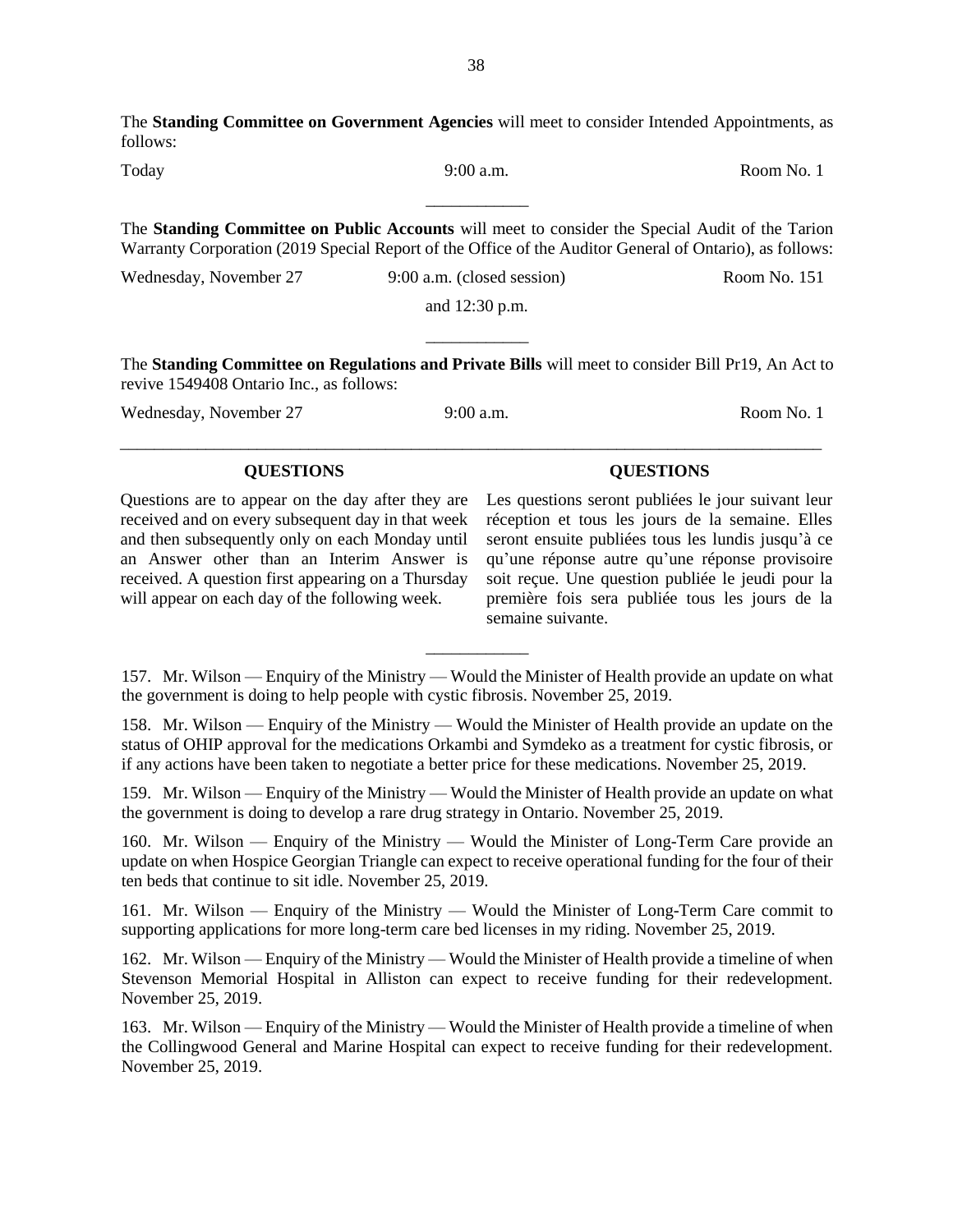The **Standing Committee on Government Agencies** will meet to consider Intended Appointments, as follows:

Today 9:00 a.m. Room No. 1 \_\_\_\_\_\_\_\_\_\_\_\_

The **Standing Committee on Public Accounts** will meet to consider the Special Audit of the Tarion Warranty Corporation (2019 Special Report of the Office of the Auditor General of Ontario), as follows:

Wednesday, November 27 9:00 a.m. (closed session) Room No. 151

and 12:30 p.m. \_\_\_\_\_\_\_\_\_\_\_\_

The **Standing Committee on Regulations and Private Bills** will meet to consider Bill Pr19, An Act to revive 1549408 Ontario Inc., as follows:

Wednesday, November 27 9:00 a.m. Room No. 1

will appear on each day of the following week.

Questions are to appear on the day after they are received and on every subsequent day in that week and then subsequently only on each Monday until an Answer other than an Interim Answer is received. A question first appearing on a Thursday Les questions seront publiées le jour suivant leur réception et tous les jours de la semaine. Elles seront ensuite publiées tous les lundis jusqu'à ce qu'une réponse autre qu'une réponse provisoire soit reçue. Une question publiée le jeudi pour la première fois sera publiée tous les jours de la

semaine suivante. \_\_\_\_\_\_\_\_\_\_\_\_ 157. Mr. Wilson — Enquiry of the Ministry — Would the Minister of Health provide an update on what

the government is doing to help people with cystic fibrosis. November 25, 2019.

158. Mr. Wilson — Enquiry of the Ministry — Would the Minister of Health provide an update on the status of OHIP approval for the medications Orkambi and Symdeko as a treatment for cystic fibrosis, or if any actions have been taken to negotiate a better price for these medications. November 25, 2019.

159. Mr. Wilson — Enquiry of the Ministry — Would the Minister of Health provide an update on what the government is doing to develop a rare drug strategy in Ontario. November 25, 2019.

160. Mr. Wilson — Enquiry of the Ministry — Would the Minister of Long-Term Care provide an update on when Hospice Georgian Triangle can expect to receive operational funding for the four of their ten beds that continue to sit idle. November 25, 2019.

161. Mr. Wilson — Enquiry of the Ministry — Would the Minister of Long-Term Care commit to supporting applications for more long-term care bed licenses in my riding. November 25, 2019.

162. Mr. Wilson — Enquiry of the Ministry — Would the Minister of Health provide a timeline of when Stevenson Memorial Hospital in Alliston can expect to receive funding for their redevelopment. November 25, 2019.

163. Mr. Wilson — Enquiry of the Ministry — Would the Minister of Health provide a timeline of when the Collingwood General and Marine Hospital can expect to receive funding for their redevelopment. November 25, 2019.

**QUESTIONS QUESTIONS**

\_\_\_\_\_\_\_\_\_\_\_\_\_\_\_\_\_\_\_\_\_\_\_\_\_\_\_\_\_\_\_\_\_\_\_\_\_\_\_\_\_\_\_\_\_\_\_\_\_\_\_\_\_\_\_\_\_\_\_\_\_\_\_\_\_\_\_\_\_\_\_\_\_\_\_\_\_\_\_\_\_\_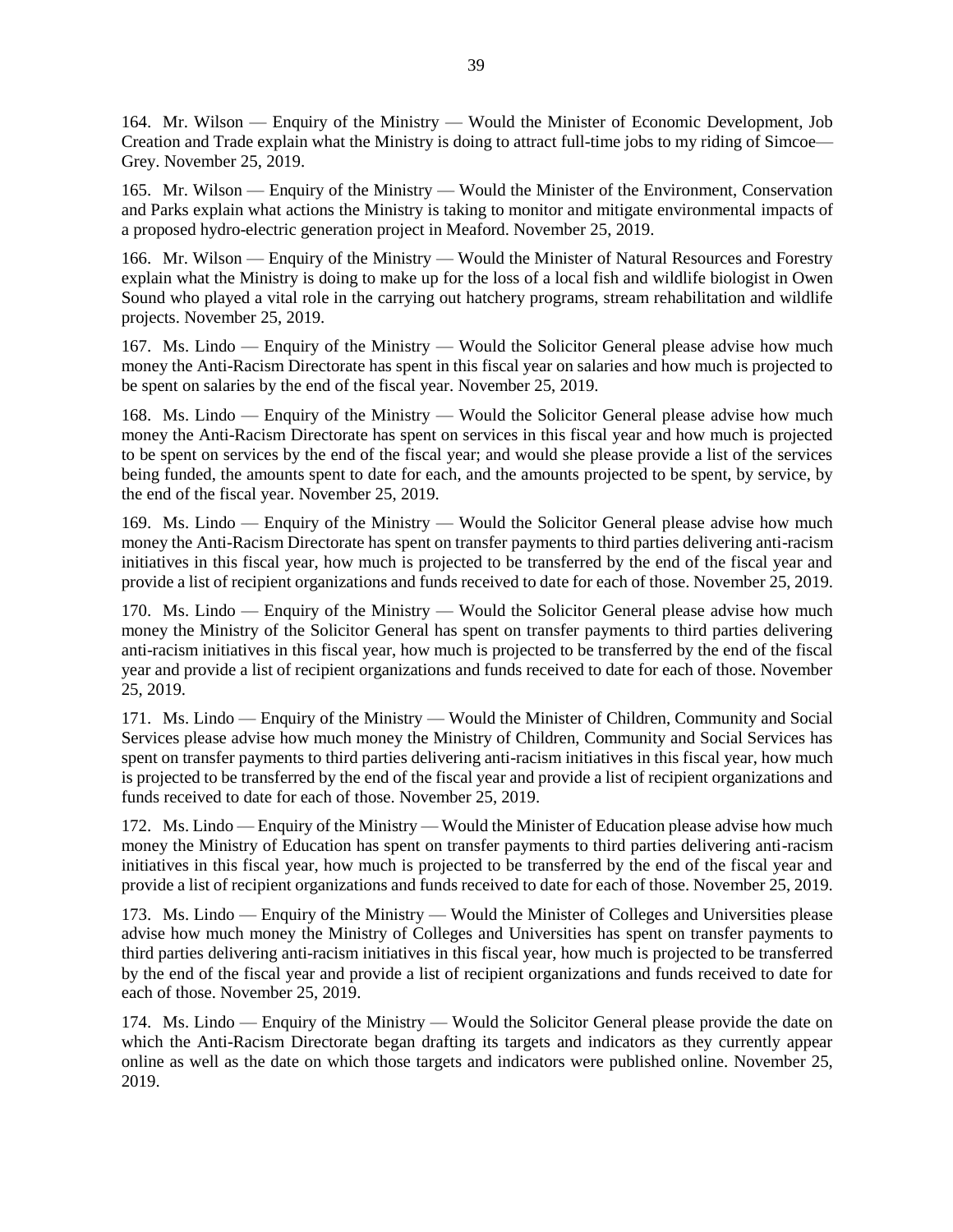164. Mr. Wilson — Enquiry of the Ministry — Would the Minister of Economic Development, Job Creation and Trade explain what the Ministry is doing to attract full-time jobs to my riding of Simcoe— Grey. November 25, 2019.

165. Mr. Wilson — Enquiry of the Ministry — Would the Minister of the Environment, Conservation and Parks explain what actions the Ministry is taking to monitor and mitigate environmental impacts of a proposed hydro-electric generation project in Meaford. November 25, 2019.

166. Mr. Wilson — Enquiry of the Ministry — Would the Minister of Natural Resources and Forestry explain what the Ministry is doing to make up for the loss of a local fish and wildlife biologist in Owen Sound who played a vital role in the carrying out hatchery programs, stream rehabilitation and wildlife projects. November 25, 2019.

167. Ms. Lindo — Enquiry of the Ministry — Would the Solicitor General please advise how much money the Anti-Racism Directorate has spent in this fiscal year on salaries and how much is projected to be spent on salaries by the end of the fiscal year. November 25, 2019.

168. Ms. Lindo — Enquiry of the Ministry — Would the Solicitor General please advise how much money the Anti-Racism Directorate has spent on services in this fiscal year and how much is projected to be spent on services by the end of the fiscal year; and would she please provide a list of the services being funded, the amounts spent to date for each, and the amounts projected to be spent, by service, by the end of the fiscal year. November 25, 2019.

169. Ms. Lindo — Enquiry of the Ministry — Would the Solicitor General please advise how much money the Anti-Racism Directorate has spent on transfer payments to third parties delivering anti-racism initiatives in this fiscal year, how much is projected to be transferred by the end of the fiscal year and provide a list of recipient organizations and funds received to date for each of those. November 25, 2019.

170. Ms. Lindo — Enquiry of the Ministry — Would the Solicitor General please advise how much money the Ministry of the Solicitor General has spent on transfer payments to third parties delivering anti-racism initiatives in this fiscal year, how much is projected to be transferred by the end of the fiscal year and provide a list of recipient organizations and funds received to date for each of those. November 25, 2019.

171. Ms. Lindo — Enquiry of the Ministry — Would the Minister of Children, Community and Social Services please advise how much money the Ministry of Children, Community and Social Services has spent on transfer payments to third parties delivering anti-racism initiatives in this fiscal year, how much is projected to be transferred by the end of the fiscal year and provide a list of recipient organizations and funds received to date for each of those. November 25, 2019.

172. Ms. Lindo — Enquiry of the Ministry — Would the Minister of Education please advise how much money the Ministry of Education has spent on transfer payments to third parties delivering anti-racism initiatives in this fiscal year, how much is projected to be transferred by the end of the fiscal year and provide a list of recipient organizations and funds received to date for each of those. November 25, 2019.

173. Ms. Lindo — Enquiry of the Ministry — Would the Minister of Colleges and Universities please advise how much money the Ministry of Colleges and Universities has spent on transfer payments to third parties delivering anti-racism initiatives in this fiscal year, how much is projected to be transferred by the end of the fiscal year and provide a list of recipient organizations and funds received to date for each of those. November 25, 2019.

174. Ms. Lindo — Enquiry of the Ministry — Would the Solicitor General please provide the date on which the Anti-Racism Directorate began drafting its targets and indicators as they currently appear online as well as the date on which those targets and indicators were published online. November 25, 2019.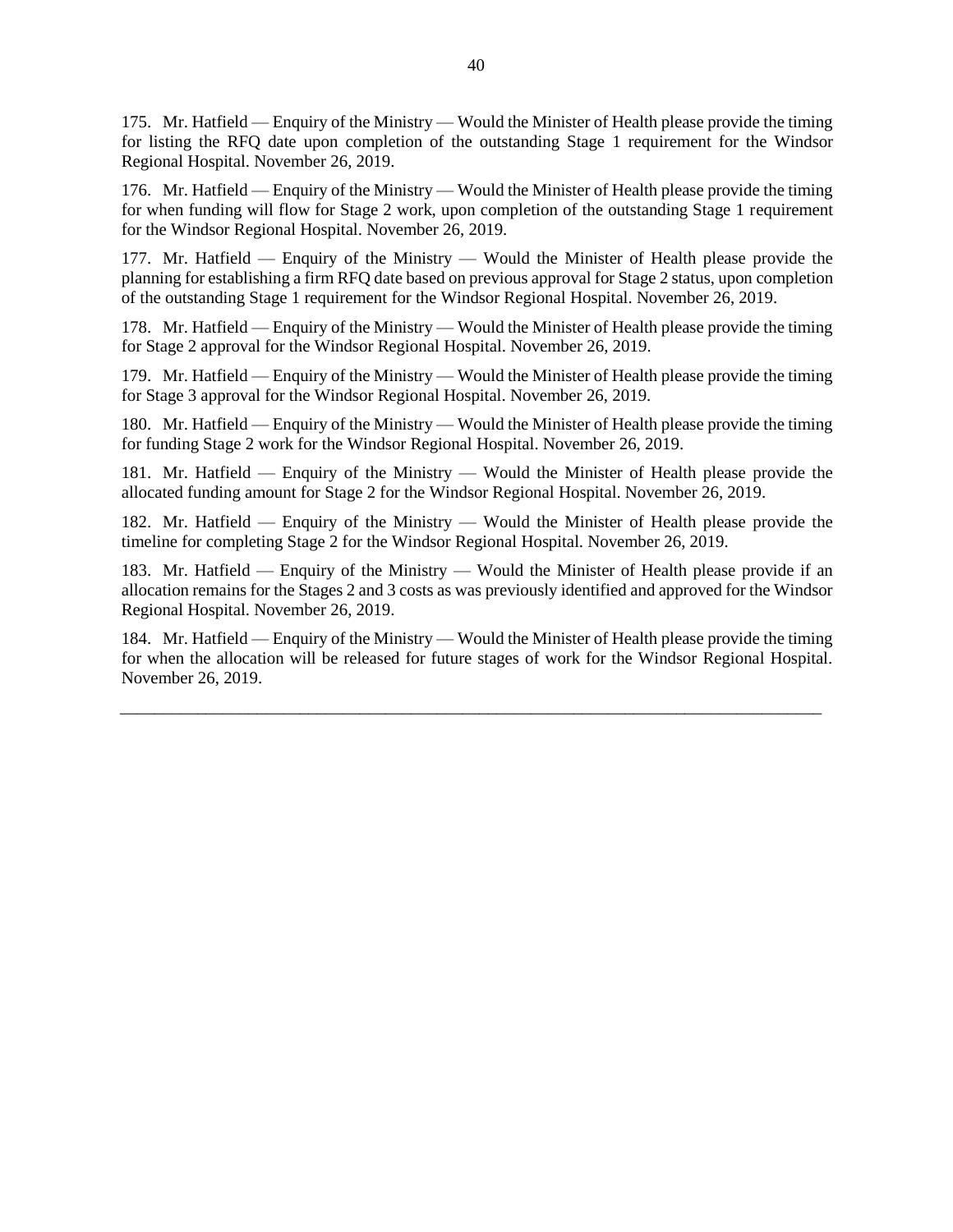175. Mr. Hatfield — Enquiry of the Ministry — Would the Minister of Health please provide the timing for listing the RFQ date upon completion of the outstanding Stage 1 requirement for the Windsor Regional Hospital. November 26, 2019.

176. Mr. Hatfield — Enquiry of the Ministry — Would the Minister of Health please provide the timing for when funding will flow for Stage 2 work, upon completion of the outstanding Stage 1 requirement for the Windsor Regional Hospital. November 26, 2019.

177. Mr. Hatfield — Enquiry of the Ministry — Would the Minister of Health please provide the planning for establishing a firm RFQ date based on previous approval for Stage 2 status, upon completion of the outstanding Stage 1 requirement for the Windsor Regional Hospital. November 26, 2019.

178. Mr. Hatfield — Enquiry of the Ministry — Would the Minister of Health please provide the timing for Stage 2 approval for the Windsor Regional Hospital. November 26, 2019.

179. Mr. Hatfield — Enquiry of the Ministry — Would the Minister of Health please provide the timing for Stage 3 approval for the Windsor Regional Hospital. November 26, 2019.

180. Mr. Hatfield — Enquiry of the Ministry — Would the Minister of Health please provide the timing for funding Stage 2 work for the Windsor Regional Hospital. November 26, 2019.

181. Mr. Hatfield — Enquiry of the Ministry — Would the Minister of Health please provide the allocated funding amount for Stage 2 for the Windsor Regional Hospital. November 26, 2019.

182. Mr. Hatfield — Enquiry of the Ministry — Would the Minister of Health please provide the timeline for completing Stage 2 for the Windsor Regional Hospital. November 26, 2019.

183. Mr. Hatfield — Enquiry of the Ministry — Would the Minister of Health please provide if an allocation remains for the Stages 2 and 3 costs as was previously identified and approved for the Windsor Regional Hospital. November 26, 2019.

184. Mr. Hatfield — Enquiry of the Ministry — Would the Minister of Health please provide the timing for when the allocation will be released for future stages of work for the Windsor Regional Hospital. November 26, 2019.

\_\_\_\_\_\_\_\_\_\_\_\_\_\_\_\_\_\_\_\_\_\_\_\_\_\_\_\_\_\_\_\_\_\_\_\_\_\_\_\_\_\_\_\_\_\_\_\_\_\_\_\_\_\_\_\_\_\_\_\_\_\_\_\_\_\_\_\_\_\_\_\_\_\_\_\_\_\_\_\_\_\_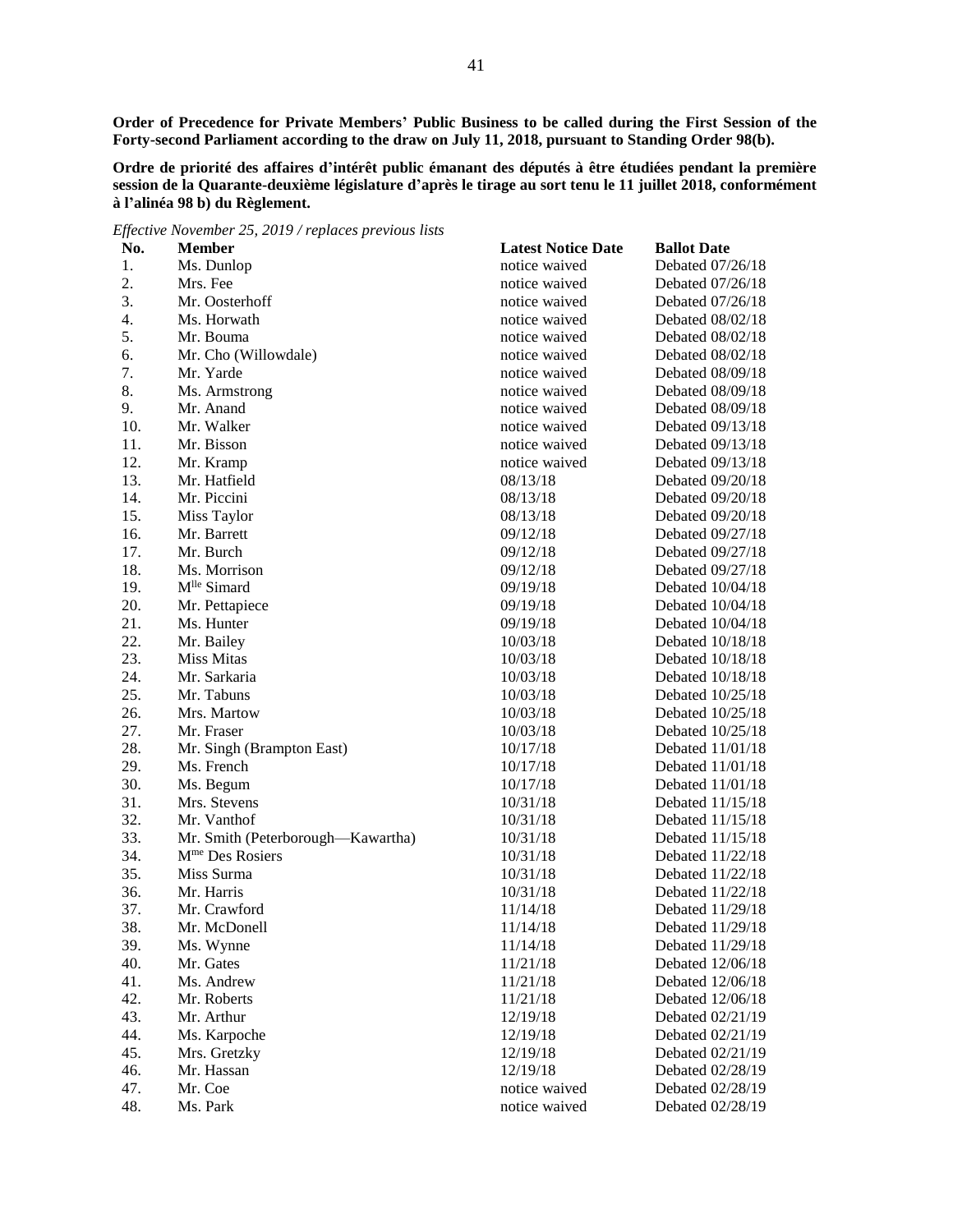**Order of Precedence for Private Members' Public Business to be called during the First Session of the Forty-second Parliament according to the draw on July 11, 2018, pursuant to Standing Order 98(b).**

**Ordre de priorité des affaires d'intérêt public émanant des députés à être étudiées pendant la première session de la Quarante-deuxième législature d'après le tirage au sort tenu le 11 juillet 2018, conformément à l'alinéa 98 b) du Règlement.**

*Effective November 25, 2019 / replaces previous lists*

| No. | <b>Member</b>                     | <b>Latest Notice Date</b> | <b>Ballot Date</b> |
|-----|-----------------------------------|---------------------------|--------------------|
| 1.  | Ms. Dunlop                        | notice waived             | Debated 07/26/18   |
| 2.  | Mrs. Fee                          | notice waived             | Debated 07/26/18   |
| 3.  | Mr. Oosterhoff                    | notice waived             | Debated 07/26/18   |
| 4.  | Ms. Horwath                       | notice waived             | Debated 08/02/18   |
| 5.  | Mr. Bouma                         | notice waived             | Debated 08/02/18   |
| 6.  | Mr. Cho (Willowdale)              | notice waived             | Debated 08/02/18   |
| 7.  | Mr. Yarde                         | notice waived             | Debated 08/09/18   |
| 8.  | Ms. Armstrong                     | notice waived             | Debated 08/09/18   |
| 9.  | Mr. Anand                         | notice waived             | Debated 08/09/18   |
| 10. | Mr. Walker                        | notice waived             | Debated 09/13/18   |
| 11. | Mr. Bisson                        | notice waived             | Debated 09/13/18   |
| 12. | Mr. Kramp                         | notice waived             | Debated 09/13/18   |
| 13. | Mr. Hatfield                      | 08/13/18                  | Debated 09/20/18   |
| 14. | Mr. Piccini                       | 08/13/18                  | Debated 09/20/18   |
| 15. | Miss Taylor                       | 08/13/18                  | Debated 09/20/18   |
| 16. | Mr. Barrett                       | 09/12/18                  | Debated 09/27/18   |
| 17. | Mr. Burch                         | 09/12/18                  | Debated 09/27/18   |
| 18. | Ms. Morrison                      | 09/12/18                  | Debated 09/27/18   |
| 19. | M <sup>lle</sup> Simard           | 09/19/18                  | Debated 10/04/18   |
| 20. | Mr. Pettapiece                    | 09/19/18                  | Debated 10/04/18   |
| 21. | Ms. Hunter                        | 09/19/18                  | Debated 10/04/18   |
| 22. | Mr. Bailey                        | 10/03/18                  | Debated 10/18/18   |
| 23. | Miss Mitas                        | 10/03/18                  | Debated 10/18/18   |
| 24. | Mr. Sarkaria                      | 10/03/18                  | Debated $10/18/18$ |
| 25. | Mr. Tabuns                        | 10/03/18                  | Debated 10/25/18   |
| 26. | Mrs. Martow                       | 10/03/18                  | Debated $10/25/18$ |
| 27. | Mr. Fraser                        | 10/03/18                  | Debated $10/25/18$ |
| 28. | Mr. Singh (Brampton East)         | 10/17/18                  | Debated 11/01/18   |
| 29. | Ms. French                        | 10/17/18                  | Debated 11/01/18   |
| 30. | Ms. Begum                         | 10/17/18                  | Debated 11/01/18   |
| 31. | Mrs. Stevens                      | 10/31/18                  | Debated 11/15/18   |
| 32. | Mr. Vanthof                       | 10/31/18                  | Debated 11/15/18   |
| 33. | Mr. Smith (Peterborough-Kawartha) | 10/31/18                  | Debated 11/15/18   |
| 34. | M <sup>me</sup> Des Rosiers       | 10/31/18                  | Debated 11/22/18   |
| 35. | Miss Surma                        | 10/31/18                  | Debated 11/22/18   |
| 36. | Mr. Harris                        | 10/31/18                  | Debated 11/22/18   |
| 37. | Mr. Crawford                      | 11/14/18                  | Debated 11/29/18   |
| 38. | Mr. McDonell                      | 11/14/18                  | Debated 11/29/18   |
| 39. | Ms. Wynne                         | 11/14/18                  | Debated 11/29/18   |
| 40. | Mr. Gates                         | 11/21/18                  | Debated 12/06/18   |
| 41. | Ms. Andrew                        | 11/21/18                  | Debated 12/06/18   |
| 42. | Mr. Roberts                       | 11/21/18                  | Debated 12/06/18   |
| 43. | Mr. Arthur                        | 12/19/18                  | Debated 02/21/19   |
| 44. | Ms. Karpoche                      | 12/19/18                  | Debated 02/21/19   |
| 45. | Mrs. Gretzky                      | 12/19/18                  | Debated 02/21/19   |
| 46. | Mr. Hassan                        | 12/19/18                  | Debated 02/28/19   |
| 47. | Mr. Coe                           | notice waived             | Debated 02/28/19   |
| 48. | Ms. Park                          | notice waived             | Debated 02/28/19   |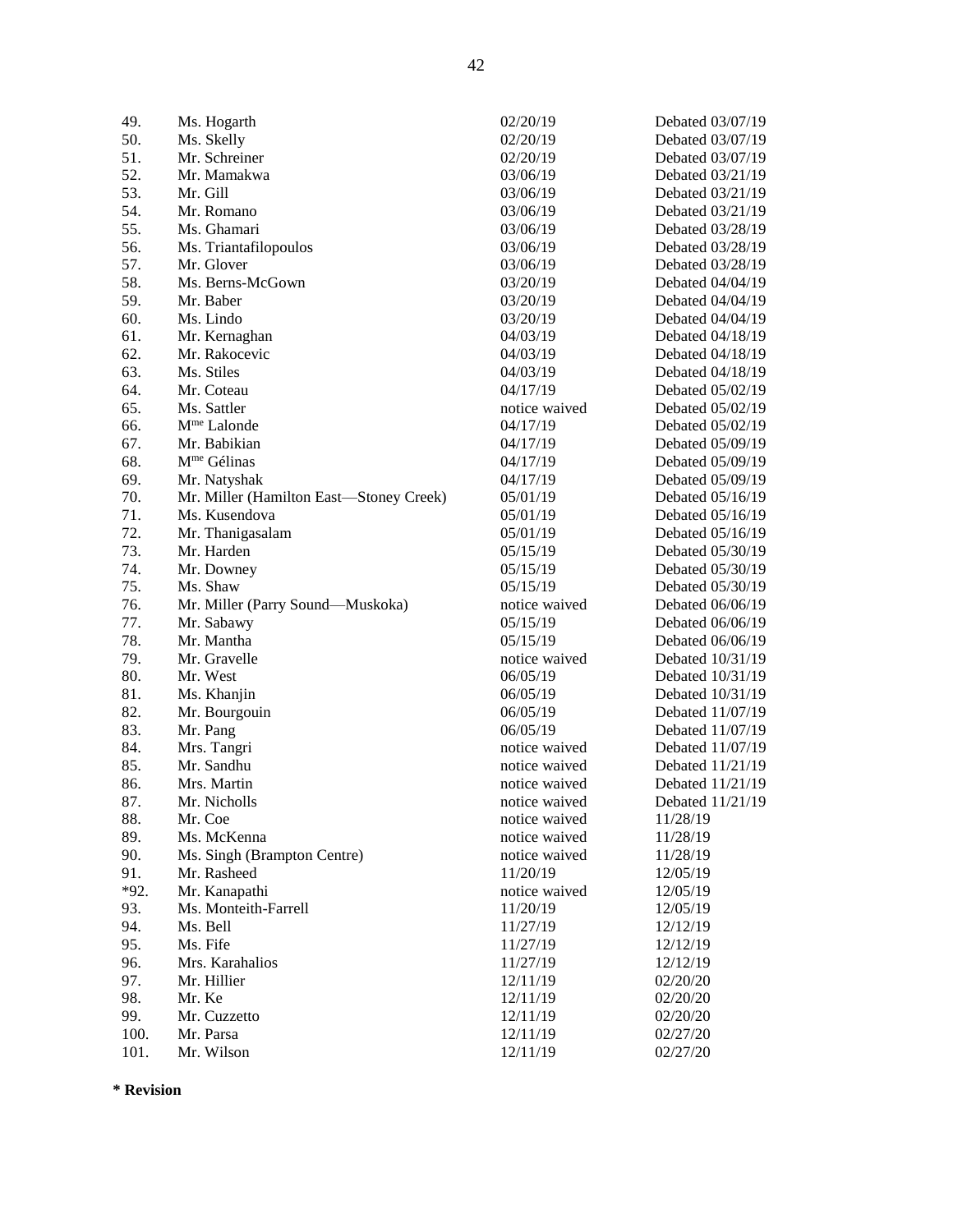50. Ms. Skelly 02/20/19 Debated 03/07/19 51. Mr. Schreiner 02/20/19 Debated 03/07/19 52. Mr. Mamakwa 03/06/19 Debated 03/21/19 53. Mr. Gill 03/06/19 Debated 03/21/19 54. Mr. Romano 03/06/19 Debated 03/21/19 55. Ms. Ghamari 03/06/19 Debated 03/28/19 56. Ms. Triantafilopoulos 03/06/19 Debated 03/28/19 57. Mr. Glover 03/06/19 Debated 03/28/19 58. Ms. Berns-McGown 03/20/19 Debated 04/04/19 59. Mr. Baber 03/20/19 Debated 04/04/19 60. Ms. Lindo 03/20/19 Debated 04/04/19 61. Mr. Kernaghan 04/03/19 Debated 04/18/19 62. Mr. Rakocevic 04/03/19 Debated 04/18/19 63. Ms. Stiles 04/03/19 Debated 04/18/19 64. Mr. Coteau 04/17/19 Debated 05/02/19 65. Ms. Sattler notice waived Debated 05/02/19 66. M<sup>me</sup> Lalonde 04/17/19 Debated 05/02/19 67. Mr. Babikian 04/17/19 Debated 05/09/19 68. Mme Gélinas 04/17/19 Debated 05/09/19 69. Mr. Natyshak 04/17/19 Debated 05/09/19 70. Mr. Miller (Hamilton East—Stoney Creek) 05/01/19 Debated 05/16/19 71. Ms. Kusendova 05/01/19 Debated 05/16/19 72. Mr. Thanigasalam 05/01/19 Debated 05/16/19 73. Mr. Harden 05/15/19 Debated 05/30/19 74. Mr. Downey 05/15/19 Debated 05/30/19 75. Ms. Shaw 05/15/19 Debated 05/30/19 76. Mr. Miller (Parry Sound—Muskoka) notice waived Debated 06/06/19 77. Mr. Sabawy 05/15/19 Debated 06/06/19 78. Mr. Mantha 05/15/19 Debated 06/06/19 79. Mr. Gravelle notice waived Debated 10/31/19 80. Mr. West 06/05/19 Debated 10/31/19 81. Ms. Khanjin 06/05/19 Debated 10/31/19 82. Mr. Bourgouin 06/05/19 Debated 11/07/19 83. Mr. Pang 06/05/19 Debated 11/07/19 84. Mrs. Tangri 1988 and 2008 and 2008 and 2008 and 2008 and 2008 and 2008 and 2008 and 2008 and 2008 and 2008 and 2008 and 2008 and 2008 and 2008 and 2008 and 2008 and 2008 and 2008 and 2008 and 2008 and 2008 and 2008 and 85. Mr. Sandhu notice waived Debated 11/21/19 86. Mrs. Martin notice waived Debated 11/21/19 87. Mr. Nicholls **notice waived** Debated 11/21/19 88. Mr. Coe notice waived 11/28/19 89. Ms. McKenna notice waived 11/28/19 90. Ms. Singh (Brampton Centre) notice waived 11/28/19 91. Mr. Rasheed 11/20/19 12/05/19 \*92. Mr. Kanapathi notice waived 12/05/19 93. Ms. Monteith-Farrell 11/20/19 12/05/19 94. Ms. Bell 11/27/19 12/12/19 95. Ms. Fife 2012/19 12/12/19 12/12/19 96. Mrs. Karahalios 11/27/19 12/12/19 97. Mr. Hillier 2012/07/20 2012/07/20 20:20:20 20:20 20:20 20:20 20:20 20:20 20:20 20:20 20:20 20:20 20:20 20: 98. Mr. Ke 12/11/19 02/20/20 99. Mr. Cuzzetto 12/11/19 02/20/20 100. Mr. Parsa 12/11/19 02/27/20

49. Ms. Hogarth 02/20/19 Debated 03/07/19 101. Mr. Wilson 20227/20

**\* Revision**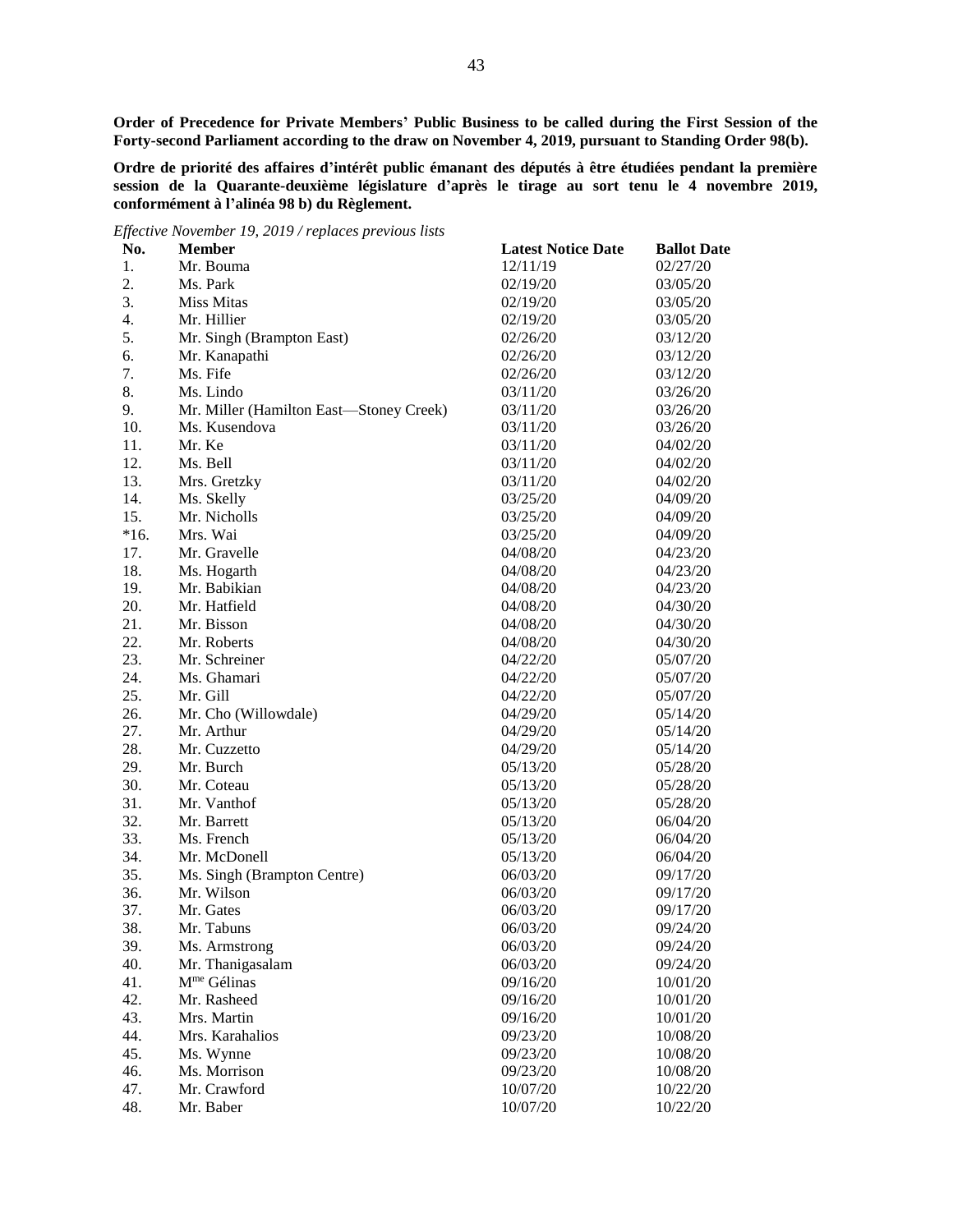**Order of Precedence for Private Members' Public Business to be called during the First Session of the Forty-second Parliament according to the draw on November 4, 2019, pursuant to Standing Order 98(b).**

**Ordre de priorité des affaires d'intérêt public émanant des députés à être étudiées pendant la première session de la Quarante-deuxième législature d'après le tirage au sort tenu le 4 novembre 2019, conformément à l'alinéa 98 b) du Règlement.**

*Effective November 19, 2019 / replaces previous lists*

| No.    | <b>Member</b>                           | <b>Latest Notice Date</b> | <b>Ballot Date</b> |
|--------|-----------------------------------------|---------------------------|--------------------|
| 1.     | Mr. Bouma                               | 12/11/19                  | 02/27/20           |
| 2.     | Ms. Park                                | 02/19/20                  | 03/05/20           |
| 3.     | <b>Miss Mitas</b>                       | 02/19/20                  | 03/05/20           |
| 4.     | Mr. Hillier                             | 02/19/20                  | 03/05/20           |
| 5.     | Mr. Singh (Brampton East)               | 02/26/20                  | 03/12/20           |
| 6.     | Mr. Kanapathi                           | 02/26/20                  | 03/12/20           |
| 7.     | Ms. Fife                                | 02/26/20                  | 03/12/20           |
| 8.     | Ms. Lindo                               | 03/11/20                  | 03/26/20           |
| 9.     | Mr. Miller (Hamilton East-Stoney Creek) | 03/11/20                  | 03/26/20           |
| 10.    | Ms. Kusendova                           | 03/11/20                  | 03/26/20           |
| 11.    | Mr. Ke                                  | 03/11/20                  | 04/02/20           |
| 12.    | Ms. Bell                                | 03/11/20                  | 04/02/20           |
| 13.    | Mrs. Gretzky                            | 03/11/20                  | 04/02/20           |
| 14.    | Ms. Skelly                              | 03/25/20                  | 04/09/20           |
| 15.    | Mr. Nicholls                            | 03/25/20                  | 04/09/20           |
| $*16.$ | Mrs. Wai                                | 03/25/20                  | 04/09/20           |
| 17.    | Mr. Gravelle                            | 04/08/20                  | 04/23/20           |
| 18.    | Ms. Hogarth                             | 04/08/20                  | 04/23/20           |
| 19.    | Mr. Babikian                            | 04/08/20                  | 04/23/20           |
| 20.    | Mr. Hatfield                            | 04/08/20                  | 04/30/20           |
| 21.    | Mr. Bisson                              | 04/08/20                  | 04/30/20           |
| 22.    | Mr. Roberts                             | 04/08/20                  | 04/30/20           |
| 23.    | Mr. Schreiner                           | 04/22/20                  | 05/07/20           |
| 24.    | Ms. Ghamari                             | 04/22/20                  | 05/07/20           |
| 25.    | Mr. Gill                                | 04/22/20                  | 05/07/20           |
| 26.    | Mr. Cho (Willowdale)                    | 04/29/20                  | 05/14/20           |
| 27.    | Mr. Arthur                              | 04/29/20                  | 05/14/20           |
| 28.    | Mr. Cuzzetto                            | 04/29/20                  | 05/14/20           |
| 29.    | Mr. Burch                               | 05/13/20                  | 05/28/20           |
| 30.    | Mr. Coteau                              | 05/13/20                  | 05/28/20           |
| 31.    | Mr. Vanthof                             | 05/13/20                  | 05/28/20           |
| 32.    | Mr. Barrett                             | 05/13/20                  | 06/04/20           |
| 33.    | Ms. French                              | 05/13/20                  | 06/04/20           |
| 34.    | Mr. McDonell                            | 05/13/20                  | 06/04/20           |
| 35.    | Ms. Singh (Brampton Centre)             | 06/03/20                  | 09/17/20           |
| 36.    | Mr. Wilson                              | 06/03/20                  | 09/17/20           |
| 37.    | Mr. Gates                               | 06/03/20                  | 09/17/20           |
| 38.    | Mr. Tabuns                              | 06/03/20                  | 09/24/20           |
| 39.    | Ms. Armstrong                           | 06/03/20                  | 09/24/20           |
| 40.    | Mr. Thanigasalam                        | 06/03/20                  | 09/24/20           |
| 41.    | M <sup>me</sup> Gélinas                 | 09/16/20                  | 10/01/20           |
| 42.    | Mr. Rasheed                             | 09/16/20                  | 10/01/20           |
| 43.    | Mrs. Martin                             | 09/16/20                  | 10/01/20           |
| 44.    | Mrs. Karahalios                         | 09/23/20                  | 10/08/20           |
| 45.    | Ms. Wynne                               | 09/23/20                  | 10/08/20           |
| 46.    | Ms. Morrison                            | 09/23/20                  | 10/08/20           |
| 47.    | Mr. Crawford                            | 10/07/20                  | 10/22/20           |
| 48.    | Mr. Baber                               | 10/07/20                  | 10/22/20           |